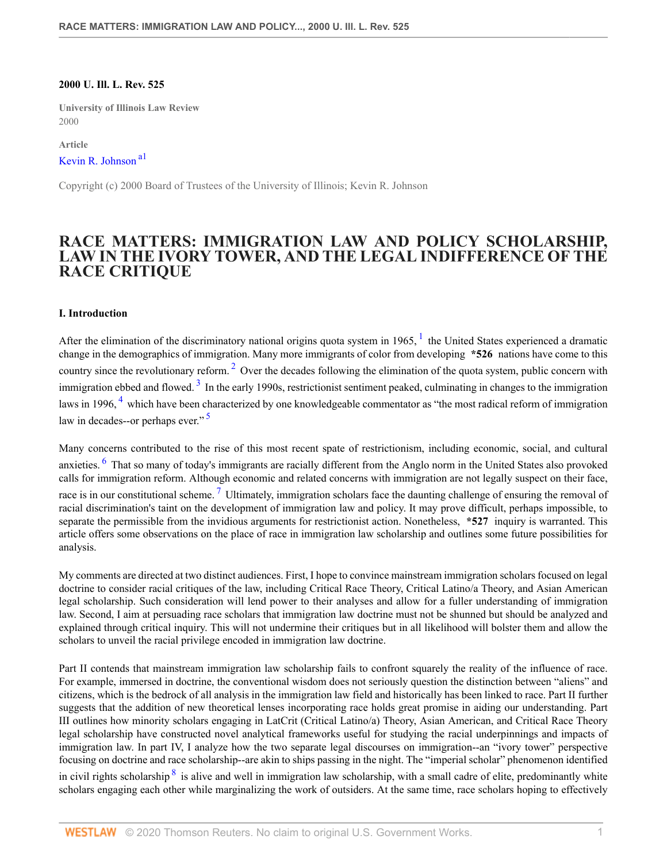#### **2000 U. Ill. L. Rev. 525**

**University of Illinois Law Review** 2000

<span id="page-0-0"></span>**Article** [Kevin R. Johnson](http://www.westlaw.com/Link/Document/FullText?findType=h&pubNum=176284&cite=0290407501&originatingDoc=Icfe969814b0211dba16d88fb847e95e5&refType=RQ&originationContext=document&vr=3.0&rs=cblt1.0&transitionType=DocumentItem&contextData=(sc.UserEnteredCitation)) [a1](#page-10-0)

Copyright (c) 2000 Board of Trustees of the University of Illinois; Kevin R. Johnson

# **RACE MATTERS: IMMIGRATION LAW AND POLICY SCHOLARSHIP, LAW IN THE IVORY TOWER, AND THE LEGAL INDIFFERENCE OF THE RACE CRITIQUE**

#### **I. Introduction**

<span id="page-0-3"></span><span id="page-0-2"></span><span id="page-0-1"></span>After the elimination of the discriminatory national origins quota system in [1](#page-10-1)965,  $1$  the United States experienced a dramatic change in the demographics of immigration. Many more immigrants of color from developing **\*526** nations have come to this country since the revolutionary reform.<sup>[2](#page-10-2)</sup> Over the decades following the elimination of the quota system, public concern with immigration ebbed and flowed.<sup>[3](#page-10-3)</sup> In the early 1990s, restrictionist sentiment peaked, culminating in changes to the immigration laws in 1996, <sup>[4](#page-10-4)</sup> which have been characterized by one knowledgeable commentator as "the most radical reform of immigration law in decades--or perhaps ever."<sup>[5](#page-11-0)</sup>

<span id="page-0-7"></span><span id="page-0-6"></span><span id="page-0-5"></span><span id="page-0-4"></span>Many concerns contributed to the rise of this most recent spate of restrictionism, including economic, social, and cultural anxieties. <sup>[6](#page-11-1)</sup> That so many of today's immigrants are racially different from the Anglo norm in the United States also provoked calls for immigration reform. Although economic and related concerns with immigration are not legally suspect on their face, race is in our constitutional scheme.<sup>[7](#page-11-2)</sup> Ultimately, immigration scholars face the daunting challenge of ensuring the removal of racial discrimination's taint on the development of immigration law and policy. It may prove difficult, perhaps impossible, to separate the permissible from the invidious arguments for restrictionist action. Nonetheless, **\*527** inquiry is warranted. This article offers some observations on the place of race in immigration law scholarship and outlines some future possibilities for analysis.

My comments are directed at two distinct audiences. First, I hope to convince mainstream immigration scholars focused on legal doctrine to consider racial critiques of the law, including Critical Race Theory, Critical Latino/a Theory, and Asian American legal scholarship. Such consideration will lend power to their analyses and allow for a fuller understanding of immigration law. Second, I aim at persuading race scholars that immigration law doctrine must not be shunned but should be analyzed and explained through critical inquiry. This will not undermine their critiques but in all likelihood will bolster them and allow the scholars to unveil the racial privilege encoded in immigration law doctrine.

<span id="page-0-8"></span>Part II contends that mainstream immigration law scholarship fails to confront squarely the reality of the influence of race. For example, immersed in doctrine, the conventional wisdom does not seriously question the distinction between "aliens" and citizens, which is the bedrock of all analysis in the immigration law field and historically has been linked to race. Part II further suggests that the addition of new theoretical lenses incorporating race holds great promise in aiding our understanding. Part III outlines how minority scholars engaging in LatCrit (Critical Latino/a) Theory, Asian American, and Critical Race Theory legal scholarship have constructed novel analytical frameworks useful for studying the racial underpinnings and impacts of immigration law. In part IV, I analyze how the two separate legal discourses on immigration--an "ivory tower" perspective focusing on doctrine and race scholarship--are akin to ships passing in the night. The "imperial scholar" phenomenon identified in civil rights scholarship  $\frac{8}{5}$  $\frac{8}{5}$  $\frac{8}{5}$  is alive and well in immigration law scholarship, with a small cadre of elite, predominantly white scholars engaging each other while marginalizing the work of outsiders. At the same time, race scholars hoping to effectively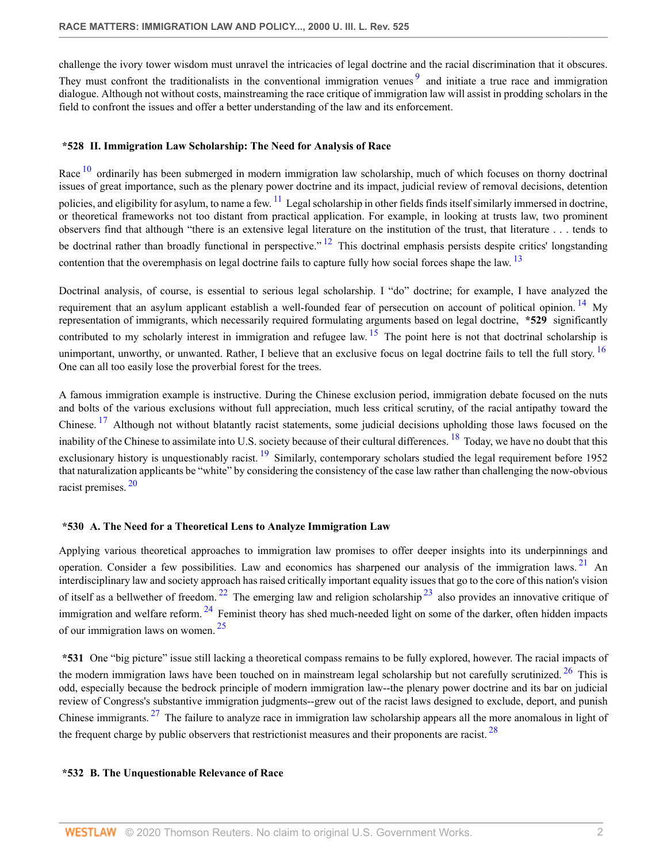challenge the ivory tower wisdom must unravel the intricacies of legal doctrine and the racial discrimination that it obscures.

<span id="page-1-0"></span>They must confront the traditionalists in the conventional immigration venues<sup>[9](#page-11-4)</sup> and initiate a true race and immigration dialogue. Although not without costs, mainstreaming the race critique of immigration law will assist in prodding scholars in the field to confront the issues and offer a better understanding of the law and its enforcement.

#### **\*528 II. Immigration Law Scholarship: The Need for Analysis of Race**

<span id="page-1-2"></span><span id="page-1-1"></span>Race <sup>[10](#page-11-5)</sup> ordinarily has been submerged in modern immigration law scholarship, much of which focuses on thorny doctrinal issues of great importance, such as the plenary power doctrine and its impact, judicial review of removal decisions, detention policies, and eligibility for asylum, to name a few.  $\frac{11}{11}$  $\frac{11}{11}$  $\frac{11}{11}$  Legal scholarship in other fields finds itself similarly immersed in doctrine, or theoretical frameworks not too distant from practical application. For example, in looking at trusts law, two prominent observers find that although "there is an extensive legal literature on the institution of the trust, that literature . . . tends to be doctrinal rather than broadly functional in perspective."  $^{12}$  $^{12}$  $^{12}$  This doctrinal emphasis persists despite critics' longstanding contention that the overemphasis on legal doctrine fails to capture fully how social forces shape the law. <sup>[13](#page-11-8)</sup>

<span id="page-1-6"></span><span id="page-1-5"></span><span id="page-1-4"></span><span id="page-1-3"></span>Doctrinal analysis, of course, is essential to serious legal scholarship. I "do" doctrine; for example, I have analyzed the requirement that an asylum applicant establish a well-founded fear of persecution on account of political opinion. <sup>[14](#page-11-9)</sup> My representation of immigrants, which necessarily required formulating arguments based on legal doctrine, **\*529** significantly contributed to my scholarly interest in immigration and refugee law.  $15$  The point here is not that doctrinal scholarship is unimportant, unworthy, or unwanted. Rather, I believe that an exclusive focus on legal doctrine fails to tell the full story. <sup>[16](#page-11-11)</sup> One can all too easily lose the proverbial forest for the trees.

<span id="page-1-10"></span><span id="page-1-9"></span><span id="page-1-8"></span><span id="page-1-7"></span>A famous immigration example is instructive. During the Chinese exclusion period, immigration debate focused on the nuts and bolts of the various exclusions without full appreciation, much less critical scrutiny, of the racial antipathy toward the Chinese.<sup>[17](#page-12-0)</sup> Although not without blatantly racist statements, some judicial decisions upholding those laws focused on the inability of the Chinese to assimilate into U.S. society because of their cultural differences.  $^{18}$  $^{18}$  $^{18}$  Today, we have no doubt that this exclusionary history is unquestionably racist.  $^{19}$  $^{19}$  $^{19}$  Similarly, contemporary scholars studied the legal requirement before 1952 that naturalization applicants be "white" by considering the consistency of the case law rather than challenging the now-obvious racist premises. [20](#page-12-3)

# <span id="page-1-12"></span><span id="page-1-11"></span>**\*530 A. The Need for a Theoretical Lens to Analyze Immigration Law**

<span id="page-1-14"></span><span id="page-1-13"></span>Applying various theoretical approaches to immigration law promises to offer deeper insights into its underpinnings and operation. Consider a few possibilities. Law and economics has sharpened our analysis of the immigration laws. [21](#page-12-4) An interdisciplinary law and society approach has raised critically important equality issues that go to the core of this nation's vision of itself as a bellwether of freedom. <sup>[22](#page-12-5)</sup> The emerging law and religion scholarship  $^{23}$  $^{23}$  $^{23}$  also provides an innovative critique of immigration and welfare reform.<sup>[24](#page-12-7)</sup> Feminist theory has shed much-needed light on some of the darker, often hidden impacts of our immigration laws on women. [25](#page-12-8)

<span id="page-1-18"></span><span id="page-1-17"></span><span id="page-1-16"></span><span id="page-1-15"></span>**\*531** One "big picture" issue still lacking a theoretical compass remains to be fully explored, however. The racial impacts of the modern immigration laws have been touched on in mainstream legal scholarship but not carefully scrutinized.  $26$  This is odd, especially because the bedrock principle of modern immigration law--the plenary power doctrine and its bar on judicial review of Congress's substantive immigration judgments--grew out of the racist laws designed to exclude, deport, and punish Chinese immigrants.  $27$  The failure to analyze race in immigration law scholarship appears all the more anomalous in light of the frequent charge by public observers that restrictionist measures and their proponents are racist.  $^{28}$  $^{28}$  $^{28}$ 

#### <span id="page-1-19"></span>**\*532 B. The Unquestionable Relevance of Race**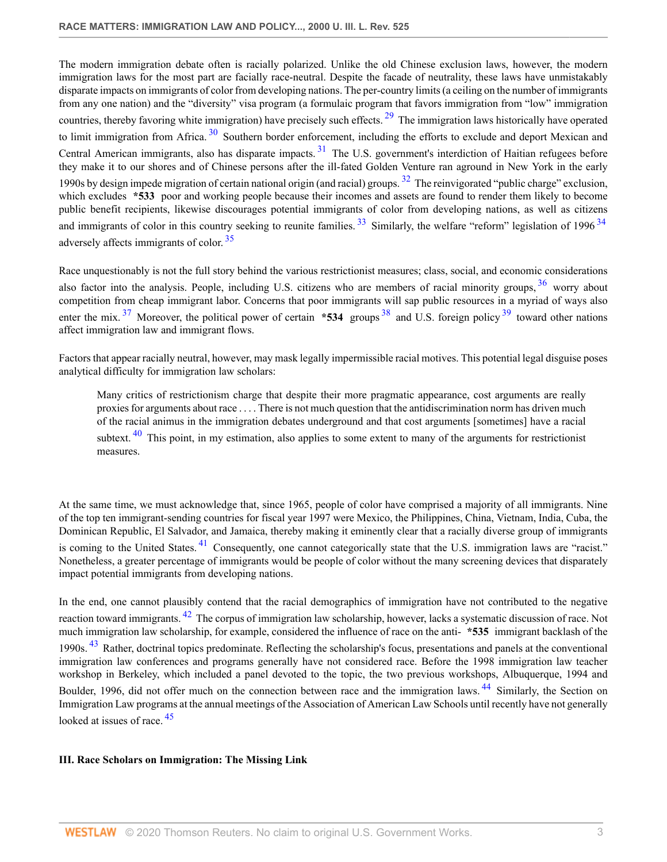<span id="page-2-2"></span><span id="page-2-1"></span><span id="page-2-0"></span>The modern immigration debate often is racially polarized. Unlike the old Chinese exclusion laws, however, the modern immigration laws for the most part are facially race-neutral. Despite the facade of neutrality, these laws have unmistakably disparate impacts on immigrants of color from developing nations. The per-country limits (a ceiling on the number of immigrants from any one nation) and the "diversity" visa program (a formulaic program that favors immigration from "low" immigration countries, thereby favoring white immigration) have precisely such effects. <sup>[29](#page-14-1)</sup> The immigration laws historically have operated to limit immigration from Africa.<sup>[30](#page-14-2)</sup> Southern border enforcement, including the efforts to exclude and deport Mexican and Central American immigrants, also has disparate impacts.  $31$  The U.S. government's interdiction of Haitian refugees before they make it to our shores and of Chinese persons after the ill-fated Golden Venture ran aground in New York in the early 1990s by design impede migration of certain national origin (and racial) groups.  $32$  The reinvigorated "public charge" exclusion, which excludes **\*533** poor and working people because their incomes and assets are found to render them likely to become public benefit recipients, likewise discourages potential immigrants of color from developing nations, as well as citizens and immigrants of color in this country seeking to reunite families.  $33$  Similarly, the welfare "reform" legislation of 1996  $34$ adversely affects immigrants of color. [35](#page-14-7)

<span id="page-2-8"></span><span id="page-2-6"></span><span id="page-2-4"></span><span id="page-2-3"></span>Race unquestionably is not the full story behind the various restrictionist measures; class, social, and economic considerations also factor into the analysis. People, including U.S. citizens who are members of racial minority groups, <sup>[36](#page-15-0)</sup> worry about competition from cheap immigrant labor. Concerns that poor immigrants will sap public resources in a myriad of ways also enter the mix.<sup>[37](#page-15-1)</sup> Moreover, the political power of certain  $*534$  groups  $38$  and U.S. foreign policy  $39$  toward other nations affect immigration law and immigrant flows.

Factors that appear racially neutral, however, may mask legally impermissible racial motives. This potential legal disguise poses analytical difficulty for immigration law scholars:

<span id="page-2-11"></span><span id="page-2-10"></span><span id="page-2-9"></span><span id="page-2-7"></span><span id="page-2-5"></span>Many critics of restrictionism charge that despite their more pragmatic appearance, cost arguments are really proxies for arguments about race . . . . There is not much question that the antidiscrimination norm has driven much of the racial animus in the immigration debates underground and that cost arguments [sometimes] have a racial subtext.  $40$  This point, in my estimation, also applies to some extent to many of the arguments for restrictionist measures.

<span id="page-2-12"></span>At the same time, we must acknowledge that, since 1965, people of color have comprised a majority of all immigrants. Nine of the top ten immigrant-sending countries for fiscal year 1997 were Mexico, the Philippines, China, Vietnam, India, Cuba, the Dominican Republic, El Salvador, and Jamaica, thereby making it eminently clear that a racially diverse group of immigrants is coming to the United States.<sup>[41](#page-15-5)</sup> Consequently, one cannot categorically state that the U.S. immigration laws are "racist." Nonetheless, a greater percentage of immigrants would be people of color without the many screening devices that disparately impact potential immigrants from developing nations.

<span id="page-2-14"></span><span id="page-2-13"></span>In the end, one cannot plausibly contend that the racial demographics of immigration have not contributed to the negative reaction toward immigrants. <sup>[42](#page-15-6)</sup> The corpus of immigration law scholarship, however, lacks a systematic discussion of race. Not much immigration law scholarship, for example, considered the influence of race on the anti- **\*535** immigrant backlash of the 1990s. <sup>[43](#page-15-7)</sup> Rather, doctrinal topics predominate. Reflecting the scholarship's focus, presentations and panels at the conventional immigration law conferences and programs generally have not considered race. Before the 1998 immigration law teacher workshop in Berkeley, which included a panel devoted to the topic, the two previous workshops, Albuquerque, 1994 and Boulder, 1996, did not offer much on the connection between race and the immigration laws. <sup>[44](#page-15-8)</sup> Similarly, the Section on Immigration Law programs at the annual meetings of the Association of American Law Schools until recently have not generally looked at issues of race. <sup>[45](#page-16-0)</sup>

# <span id="page-2-16"></span><span id="page-2-15"></span>**III. Race Scholars on Immigration: The Missing Link**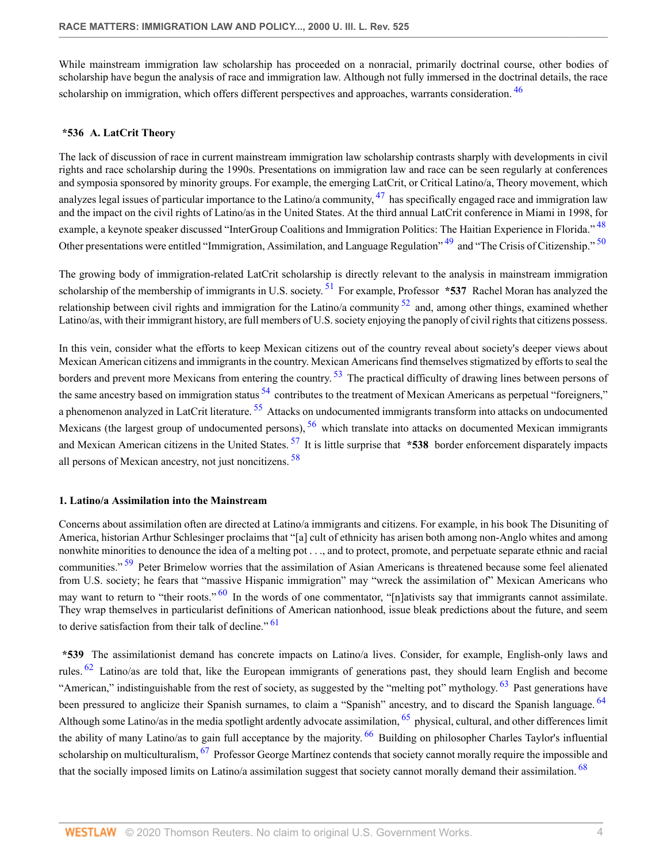While mainstream immigration law scholarship has proceeded on a nonracial, primarily doctrinal course, other bodies of scholarship have begun the analysis of race and immigration law. Although not fully immersed in the doctrinal details, the race scholarship on immigration, which offers different perspectives and approaches, warrants consideration. <sup>[46](#page-16-1)</sup>

#### <span id="page-3-0"></span>**\*536 A. LatCrit Theory**

<span id="page-3-1"></span>The lack of discussion of race in current mainstream immigration law scholarship contrasts sharply with developments in civil rights and race scholarship during the 1990s. Presentations on immigration law and race can be seen regularly at conferences and symposia sponsored by minority groups. For example, the emerging LatCrit, or Critical Latino/a, Theory movement, which analyzes legal issues of particular importance to the Latino/a community,  $^{47}$  $^{47}$  $^{47}$  has specifically engaged race and immigration law and the impact on the civil rights of Latino/as in the United States. At the third annual LatCrit conference in Miami in 1998, for example, a keynote speaker discussed "InterGroup Coalitions and Immigration Politics: The Haitian Experience in Florida." <sup>[48](#page-16-3)</sup> Other presentations were entitled "Immigration, Assimilation, and Language Regulation" <sup>[49](#page-16-4)</sup> and "The Crisis of Citizenship." <sup>[50](#page-16-5)</sup>

<span id="page-3-6"></span><span id="page-3-5"></span><span id="page-3-4"></span><span id="page-3-3"></span><span id="page-3-2"></span>The growing body of immigration-related LatCrit scholarship is directly relevant to the analysis in mainstream immigration scholarship of the membership of immigrants in U.S. society.<sup>[51](#page-16-6)</sup> For example, Professor **\*537** Rachel Moran has analyzed the relationship between civil rights and immigration for the Latino/a community  $52$  and, among other things, examined whether Latino/as, with their immigrant history, are full members of U.S. society enjoying the panoply of civil rights that citizens possess.

<span id="page-3-10"></span><span id="page-3-9"></span><span id="page-3-8"></span><span id="page-3-7"></span>In this vein, consider what the efforts to keep Mexican citizens out of the country reveal about society's deeper views about Mexican American citizens and immigrants in the country. Mexican Americans find themselves stigmatized by efforts to seal the borders and prevent more Mexicans from entering the country.<sup>[53](#page-17-1)</sup> The practical difficulty of drawing lines between persons of the same ancestry based on immigration status  $54$  contributes to the treatment of Mexican Americans as perpetual "foreigners," a phenomenon analyzed in LatCrit literature.<sup>[55](#page-17-3)</sup> Attacks on undocumented immigrants transform into attacks on undocumented Mexicans (the largest group of undocumented persons),  $56$  which translate into attacks on documented Mexican immigrants and Mexican American citizens in the United States. [57](#page-17-5) It is little surprise that **\*538** border enforcement disparately impacts all persons of Mexican ancestry, not just noncitizens. [58](#page-17-6)

#### <span id="page-3-12"></span><span id="page-3-11"></span>**1. Latino/a Assimilation into the Mainstream**

<span id="page-3-13"></span>Concerns about assimilation often are directed at Latino/a immigrants and citizens. For example, in his book The Disuniting of America, historian Arthur Schlesinger proclaims that "[a] cult of ethnicity has arisen both among non-Anglo whites and among nonwhite minorities to denounce the idea of a melting pot . . ., and to protect, promote, and perpetuate separate ethnic and racial communities."<sup>[59](#page-17-7)</sup> Peter Brimelow worries that the assimilation of Asian Americans is threatened because some feel alienated from U.S. society; he fears that "massive Hispanic immigration" may "wreck the assimilation of" Mexican Americans who may want to return to "their roots."  $\frac{60}{10}$  $\frac{60}{10}$  $\frac{60}{10}$  In the words of one commentator, "[n]ativists say that immigrants cannot assimilate. They wrap themselves in particularist definitions of American nationhood, issue bleak predictions about the future, and seem to derive satisfaction from their talk of decline."  $61$ 

<span id="page-3-22"></span><span id="page-3-21"></span><span id="page-3-20"></span><span id="page-3-19"></span><span id="page-3-18"></span><span id="page-3-17"></span><span id="page-3-16"></span><span id="page-3-15"></span><span id="page-3-14"></span>**\*539** The assimilationist demand has concrete impacts on Latino/a lives. Consider, for example, English-only laws and rules. [62](#page-18-2) Latino/as are told that, like the European immigrants of generations past, they should learn English and become "American," indistinguishable from the rest of society, as suggested by the "melting pot" mythology.  $63$  Past generations have been pressured to anglicize their Spanish surnames, to claim a "Spanish" ancestry, and to discard the Spanish language. <sup>[64](#page-18-4)</sup> Although some Latino/as in the media spotlight ardently advocate assimilation,  $^{65}$  $^{65}$  $^{65}$  physical, cultural, and other differences limit the ability of many Latino/as to gain full acceptance by the majority.  $^{66}$  $^{66}$  $^{66}$  Building on philosopher Charles Taylor's influential scholarship on multiculturalism,  $^{67}$  $^{67}$  $^{67}$  Professor George Martínez contends that society cannot morally require the impossible and that the socially imposed limits on Latino/a assimilation suggest that society cannot morally demand their assimilation. <sup>[68](#page-18-8)</sup>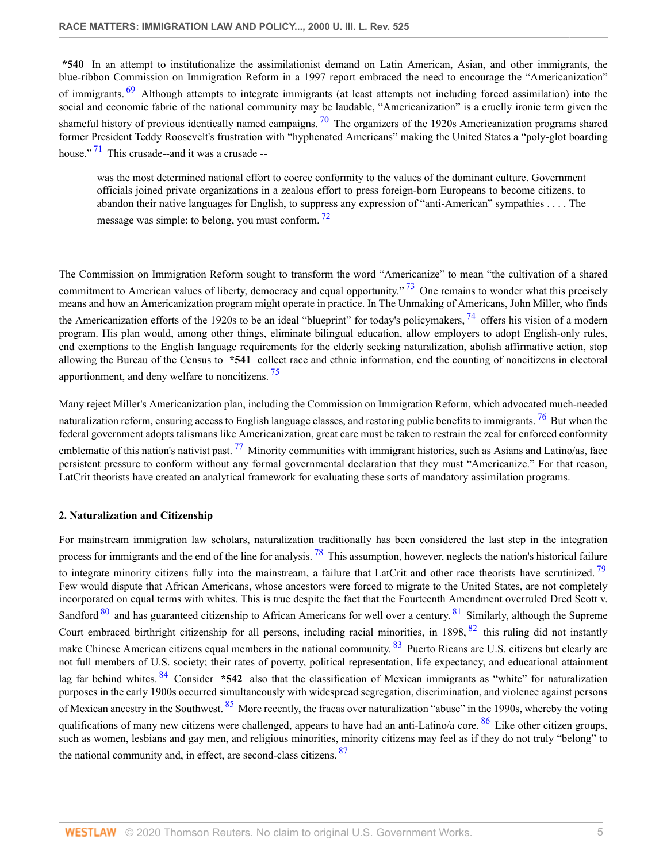<span id="page-4-0"></span>**\*540** In an attempt to institutionalize the assimilationist demand on Latin American, Asian, and other immigrants, the blue-ribbon Commission on Immigration Reform in a 1997 report embraced the need to encourage the "Americanization" of immigrants. <sup>[69](#page-18-9)</sup> Although attempts to integrate immigrants (at least attempts not including forced assimilation) into the social and economic fabric of the national community may be laudable, "Americanization" is a cruelly ironic term given the shameful history of previous identically named campaigns.  $\frac{70}{10}$  $\frac{70}{10}$  $\frac{70}{10}$  The organizers of the 1920s Americanization programs shared former President Teddy Roosevelt's frustration with "hyphenated Americans" making the United States a "poly-glot boarding house."  $71$  This crusade--and it was a crusade --

<span id="page-4-5"></span><span id="page-4-4"></span><span id="page-4-3"></span><span id="page-4-2"></span><span id="page-4-1"></span>was the most determined national effort to coerce conformity to the values of the dominant culture. Government officials joined private organizations in a zealous effort to press foreign-born Europeans to become citizens, to abandon their native languages for English, to suppress any expression of "anti-American" sympathies . . . . The message was simple: to belong, you must conform.  $^{72}$  $^{72}$  $^{72}$ 

The Commission on Immigration Reform sought to transform the word "Americanize" to mean "the cultivation of a shared commitment to American values of liberty, democracy and equal opportunity."<sup>[73](#page-19-3)</sup> One remains to wonder what this precisely means and how an Americanization program might operate in practice. In The Unmaking of Americans, John Miller, who finds the Americanization efforts of the 1920s to be an ideal "blueprint" for today's policymakers,  $^{74}$  $^{74}$  $^{74}$  offers his vision of a modern program. His plan would, among other things, eliminate bilingual education, allow employers to adopt English-only rules, end exemptions to the English language requirements for the elderly seeking naturalization, abolish affirmative action, stop allowing the Bureau of the Census to **\*541** collect race and ethnic information, end the counting of noncitizens in electoral apportionment, and deny welfare to noncitizens. [75](#page-19-5)

<span id="page-4-8"></span><span id="page-4-7"></span><span id="page-4-6"></span>Many reject Miller's Americanization plan, including the Commission on Immigration Reform, which advocated much-needed naturalization reform, ensuring access to English language classes, and restoring public benefits to immigrants.  $^{76}$  $^{76}$  $^{76}$  But when the federal government adopts talismans like Americanization, great care must be taken to restrain the zeal for enforced conformity emblematic of this nation's nativist past.  $^{77}$  $^{77}$  $^{77}$  Minority communities with immigrant histories, such as Asians and Latino/as, face persistent pressure to conform without any formal governmental declaration that they must "Americanize." For that reason, LatCrit theorists have created an analytical framework for evaluating these sorts of mandatory assimilation programs.

# **2. Naturalization and Citizenship**

<span id="page-4-18"></span><span id="page-4-17"></span><span id="page-4-16"></span><span id="page-4-15"></span><span id="page-4-14"></span><span id="page-4-13"></span><span id="page-4-12"></span><span id="page-4-11"></span><span id="page-4-10"></span><span id="page-4-9"></span>For mainstream immigration law scholars, naturalization traditionally has been considered the last step in the integration process for immigrants and the end of the line for analysis.  $^{78}$  $^{78}$  $^{78}$  This assumption, however, neglects the nation's historical failure to integrate minority citizens fully into the mainstream, a failure that LatCrit and other race theorists have scrutinized.  $^{79}$  $^{79}$  $^{79}$ Few would dispute that African Americans, whose ancestors were forced to migrate to the United States, are not completely incorporated on equal terms with whites. This is true despite the fact that the Fourteenth Amendment overruled Dred Scott v. Sandford  $80$  and has guaranteed citizenship to African Americans for well over a century.  $81$  Similarly, although the Supreme Court embraced birthright citizenship for all persons, including racial minorities, in 1898,  $82$  this ruling did not instantly make Chinese American citizens equal members in the national community. <sup>[83](#page-19-13)</sup> Puerto Ricans are U.S. citizens but clearly are not full members of U.S. society; their rates of poverty, political representation, life expectancy, and educational attainment lag far behind whites. [84](#page-19-14) Consider **\*542** also that the classification of Mexican immigrants as "white" for naturalization purposes in the early 1900s occurred simultaneously with widespread segregation, discrimination, and violence against persons of Mexican ancestry in the Southwest. <sup>[85](#page-19-15)</sup> More recently, the fracas over naturalization "abuse" in the 1990s, whereby the voting qualifications of many new citizens were challenged, appears to have had an anti-Latino/a core.  $86$  Like other citizen groups, such as women, lesbians and gay men, and religious minorities, minority citizens may feel as if they do not truly "belong" to the national community and, in effect, are second-class citizens. [87](#page-20-1)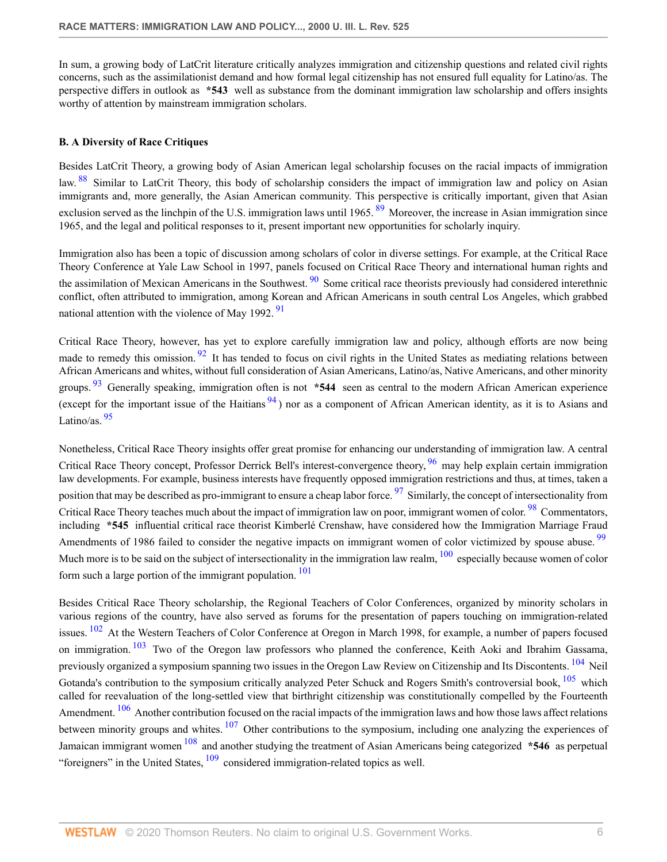In sum, a growing body of LatCrit literature critically analyzes immigration and citizenship questions and related civil rights concerns, such as the assimilationist demand and how formal legal citizenship has not ensured full equality for Latino/as. The perspective differs in outlook as **\*543** well as substance from the dominant immigration law scholarship and offers insights worthy of attention by mainstream immigration scholars.

# **B. A Diversity of Race Critiques**

<span id="page-5-1"></span><span id="page-5-0"></span>Besides LatCrit Theory, a growing body of Asian American legal scholarship focuses on the racial impacts of immigration law. <sup>[88](#page-20-2)</sup> Similar to LatCrit Theory, this body of scholarship considers the impact of immigration law and policy on Asian immigrants and, more generally, the Asian American community. This perspective is critically important, given that Asian exclusion served as the linchpin of the U.S. immigration laws until 1965.  $89$  Moreover, the increase in Asian immigration since 1965, and the legal and political responses to it, present important new opportunities for scholarly inquiry.

<span id="page-5-2"></span>Immigration also has been a topic of discussion among scholars of color in diverse settings. For example, at the Critical Race Theory Conference at Yale Law School in 1997, panels focused on Critical Race Theory and international human rights and the assimilation of Mexican Americans in the Southwest.  $90$  Some critical race theorists previously had considered interethnic conflict, often attributed to immigration, among Korean and African Americans in south central Los Angeles, which grabbed national attention with the violence of May 1992.  $91$ 

<span id="page-5-5"></span><span id="page-5-4"></span><span id="page-5-3"></span>Critical Race Theory, however, has yet to explore carefully immigration law and policy, although efforts are now being made to remedy this omission.<sup>[92](#page-20-6)</sup> It has tended to focus on civil rights in the United States as mediating relations between African Americans and whites, without full consideration of Asian Americans, Latino/as, Native Americans, and other minority groups. [93](#page-20-7) Generally speaking, immigration often is not **\*544** seen as central to the modern African American experience (except for the important issue of the Haitians  $94$ ) nor as a component of African American identity, as it is to Asians and Latino/as.  $\frac{95}{95}$  $\frac{95}{95}$  $\frac{95}{95}$ 

<span id="page-5-10"></span><span id="page-5-9"></span><span id="page-5-8"></span><span id="page-5-7"></span><span id="page-5-6"></span>Nonetheless, Critical Race Theory insights offer great promise for enhancing our understanding of immigration law. A central Critical Race Theory concept, Professor Derrick Bell's interest-convergence theory, <sup>[96](#page-21-2)</sup> may help explain certain immigration law developments. For example, business interests have frequently opposed immigration restrictions and thus, at times, taken a position that may be described as pro-immigrant to ensure a cheap labor force. <sup>[97](#page-21-3)</sup> Similarly, the concept of intersectionality from Critical Race Theory teaches much about the impact of immigration law on poor, immigrant women of color. <sup>[98](#page-21-4)</sup> Commentators, including **\*545** influential critical race theorist Kimberlé Crenshaw, have considered how the Immigration Marriage Fraud Amendments of 1986 failed to consider the negative impacts on immigrant women of color victimized by spouse abuse. <sup>[99](#page-21-5)</sup> Much more is to be said on the subject of intersectionality in the immigration law realm,  $100$  especially because women of color form such a large portion of the immigrant population.  $101$ 

<span id="page-5-21"></span><span id="page-5-20"></span><span id="page-5-19"></span><span id="page-5-18"></span><span id="page-5-17"></span><span id="page-5-16"></span><span id="page-5-15"></span><span id="page-5-14"></span><span id="page-5-13"></span><span id="page-5-12"></span><span id="page-5-11"></span>Besides Critical Race Theory scholarship, the Regional Teachers of Color Conferences, organized by minority scholars in various regions of the country, have also served as forums for the presentation of papers touching on immigration-related issues. <sup>[102](#page-21-8)</sup> At the Western Teachers of Color Conference at Oregon in March 1998, for example, a number of papers focused on immigration. <sup>[103](#page-21-9)</sup> Two of the Oregon law professors who planned the conference, Keith Aoki and Ibrahim Gassama, previously organized a symposium spanning two issues in the Oregon Law Review on Citizenship and Its Discontents. <sup>[104](#page-22-0)</sup> Neil Gotanda's contribution to the symposium critically analyzed Peter Schuck and Rogers Smith's controversial book,  $105$  which called for reevaluation of the long-settled view that birthright citizenship was constitutionally compelled by the Fourteenth Amendment. <sup>[106](#page-22-2)</sup> Another contribution focused on the racial impacts of the immigration laws and how those laws affect relations between minority groups and whites.  $107$  Other contributions to the symposium, including one analyzing the experiences of Jamaican immigrant women [108](#page-22-4) and another studying the treatment of Asian Americans being categorized **\*546** as perpetual "foreigners" in the United States,  $\frac{109}{20}$  $\frac{109}{20}$  $\frac{109}{20}$  considered immigration-related topics as well.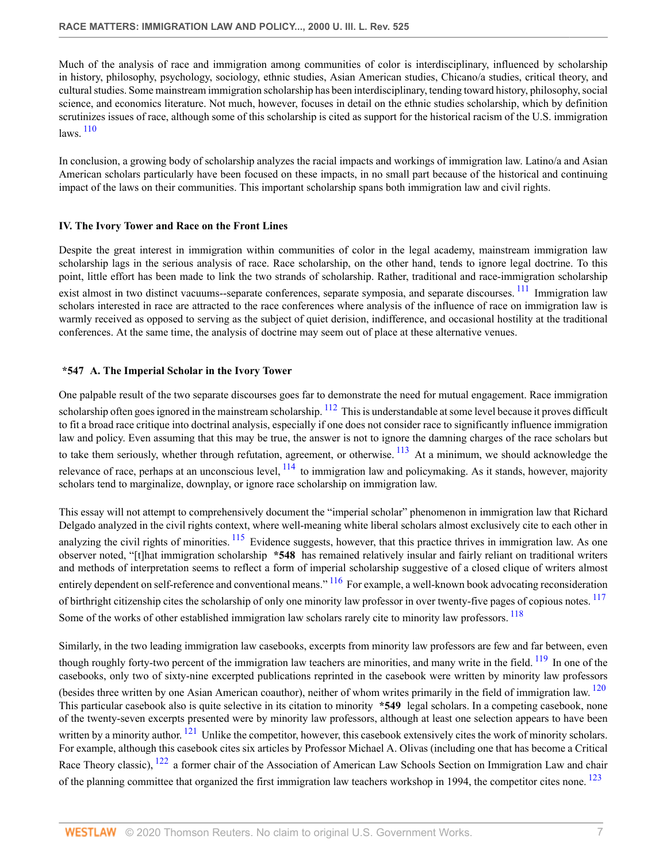Much of the analysis of race and immigration among communities of color is interdisciplinary, influenced by scholarship in history, philosophy, psychology, sociology, ethnic studies, Asian American studies, Chicano/a studies, critical theory, and cultural studies. Some mainstream immigration scholarship has been interdisciplinary, tending toward history, philosophy, social science, and economics literature. Not much, however, focuses in detail on the ethnic studies scholarship, which by definition scrutinizes issues of race, although some of this scholarship is cited as support for the historical racism of the U.S. immigration laws. [110](#page-22-6)

<span id="page-6-0"></span>In conclusion, a growing body of scholarship analyzes the racial impacts and workings of immigration law. Latino/a and Asian American scholars particularly have been focused on these impacts, in no small part because of the historical and continuing impact of the laws on their communities. This important scholarship spans both immigration law and civil rights.

# **IV. The Ivory Tower and Race on the Front Lines**

<span id="page-6-1"></span>Despite the great interest in immigration within communities of color in the legal academy, mainstream immigration law scholarship lags in the serious analysis of race. Race scholarship, on the other hand, tends to ignore legal doctrine. To this point, little effort has been made to link the two strands of scholarship. Rather, traditional and race-immigration scholarship exist almost in two distinct vacuums--separate conferences, separate symposia, and separate discourses. <sup>[111](#page-22-7)</sup> Immigration law scholars interested in race are attracted to the race conferences where analysis of the influence of race on immigration law is warmly received as opposed to serving as the subject of quiet derision, indifference, and occasional hostility at the traditional conferences. At the same time, the analysis of doctrine may seem out of place at these alternative venues.

# <span id="page-6-2"></span>**\*547 A. The Imperial Scholar in the Ivory Tower**

<span id="page-6-3"></span>One palpable result of the two separate discourses goes far to demonstrate the need for mutual engagement. Race immigration scholarship often goes ignored in the mainstream scholarship.  $\frac{112}{112}$  $\frac{112}{112}$  $\frac{112}{112}$  This is understandable at some level because it proves difficult to fit a broad race critique into doctrinal analysis, especially if one does not consider race to significantly influence immigration law and policy. Even assuming that this may be true, the answer is not to ignore the damning charges of the race scholars but to take them seriously, whether through refutation, agreement, or otherwise.  $^{113}$  $^{113}$  $^{113}$  At a minimum, we should acknowledge the relevance of race, perhaps at an unconscious level,  $^{114}$  $^{114}$  $^{114}$  to immigration law and policymaking. As it stands, however, majority scholars tend to marginalize, downplay, or ignore race scholarship on immigration law.

<span id="page-6-5"></span><span id="page-6-4"></span>This essay will not attempt to comprehensively document the "imperial scholar" phenomenon in immigration law that Richard Delgado analyzed in the civil rights context, where well-meaning white liberal scholars almost exclusively cite to each other in analyzing the civil rights of minorities.  $\frac{115}{115}$  $\frac{115}{115}$  $\frac{115}{115}$  Evidence suggests, however, that this practice thrives in immigration law. As one observer noted, "[t]hat immigration scholarship **\*548** has remained relatively insular and fairly reliant on traditional writers and methods of interpretation seems to reflect a form of imperial scholarship suggestive of a closed clique of writers almost entirely dependent on self-reference and conventional means." <sup>[116](#page-22-12)</sup> For example, a well-known book advocating reconsideration of birthright citizenship cites the scholarship of only one minority law professor in over twenty-five pages of copious notes. <sup>[117](#page-23-0)</sup> Some of the works of other established immigration law scholars rarely cite to minority law professors. <sup>[118](#page-23-1)</sup>

<span id="page-6-13"></span><span id="page-6-12"></span><span id="page-6-11"></span><span id="page-6-10"></span><span id="page-6-9"></span><span id="page-6-8"></span><span id="page-6-7"></span><span id="page-6-6"></span>Similarly, in the two leading immigration law casebooks, excerpts from minority law professors are few and far between, even though roughly forty-two percent of the immigration law teachers are minorities, and many write in the field.  $^{119}$  $^{119}$  $^{119}$  In one of the casebooks, only two of sixty-nine excerpted publications reprinted in the casebook were written by minority law professors (besides three written by one Asian American coauthor), neither of whom writes primarily in the field of immigration law.  $^{120}$  $^{120}$  $^{120}$ This particular casebook also is quite selective in its citation to minority **\*549** legal scholars. In a competing casebook, none of the twenty-seven excerpts presented were by minority law professors, although at least one selection appears to have been written by a minority author.  $121$  Unlike the competitor, however, this casebook extensively cites the work of minority scholars. For example, although this casebook cites six articles by Professor Michael A. Olivas (including one that has become a Critical Race Theory classic), <sup>[122](#page-23-5)</sup> a former chair of the Association of American Law Schools Section on Immigration Law and chair of the planning committee that organized the first immigration law teachers workshop in 1994, the competitor cites none. <sup>[123](#page-23-6)</sup>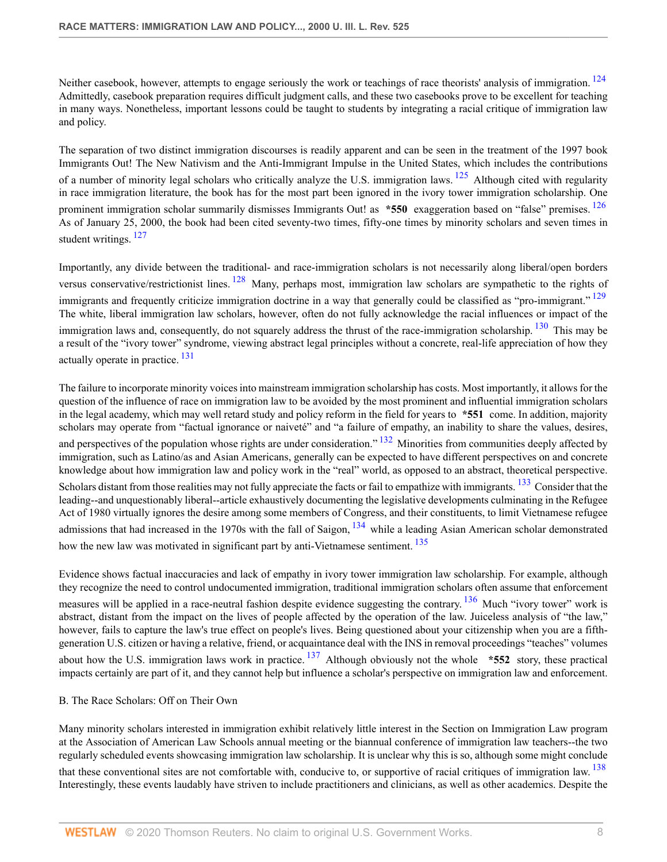<span id="page-7-0"></span>Neither casebook, however, attempts to engage seriously the work or teachings of race theorists' analysis of immigration. <sup>[124](#page-23-7)</sup> Admittedly, casebook preparation requires difficult judgment calls, and these two casebooks prove to be excellent for teaching in many ways. Nonetheless, important lessons could be taught to students by integrating a racial critique of immigration law and policy.

<span id="page-7-2"></span><span id="page-7-1"></span>The separation of two distinct immigration discourses is readily apparent and can be seen in the treatment of the 1997 book Immigrants Out! The New Nativism and the Anti-Immigrant Impulse in the United States, which includes the contributions of a number of minority legal scholars who critically analyze the U.S. immigration laws. <sup>[125](#page-24-0)</sup> Although cited with regularity in race immigration literature, the book has for the most part been ignored in the ivory tower immigration scholarship. One prominent immigration scholar summarily dismisses Immigrants Out! as **\*550** exaggeration based on "false" premises. <sup>[126](#page-24-1)</sup> As of January 25, 2000, the book had been cited seventy-two times, fifty-one times by minority scholars and seven times in student writings.<sup>[127](#page-24-2)</sup>

<span id="page-7-6"></span><span id="page-7-5"></span><span id="page-7-4"></span><span id="page-7-3"></span>Importantly, any divide between the traditional- and race-immigration scholars is not necessarily along liberal/open borders versus conservative/restrictionist lines. [128](#page-24-3) Many, perhaps most, immigration law scholars are sympathetic to the rights of immigrants and frequently criticize immigration doctrine in a way that generally could be classified as "pro-immigrant." <sup>[129](#page-24-4)</sup> The white, liberal immigration law scholars, however, often do not fully acknowledge the racial influences or impact of the immigration laws and, consequently, do not squarely address the thrust of the race-immigration scholarship.  $130$  This may be a result of the "ivory tower" syndrome, viewing abstract legal principles without a concrete, real-life appreciation of how they actually operate in practice. <sup>[131](#page-24-6)</sup>

<span id="page-7-9"></span><span id="page-7-8"></span><span id="page-7-7"></span>The failure to incorporate minority voices into mainstream immigration scholarship has costs. Most importantly, it allows for the question of the influence of race on immigration law to be avoided by the most prominent and influential immigration scholars in the legal academy, which may well retard study and policy reform in the field for years to **\*551** come. In addition, majority scholars may operate from "factual ignorance or naiveté" and "a failure of empathy, an inability to share the values, desires, and perspectives of the population whose rights are under consideration." <sup>[132](#page-24-7)</sup> Minorities from communities deeply affected by immigration, such as Latino/as and Asian Americans, generally can be expected to have different perspectives on and concrete knowledge about how immigration law and policy work in the "real" world, as opposed to an abstract, theoretical perspective. Scholars distant from those realities may not fully appreciate the facts or fail to empathize with immigrants. <sup>[133](#page-24-8)</sup> Consider that the leading--and unquestionably liberal--article exhaustively documenting the legislative developments culminating in the Refugee Act of 1980 virtually ignores the desire among some members of Congress, and their constituents, to limit Vietnamese refugee admissions that had increased in the 1970s with the fall of Saigon,  $134$  while a leading Asian American scholar demonstrated how the new law was motivated in significant part by anti-Vietnamese sentiment.<sup>[135](#page-24-10)</sup>

<span id="page-7-12"></span><span id="page-7-11"></span><span id="page-7-10"></span>Evidence shows factual inaccuracies and lack of empathy in ivory tower immigration law scholarship. For example, although they recognize the need to control undocumented immigration, traditional immigration scholars often assume that enforcement measures will be applied in a race-neutral fashion despite evidence suggesting the contrary. <sup>[136](#page-25-0)</sup> Much "ivory tower" work is abstract, distant from the impact on the lives of people affected by the operation of the law. Juiceless analysis of "the law," however, fails to capture the law's true effect on people's lives. Being questioned about your citizenship when you are a fifthgeneration U.S. citizen or having a relative, friend, or acquaintance deal with the INS in removal proceedings "teaches" volumes about how the U.S. immigration laws work in practice. [137](#page-25-1) Although obviously not the whole **\*552** story, these practical impacts certainly are part of it, and they cannot help but influence a scholar's perspective on immigration law and enforcement.

# <span id="page-7-13"></span>B. The Race Scholars: Off on Their Own

Many minority scholars interested in immigration exhibit relatively little interest in the Section on Immigration Law program at the Association of American Law Schools annual meeting or the biannual conference of immigration law teachers--the two regularly scheduled events showcasing immigration law scholarship. It is unclear why this is so, although some might conclude

<span id="page-7-14"></span>that these conventional sites are not comfortable with, conducive to, or supportive of racial critiques of immigration law. <sup>[138](#page-25-2)</sup> Interestingly, these events laudably have striven to include practitioners and clinicians, as well as other academics. Despite the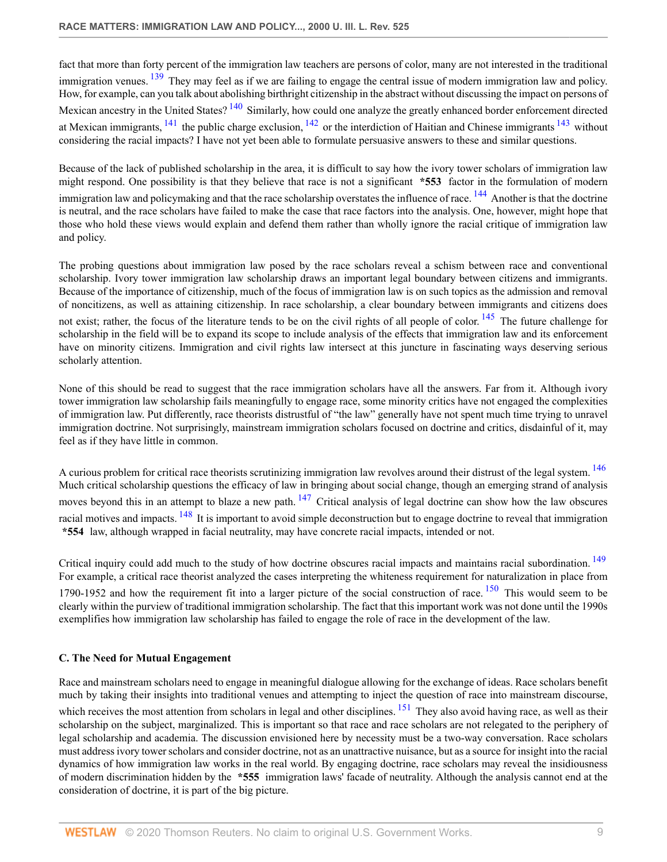<span id="page-8-1"></span><span id="page-8-0"></span>fact that more than forty percent of the immigration law teachers are persons of color, many are not interested in the traditional immigration venues. <sup>[139](#page-25-3)</sup> They may feel as if we are failing to engage the central issue of modern immigration law and policy. How, for example, can you talk about abolishing birthright citizenship in the abstract without discussing the impact on persons of Mexican ancestry in the United States? <sup>[140](#page-25-4)</sup> Similarly, how could one analyze the greatly enhanced border enforcement directed at Mexican immigrants,  $^{141}$  $^{141}$  $^{141}$  the public charge exclusion,  $^{142}$  $^{142}$  $^{142}$  or the interdiction of Haitian and Chinese immigrants  $^{143}$  $^{143}$  $^{143}$  without considering the racial impacts? I have not yet been able to formulate persuasive answers to these and similar questions.

<span id="page-8-5"></span><span id="page-8-4"></span><span id="page-8-3"></span><span id="page-8-2"></span>Because of the lack of published scholarship in the area, it is difficult to say how the ivory tower scholars of immigration law might respond. One possibility is that they believe that race is not a significant **\*553** factor in the formulation of modern immigration law and policymaking and that the race scholarship overstates the influence of race.  $^{144}$  $^{144}$  $^{144}$  Another is that the doctrine is neutral, and the race scholars have failed to make the case that race factors into the analysis. One, however, might hope that those who hold these views would explain and defend them rather than wholly ignore the racial critique of immigration law and policy.

<span id="page-8-6"></span>The probing questions about immigration law posed by the race scholars reveal a schism between race and conventional scholarship. Ivory tower immigration law scholarship draws an important legal boundary between citizens and immigrants. Because of the importance of citizenship, much of the focus of immigration law is on such topics as the admission and removal of noncitizens, as well as attaining citizenship. In race scholarship, a clear boundary between immigrants and citizens does not exist; rather, the focus of the literature tends to be on the civil rights of all people of color.  $145$  The future challenge for scholarship in the field will be to expand its scope to include analysis of the effects that immigration law and its enforcement have on minority citizens. Immigration and civil rights law intersect at this juncture in fascinating ways deserving serious scholarly attention.

None of this should be read to suggest that the race immigration scholars have all the answers. Far from it. Although ivory tower immigration law scholarship fails meaningfully to engage race, some minority critics have not engaged the complexities of immigration law. Put differently, race theorists distrustful of "the law" generally have not spent much time trying to unravel immigration doctrine. Not surprisingly, mainstream immigration scholars focused on doctrine and critics, disdainful of it, may feel as if they have little in common.

<span id="page-8-9"></span><span id="page-8-8"></span><span id="page-8-7"></span>A curious problem for critical race theorists scrutinizing immigration law revolves around their distrust of the legal system. <sup>[146](#page-25-10)</sup> Much critical scholarship questions the efficacy of law in bringing about social change, though an emerging strand of analysis moves beyond this in an attempt to blaze a new path.  $147$  Critical analysis of legal doctrine can show how the law obscures racial motives and impacts. <sup>[148](#page-25-12)</sup> It is important to avoid simple deconstruction but to engage doctrine to reveal that immigration **\*554** law, although wrapped in facial neutrality, may have concrete racial impacts, intended or not.

<span id="page-8-11"></span><span id="page-8-10"></span>Critical inquiry could add much to the study of how doctrine obscures racial impacts and maintains racial subordination. <sup>[149](#page-25-13)</sup> For example, a critical race theorist analyzed the cases interpreting the whiteness requirement for naturalization in place from 1790-1952 and how the requirement fit into a larger picture of the social construction of race.  $150$  This would seem to be clearly within the purview of traditional immigration scholarship. The fact that this important work was not done until the 1990s exemplifies how immigration law scholarship has failed to engage the role of race in the development of the law.

# **C. The Need for Mutual Engagement**

<span id="page-8-12"></span>Race and mainstream scholars need to engage in meaningful dialogue allowing for the exchange of ideas. Race scholars benefit much by taking their insights into traditional venues and attempting to inject the question of race into mainstream discourse, which receives the most attention from scholars in legal and other disciplines.  $151$  They also avoid having race, as well as their scholarship on the subject, marginalized. This is important so that race and race scholars are not relegated to the periphery of legal scholarship and academia. The discussion envisioned here by necessity must be a two-way conversation. Race scholars must address ivory tower scholars and consider doctrine, not as an unattractive nuisance, but as a source for insight into the racial dynamics of how immigration law works in the real world. By engaging doctrine, race scholars may reveal the insidiousness of modern discrimination hidden by the **\*555** immigration laws' facade of neutrality. Although the analysis cannot end at the consideration of doctrine, it is part of the big picture.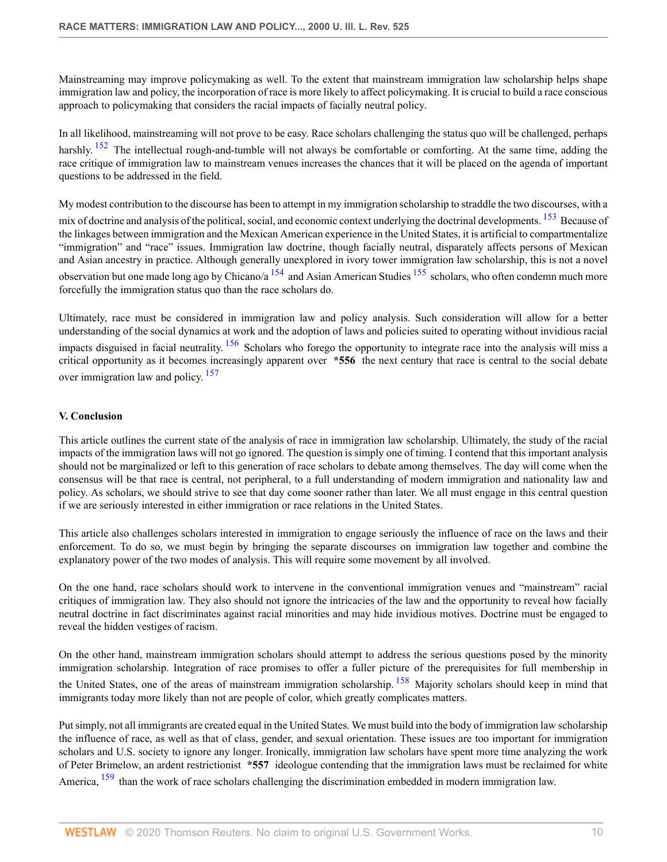Mainstreaming may improve policymaking as well. To the extent that mainstream immigration law scholarship helps shape immigration law and policy, the incorporation of race is more likely to affect policymaking. It is crucial to build a race conscious approach to policymaking that considers the racial impacts of facially neutral policy.

<span id="page-9-0"></span>In all likelihood, mainstreaming will not prove to be easy. Race scholars challenging the status quo will be challenged, perhaps harshly.  $152$  The intellectual rough-and-tumble will not always be comfortable or comforting. At the same time, adding the race critique of immigration law to mainstream venues increases the chances that it will be placed on the agenda of important questions to be addressed in the field.

<span id="page-9-1"></span>My modest contribution to the discourse has been to attempt in my immigration scholarship to straddle the two discourses, with a mix of doctrine and analysis of the political, social, and economic context underlying the doctrinal developments. <sup>[153](#page-26-2)</sup> Because of the linkages between immigration and the Mexican American experience in the United States, it is artificial to compartmentalize "immigration" and "race" issues. Immigration law doctrine, though facially neutral, disparately affects persons of Mexican and Asian ancestry in practice. Although generally unexplored in ivory tower immigration law scholarship, this is not a novel observation but one made long ago by Chicano/a  $^{154}$  $^{154}$  $^{154}$  and Asian American Studies  $^{155}$  $^{155}$  $^{155}$  scholars, who often condemn much more forcefully the immigration status quo than the race scholars do.

<span id="page-9-4"></span><span id="page-9-3"></span><span id="page-9-2"></span>Ultimately, race must be considered in immigration law and policy analysis. Such consideration will allow for a better understanding of the social dynamics at work and the adoption of laws and policies suited to operating without invidious racial impacts disguised in facial neutrality.  $\frac{156}{156}$  $\frac{156}{156}$  $\frac{156}{156}$  Scholars who forego the opportunity to integrate race into the analysis will miss a critical opportunity as it becomes increasingly apparent over **\*556** the next century that race is central to the social debate over immigration law and policy.<sup>[157](#page-26-6)</sup>

# <span id="page-9-5"></span>**V. Conclusion**

This article outlines the current state of the analysis of race in immigration law scholarship. Ultimately, the study of the racial impacts of the immigration laws will not go ignored. The question is simply one of timing. I contend that this important analysis should not be marginalized or left to this generation of race scholars to debate among themselves. The day will come when the consensus will be that race is central, not peripheral, to a full understanding of modern immigration and nationality law and policy. As scholars, we should strive to see that day come sooner rather than later. We all must engage in this central question if we are seriously interested in either immigration or race relations in the United States.

This article also challenges scholars interested in immigration to engage seriously the influence of race on the laws and their enforcement. To do so, we must begin by bringing the separate discourses on immigration law together and combine the explanatory power of the two modes of analysis. This will require some movement by all involved.

On the one hand, race scholars should work to intervene in the conventional immigration venues and "mainstream" racial critiques of immigration law. They also should not ignore the intricacies of the law and the opportunity to reveal how facially neutral doctrine in fact discriminates against racial minorities and may hide invidious motives. Doctrine must be engaged to reveal the hidden vestiges of racism.

<span id="page-9-6"></span>On the other hand, mainstream immigration scholars should attempt to address the serious questions posed by the minority immigration scholarship. Integration of race promises to offer a fuller picture of the prerequisites for full membership in the United States, one of the areas of mainstream immigration scholarship. <sup>[158](#page-26-7)</sup> Majority scholars should keep in mind that immigrants today more likely than not are people of color, which greatly complicates matters.

<span id="page-9-7"></span>Put simply, not all immigrants are created equal in the United States. We must build into the body of immigration law scholarship the influence of race, as well as that of class, gender, and sexual orientation. These issues are too important for immigration scholars and U.S. society to ignore any longer. Ironically, immigration law scholars have spent more time analyzing the work of Peter Brimelow, an ardent restrictionist **\*557** ideologue contending that the immigration laws must be reclaimed for white America, <sup>[159](#page-26-8)</sup> than the work of race scholars challenging the discrimination embedded in modern immigration law.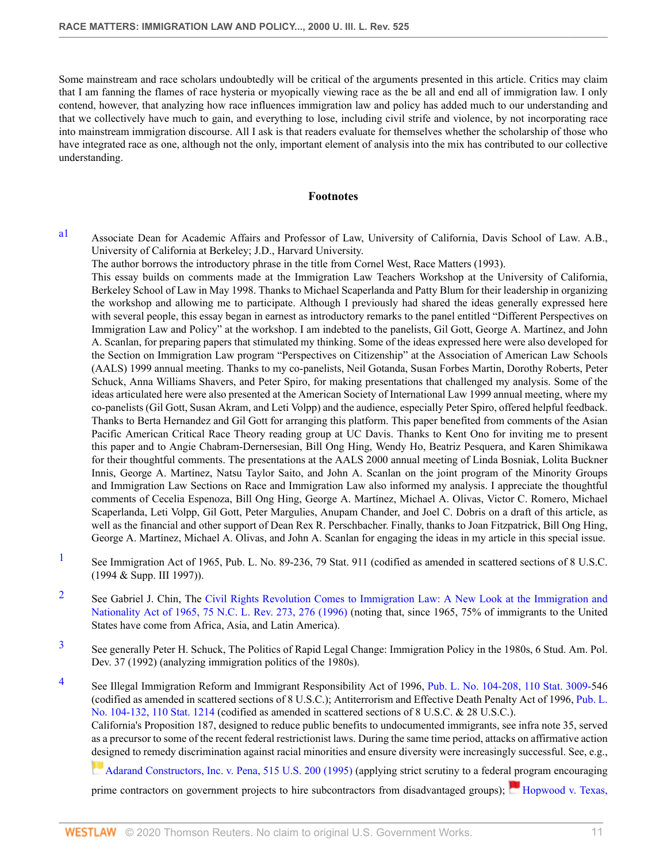Some mainstream and race scholars undoubtedly will be critical of the arguments presented in this article. Critics may claim that I am fanning the flames of race hysteria or myopically viewing race as the be all and end all of immigration law. I only contend, however, that analyzing how race influences immigration law and policy has added much to our understanding and that we collectively have much to gain, and everything to lose, including civil strife and violence, by not incorporating race into mainstream immigration discourse. All I ask is that readers evaluate for themselves whether the scholarship of those who have integrated race as one, although not the only, important element of analysis into the mix has contributed to our collective understanding.

#### **Footnotes**

<span id="page-10-0"></span>[a1](#page-0-0) Associate Dean for Academic Affairs and Professor of Law, University of California, Davis School of Law. A.B., University of California at Berkeley; J.D., Harvard University.

The author borrows the introductory phrase in the title from Cornel West, Race Matters (1993).

This essay builds on comments made at the Immigration Law Teachers Workshop at the University of California, Berkeley School of Law in May 1998. Thanks to Michael Scaperlanda and Patty Blum for their leadership in organizing the workshop and allowing me to participate. Although I previously had shared the ideas generally expressed here with several people, this essay began in earnest as introductory remarks to the panel entitled "Different Perspectives on Immigration Law and Policy" at the workshop. I am indebted to the panelists, Gil Gott, George A. Martínez, and John A. Scanlan, for preparing papers that stimulated my thinking. Some of the ideas expressed here were also developed for the Section on Immigration Law program "Perspectives on Citizenship" at the Association of American Law Schools (AALS) 1999 annual meeting. Thanks to my co-panelists, Neil Gotanda, Susan Forbes Martin, Dorothy Roberts, Peter Schuck, Anna Williams Shavers, and Peter Spiro, for making presentations that challenged my analysis. Some of the ideas articulated here were also presented at the American Society of International Law 1999 annual meeting, where my co-panelists (Gil Gott, Susan Akram, and Leti Volpp) and the audience, especially Peter Spiro, offered helpful feedback. Thanks to Berta Hernandez and Gil Gott for arranging this platform. This paper benefited from comments of the Asian Pacific American Critical Race Theory reading group at UC Davis. Thanks to Kent Ono for inviting me to present this paper and to Angie Chabram-Dernersesian, Bill Ong Hing, Wendy Ho, Beatriz Pesquera, and Karen Shimikawa for their thoughtful comments. The presentations at the AALS 2000 annual meeting of Linda Bosniak, Lolita Buckner Innis, George A. Martínez, Natsu Taylor Saito, and John A. Scanlan on the joint program of the Minority Groups and Immigration Law Sections on Race and Immigration Law also informed my analysis. I appreciate the thoughtful comments of Cecelia Espenoza, Bill Ong Hing, George A. Martínez, Michael A. Olivas, Victor C. Romero, Michael Scaperlanda, Leti Volpp, Gil Gott, Peter Margulies, Anupam Chander, and Joel C. Dobris on a draft of this article, as well as the financial and other support of Dean Rex R. Perschbacher. Finally, thanks to Joan Fitzpatrick, Bill Ong Hing, George A. Martínez, Michael A. Olivas, and John A. Scanlan for engaging the ideas in my article in this special issue.

- <span id="page-10-1"></span><sup>[1](#page-0-1)</sup> See Immigration Act of 1965, Pub. L. No. 89-236, 79 Stat. 911 (codified as amended in scattered sections of 8 U.S.C. (1994 & Supp. III 1997)).
- <span id="page-10-2"></span><sup>[2](#page-0-2)</sup> See Gabriel J. Chin, The [Civil Rights Revolution Comes to Immigration Law: A New Look at the Immigration and](http://www.westlaw.com/Link/Document/FullText?findType=Y&serNum=0107102041&pubNum=1199&originatingDoc=Icfe969814b0211dba16d88fb847e95e5&refType=LR&fi=co_pp_sp_1199_276&originationContext=document&vr=3.0&rs=cblt1.0&transitionType=DocumentItem&contextData=(sc.UserEnteredCitation)#co_pp_sp_1199_276) [Nationality Act of 1965, 75 N.C. L. Rev. 273, 276 \(1996\)](http://www.westlaw.com/Link/Document/FullText?findType=Y&serNum=0107102041&pubNum=1199&originatingDoc=Icfe969814b0211dba16d88fb847e95e5&refType=LR&fi=co_pp_sp_1199_276&originationContext=document&vr=3.0&rs=cblt1.0&transitionType=DocumentItem&contextData=(sc.UserEnteredCitation)#co_pp_sp_1199_276) (noting that, since 1965, 75% of immigrants to the United States have come from Africa, Asia, and Latin America).
- <span id="page-10-3"></span>[3](#page-0-3) See generally Peter H. Schuck, The Politics of Rapid Legal Change: Immigration Policy in the 1980s, 6 Stud. Am. Pol. Dev. 37 (1992) (analyzing immigration politics of the 1980s).
- <span id="page-10-4"></span><sup>[4](#page-0-4)</sup> See Illegal Immigration Reform and Immigrant Responsibility Act of 1996, [Pub. L. No. 104-208, 110 Stat. 3009-5](http://www.westlaw.com/Link/Document/FullText?findType=l&pubNum=1077005&cite=UUID(I747341D64B-9E4A43B3D8A-975AE78FBD0)&originatingDoc=Icfe969814b0211dba16d88fb847e95e5&refType=SL&originationContext=document&vr=3.0&rs=cblt1.0&transitionType=DocumentItem&contextData=(sc.UserEnteredCitation))46 (codified as amended in scattered sections of 8 U.S.C.); Antiterrorism and Effective Death Penalty Act of 1996, [Pub. L.](http://www.westlaw.com/Link/Document/FullText?findType=l&pubNum=1077005&cite=UUID(I197F8ECB45-7D49F884ADE-46EC6317A0A)&originatingDoc=Icfe969814b0211dba16d88fb847e95e5&refType=SL&originationContext=document&vr=3.0&rs=cblt1.0&transitionType=DocumentItem&contextData=(sc.UserEnteredCitation)) [No. 104-132, 110 Stat. 1214 \(](http://www.westlaw.com/Link/Document/FullText?findType=l&pubNum=1077005&cite=UUID(I197F8ECB45-7D49F884ADE-46EC6317A0A)&originatingDoc=Icfe969814b0211dba16d88fb847e95e5&refType=SL&originationContext=document&vr=3.0&rs=cblt1.0&transitionType=DocumentItem&contextData=(sc.UserEnteredCitation))codified as amended in scattered sections of 8 U.S.C. & 28 U.S.C.). California's Proposition 187, designed to reduce public benefits to undocumented immigrants, see infra note 35, served as a precursor to some of the recent federal restrictionist laws. During the same time period, attacks on affirmative action [des](https://1.next.westlaw.com/Link/RelatedInformation/Flag?documentGuid=I027bac5f9c4b11d991d0cc6b54f12d4d&transitionType=InlineKeyCiteFlags&originationContext=docHeaderFlag&Rank=0&contextData=(sc.UserEnteredCitation) )igned to remedy discrimination against racial minorities and ensure diversity were increasingly successful. See, e.g.,

[Adarand Constructors, Inc. v. Pena, 515 U.S. 200 \(1995\)](http://www.westlaw.com/Link/Document/FullText?findType=Y&serNum=1995125532&pubNum=780&originatingDoc=Icfe969814b0211dba16d88fb847e95e5&refType=RP&originationContext=document&vr=3.0&rs=cblt1.0&transitionType=DocumentItem&contextData=(sc.UserEnteredCitation)) (applying strict scrutiny to a federal program encouraging

prime contractors on government projects to hire subcontractors from disadvantaged groups); [Hopwood v. Texas,](http://www.westlaw.com/Link/Document/FullText?findType=Y&serNum=1996073511&pubNum=506&originatingDoc=Icfe969814b0211dba16d88fb847e95e5&refType=RP&originationContext=document&vr=3.0&rs=cblt1.0&transitionType=DocumentItem&contextData=(sc.UserEnteredCitation))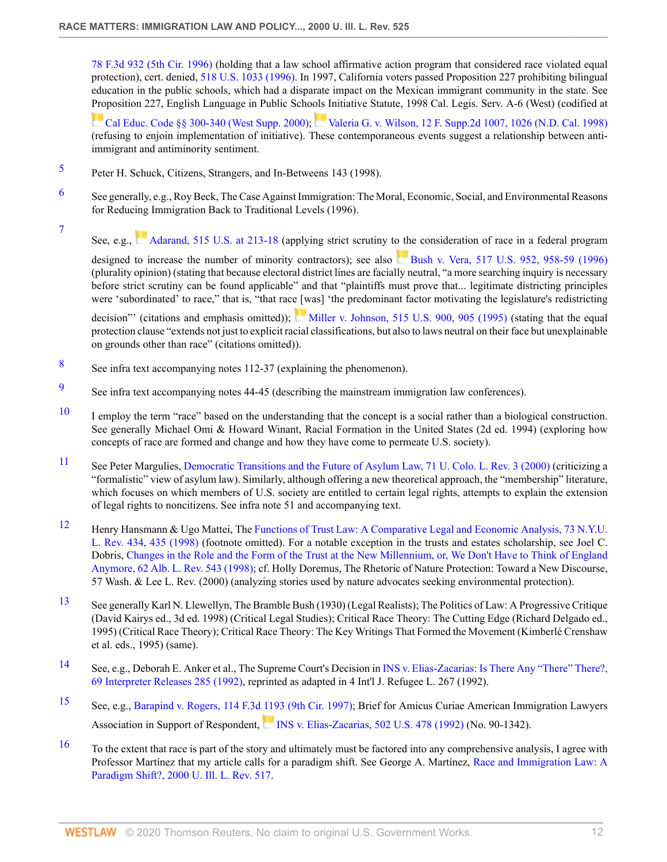[78 F.3d 932 \(5th Cir. 1996\)](http://www.westlaw.com/Link/Document/FullText?findType=Y&serNum=1996073511&pubNum=506&originatingDoc=Icfe969814b0211dba16d88fb847e95e5&refType=RP&originationContext=document&vr=3.0&rs=cblt1.0&transitionType=DocumentItem&contextData=(sc.UserEnteredCitation)) (holding that a law school affirmative action program that considered race violated equal protection), cert. denied, [518 U.S. 1033 \(1996\).](http://www.westlaw.com/Link/Document/FullText?findType=Y&pubNum=780&cite=518US1033&originatingDoc=Icfe969814b0211dba16d88fb847e95e5&refType=RP&originationContext=document&vr=3.0&rs=cblt1.0&transitionType=DocumentItem&contextData=(sc.UserEnteredCitation)) In 1997, California voters passed Proposition 227 prohibiting bilingual education in the public schools, which had a disparate impact on the Mexican immigrant community in the state. See [Pro](https://1.next.westlaw.com/Link/RelatedInformation/Flag?documentGuid=N8A716581486D11E48D1DBF63EDE82962&transitionType=InlineKeyCiteFlags&originationContext=docHeaderFlag&Rank=0&contextData=(sc.UserEnteredCitation) )position 227, English Language in Public Schools Initiative Statute, 1998 Cal. Legis. Serv. A-6 (West) (codified at

[Cal Educ. Code §§ 300](http://www.westlaw.com/Link/Document/FullText?findType=L&pubNum=1000205&cite=CAEDS300&originatingDoc=Icfe969814b0211dba16d88fb847e95e5&refType=LQ&originationContext=document&vr=3.0&rs=cblt1.0&transitionType=DocumentItem&contextData=(sc.UserEnteredCitation))[-340 \(West Supp. 2000\);](http://www.westlaw.com/Link/Document/FullText?findType=L&pubNum=1000205&cite=CAEDS340&originatingDoc=Icfe969814b0211dba16d88fb847e95e5&refType=LQ&originationContext=document&vr=3.0&rs=cblt1.0&transitionType=DocumentItem&contextData=(sc.UserEnteredCitation)) [Valeria G. v. Wilson, 12 F. Supp.2d 1007, 1026 \(N.D. Cal. 1998\)](http://www.westlaw.com/Link/Document/FullText?findType=Y&serNum=1998151220&pubNum=4637&originatingDoc=Icfe969814b0211dba16d88fb847e95e5&refType=RP&fi=co_pp_sp_4637_1026&originationContext=document&vr=3.0&rs=cblt1.0&transitionType=DocumentItem&contextData=(sc.UserEnteredCitation)#co_pp_sp_4637_1026) (refusing to enjoin implementation of initiative). These contemporaneous events suggest a relationship between antiimmigrant and antiminority sentiment.

- <span id="page-11-0"></span>[5](#page-0-5) Peter H. Schuck, Citizens, Strangers, and In-Betweens 143 (1998).
- <span id="page-11-1"></span>[6](#page-0-6) See generally, e.g., Roy Beck, The Case Against Immigration: The Moral, Economic, Social, and Environmental Reasons for Reducing Immigration Back to Traditional Levels (1996).
- <span id="page-11-2"></span>[7](#page-0-7) See, e.g., [Adarand, 515 U.S. at 213-18](http://www.westlaw.com/Link/Document/FullText?findType=Y&serNum=1995125532&pubNum=780&originatingDoc=Icfe969814b0211dba16d88fb847e95e5&refType=RP&fi=co_pp_sp_780_213&originationContext=document&vr=3.0&rs=cblt1.0&transitionType=DocumentItem&contextData=(sc.UserEnteredCitation)#co_pp_sp_780_213) (applying strict scrutiny to the consideration of race in a federal program

designed to increase the number of minority contractors); see also [Bush v. Vera, 517 U.S. 952, 958-59 \(1996\)](http://www.westlaw.com/Link/Document/FullText?findType=Y&serNum=1996134859&pubNum=780&originatingDoc=Icfe969814b0211dba16d88fb847e95e5&refType=RP&fi=co_pp_sp_780_958&originationContext=document&vr=3.0&rs=cblt1.0&transitionType=DocumentItem&contextData=(sc.UserEnteredCitation)#co_pp_sp_780_958) (plurality opinion) (stating that because electoral district lines are facially neutral, "a more searching inquiry is necessary before strict scrutiny can be found applicable" and that "plaintiffs must prove that... legitimate districting principles were 'subordinated' to race," that is, "that race [was] 'the predominant factor motivating the legislature's redistricting

decision"' (citations and emphasis omitted)); [Miller v. Johnson, 515 U.S. 900, 905 \(1995\)](http://www.westlaw.com/Link/Document/FullText?findType=Y&serNum=1995137594&pubNum=780&originatingDoc=Icfe969814b0211dba16d88fb847e95e5&refType=RP&fi=co_pp_sp_780_905&originationContext=document&vr=3.0&rs=cblt1.0&transitionType=DocumentItem&contextData=(sc.UserEnteredCitation)#co_pp_sp_780_905) (stating that the equal protection clause "extends not just to explicit racial classifications, but also to laws neutral on their face but unexplainable on grounds other than race" (citations omitted)).

- <span id="page-11-3"></span>[8](#page-0-8) See infra text accompanying notes 112-37 (explaining the phenomenon).
- <span id="page-11-4"></span>[9](#page-1-0) See infra text accompanying notes 44-45 (describing the mainstream immigration law conferences).
- <span id="page-11-5"></span>[10](#page-1-1) I employ the term "race" based on the understanding that the concept is a social rather than a biological construction. See generally Michael Omi & Howard Winant, Racial Formation in the United States (2d ed. 1994) (exploring how concepts of race are formed and change and how they have come to permeate U.S. society).
- <span id="page-11-6"></span>[11](#page-1-2) See Peter Margulies, [Democratic Transitions and the Future of Asylum Law, 71 U. Colo. L. Rev. 3 \(2000\)](http://www.westlaw.com/Link/Document/FullText?findType=Y&serNum=0113271763&pubNum=1260&originatingDoc=Icfe969814b0211dba16d88fb847e95e5&refType=LR&originationContext=document&vr=3.0&rs=cblt1.0&transitionType=DocumentItem&contextData=(sc.UserEnteredCitation)) (criticizing a "formalistic" view of asylum law). Similarly, although offering a new theoretical approach, the "membership" literature, which focuses on which members of U.S. society are entitled to certain legal rights, attempts to explain the extension of legal rights to noncitizens. See infra note 51 and accompanying text.
- <span id="page-11-7"></span>[12](#page-1-3) Henry Hansmann & Ugo Mattei, The [Functions of Trust Law: A Comparative Legal and Economic Analysis, 73 N.Y.U.](http://www.westlaw.com/Link/Document/FullText?findType=Y&serNum=0108818759&pubNum=1206&originatingDoc=Icfe969814b0211dba16d88fb847e95e5&refType=LR&fi=co_pp_sp_1206_435&originationContext=document&vr=3.0&rs=cblt1.0&transitionType=DocumentItem&contextData=(sc.UserEnteredCitation)#co_pp_sp_1206_435) [L. Rev. 434, 435 \(1998\)](http://www.westlaw.com/Link/Document/FullText?findType=Y&serNum=0108818759&pubNum=1206&originatingDoc=Icfe969814b0211dba16d88fb847e95e5&refType=LR&fi=co_pp_sp_1206_435&originationContext=document&vr=3.0&rs=cblt1.0&transitionType=DocumentItem&contextData=(sc.UserEnteredCitation)#co_pp_sp_1206_435) (footnote omitted). For a notable exception in the trusts and estates scholarship, see Joel C. Dobris, [Changes in the Role and the Form of the Trust at the New Millennium, or, We Don't Have to Think of England](http://www.westlaw.com/Link/Document/FullText?findType=Y&serNum=0110317066&pubNum=3105&originatingDoc=Icfe969814b0211dba16d88fb847e95e5&refType=LR&originationContext=document&vr=3.0&rs=cblt1.0&transitionType=DocumentItem&contextData=(sc.UserEnteredCitation)) [Anymore, 62 Alb. L. Rev. 543 \(1998\);](http://www.westlaw.com/Link/Document/FullText?findType=Y&serNum=0110317066&pubNum=3105&originatingDoc=Icfe969814b0211dba16d88fb847e95e5&refType=LR&originationContext=document&vr=3.0&rs=cblt1.0&transitionType=DocumentItem&contextData=(sc.UserEnteredCitation)) cf. Holly Doremus, The Rhetoric of Nature Protection: Toward a New Discourse, 57 Wash. & Lee L. Rev. (2000) (analyzing stories used by nature advocates seeking environmental protection).
- <span id="page-11-8"></span>[13](#page-1-4) See generally Karl N. Llewellyn, The Bramble Bush (1930) (Legal Realists); The Politics of Law: A Progressive Critique (David Kairys ed., 3d ed. 1998) (Critical Legal Studies); Critical Race Theory: The Cutting Edge (Richard Delgado ed., 1995) (Critical Race Theory); Critical Race Theory: The Key Writings That Formed the Movement (Kimberlé Crenshaw et al. eds., 1995) (same).
- <span id="page-11-9"></span>[14](#page-1-5) See, e.g., Deborah E. Anker et al., The Supreme Court's Decision in [INS v. Elias-Zacarias: Is There Any "There" There?,](http://www.westlaw.com/Link/Document/FullText?findType=Y&serNum=0116487990&pubNum=129431&originatingDoc=Icfe969814b0211dba16d88fb847e95e5&refType=LR&originationContext=document&vr=3.0&rs=cblt1.0&transitionType=DocumentItem&contextData=(sc.UserEnteredCitation)) [69 Interpreter Releases 285 \(1992\),](http://www.westlaw.com/Link/Document/FullText?findType=Y&serNum=0116487990&pubNum=129431&originatingDoc=Icfe969814b0211dba16d88fb847e95e5&refType=LR&originationContext=document&vr=3.0&rs=cblt1.0&transitionType=DocumentItem&contextData=(sc.UserEnteredCitation)) reprinted as adapted in 4 Int'l J. Refugee L. 267 (1992).
- <span id="page-11-10"></span>[15](#page-1-6) See, e.g., [Barapind v. Rogers, 114 F.3d 1193 \(9th Cir. 1997\);](http://www.westlaw.com/Link/Document/FullText?findType=Y&serNum=1997113967&pubNum=506&originatingDoc=Icfe969814b0211dba16d88fb847e95e5&refType=RP&originationContext=document&vr=3.0&rs=cblt1.0&transitionType=DocumentItem&contextData=(sc.UserEnteredCitation)) Brief for Amicus Curiae American Immigration Lawyers Associationin Support of Respondent, [INS v. Elias-Zacarias, 502 U.S. 478 \(1992\)](http://www.westlaw.com/Link/Document/FullText?findType=Y&serNum=1992027349&pubNum=780&originatingDoc=Icfe969814b0211dba16d88fb847e95e5&refType=RP&originationContext=document&vr=3.0&rs=cblt1.0&transitionType=DocumentItem&contextData=(sc.UserEnteredCitation)) (No. 90-1342).
- <span id="page-11-11"></span>[16](#page-1-7) To the extent that race is part of the story and ultimately must be factored into any comprehensive analysis, I agree with Professor Martínez that my article calls for a paradigm shift. See George A. Martínez, [Race and Immigration Law: A](http://www.westlaw.com/Link/Document/FullText?findType=Y&serNum=0281956433&pubNum=1264&originatingDoc=Icfe969814b0211dba16d88fb847e95e5&refType=LR&originationContext=document&vr=3.0&rs=cblt1.0&transitionType=DocumentItem&contextData=(sc.UserEnteredCitation)) [Paradigm Shift?, 2000 U. Ill. L. Rev. 517.](http://www.westlaw.com/Link/Document/FullText?findType=Y&serNum=0281956433&pubNum=1264&originatingDoc=Icfe969814b0211dba16d88fb847e95e5&refType=LR&originationContext=document&vr=3.0&rs=cblt1.0&transitionType=DocumentItem&contextData=(sc.UserEnteredCitation))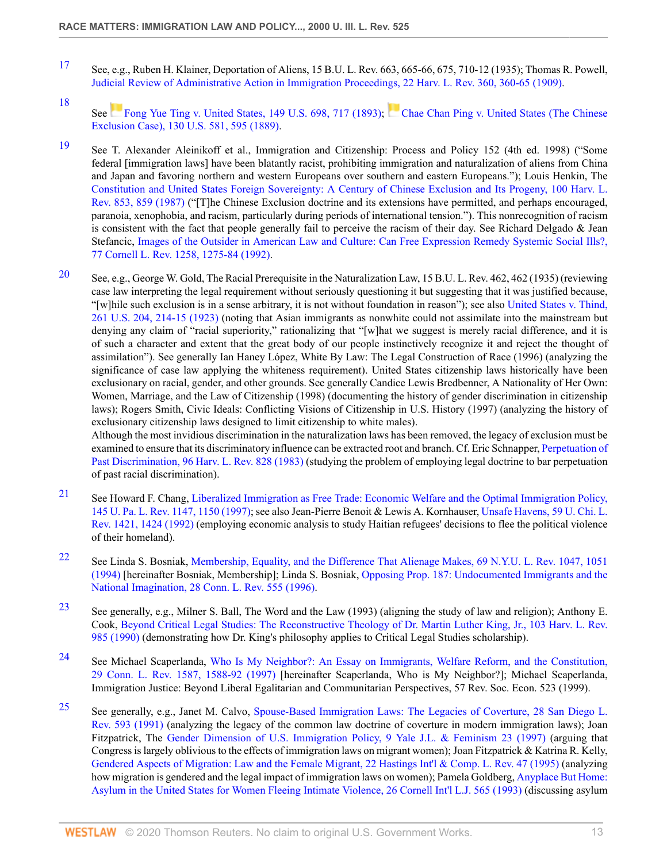- <span id="page-12-0"></span>[17](#page-1-8) See, e.g., Ruben H. Klainer, Deportation of Aliens, 15 B.U. L. Rev. 663, 665-66, 675, 710-12 (1935); Thomas R. Powell, [Judicial Review of Administrative Action in Immigration Proceedings, 22 Harv. L. Rev. 360, 360-65 \(1909\).](http://www.westlaw.com/Link/Document/FullText?findType=Y&serNum=0344765634&pubNum=3084&originatingDoc=Icfe969814b0211dba16d88fb847e95e5&refType=LR&fi=co_pp_sp_3084_360&originationContext=document&vr=3.0&rs=cblt1.0&transitionType=DocumentItem&contextData=(sc.UserEnteredCitation)#co_pp_sp_3084_360)
- <span id="page-12-1"></span>[18](#page-1-9) See [Fong Yue Ting v. United States, 149 U.S. 698, 717 \(1893\)](http://www.westlaw.com/Link/Document/FullText?findType=Y&serNum=1893180034&pubNum=780&originatingDoc=Icfe969814b0211dba16d88fb847e95e5&refType=RP&fi=co_pp_sp_780_717&originationContext=document&vr=3.0&rs=cblt1.0&transitionType=DocumentItem&contextData=(sc.UserEnteredCitation)#co_pp_sp_780_717); [Chae Chan Ping v. United States \(The Chinese](http://www.westlaw.com/Link/Document/FullText?findType=Y&serNum=1889180091&pubNum=780&originatingDoc=Icfe969814b0211dba16d88fb847e95e5&refType=RP&fi=co_pp_sp_780_595&originationContext=document&vr=3.0&rs=cblt1.0&transitionType=DocumentItem&contextData=(sc.UserEnteredCitation)#co_pp_sp_780_595) [Exclusion Case\), 130 U.S. 581, 595 \(1889\)](http://www.westlaw.com/Link/Document/FullText?findType=Y&serNum=1889180091&pubNum=780&originatingDoc=Icfe969814b0211dba16d88fb847e95e5&refType=RP&fi=co_pp_sp_780_595&originationContext=document&vr=3.0&rs=cblt1.0&transitionType=DocumentItem&contextData=(sc.UserEnteredCitation)#co_pp_sp_780_595).
- <span id="page-12-2"></span>[19](#page-1-10) See T. Alexander Aleinikoff et al., Immigration and Citizenship: Process and Policy 152 (4th ed. 1998) ("Some federal [immigration laws] have been blatantly racist, prohibiting immigration and naturalization of aliens from China and Japan and favoring northern and western Europeans over southern and eastern Europeans."); Louis Henkin, The [Constitution and United States Foreign Sovereignty: A Century of Chinese Exclusion and Its Progeny, 100 Harv. L.](http://www.westlaw.com/Link/Document/FullText?findType=Y&serNum=0102054538&pubNum=3084&originatingDoc=Icfe969814b0211dba16d88fb847e95e5&refType=LR&fi=co_pp_sp_3084_859&originationContext=document&vr=3.0&rs=cblt1.0&transitionType=DocumentItem&contextData=(sc.UserEnteredCitation)#co_pp_sp_3084_859) [Rev. 853, 859 \(1987\)](http://www.westlaw.com/Link/Document/FullText?findType=Y&serNum=0102054538&pubNum=3084&originatingDoc=Icfe969814b0211dba16d88fb847e95e5&refType=LR&fi=co_pp_sp_3084_859&originationContext=document&vr=3.0&rs=cblt1.0&transitionType=DocumentItem&contextData=(sc.UserEnteredCitation)#co_pp_sp_3084_859) ("[T]he Chinese Exclusion doctrine and its extensions have permitted, and perhaps encouraged, paranoia, xenophobia, and racism, particularly during periods of international tension."). This nonrecognition of racism is consistent with the fact that people generally fail to perceive the racism of their day. See Richard Delgado  $\&$  Jean Stefancic, [Images of the Outsider in American Law and Culture: Can Free Expression Remedy Systemic Social Ills?,](http://www.westlaw.com/Link/Document/FullText?findType=Y&serNum=0102729521&pubNum=1111&originatingDoc=Icfe969814b0211dba16d88fb847e95e5&refType=LR&fi=co_pp_sp_1111_1275&originationContext=document&vr=3.0&rs=cblt1.0&transitionType=DocumentItem&contextData=(sc.UserEnteredCitation)#co_pp_sp_1111_1275) [77 Cornell L. Rev. 1258, 1275-84 \(1992\)](http://www.westlaw.com/Link/Document/FullText?findType=Y&serNum=0102729521&pubNum=1111&originatingDoc=Icfe969814b0211dba16d88fb847e95e5&refType=LR&fi=co_pp_sp_1111_1275&originationContext=document&vr=3.0&rs=cblt1.0&transitionType=DocumentItem&contextData=(sc.UserEnteredCitation)#co_pp_sp_1111_1275).
- <span id="page-12-3"></span>[20](#page-1-11) See, e.g., George W. Gold, The Racial Prerequisite in the Naturalization Law, 15 B.U. L. Rev. 462, 462 (1935) (reviewing case law interpreting the legal requirement without seriously questioning it but suggesting that it was justified because, "[w]hile such exclusion is in a sense arbitrary, it is not without foundation in reason"); see also [United States v. Thind,](http://www.westlaw.com/Link/Document/FullText?findType=Y&serNum=1923123496&pubNum=780&originatingDoc=Icfe969814b0211dba16d88fb847e95e5&refType=RP&fi=co_pp_sp_780_214&originationContext=document&vr=3.0&rs=cblt1.0&transitionType=DocumentItem&contextData=(sc.UserEnteredCitation)#co_pp_sp_780_214) [261 U.S. 204, 214-15 \(1923\)](http://www.westlaw.com/Link/Document/FullText?findType=Y&serNum=1923123496&pubNum=780&originatingDoc=Icfe969814b0211dba16d88fb847e95e5&refType=RP&fi=co_pp_sp_780_214&originationContext=document&vr=3.0&rs=cblt1.0&transitionType=DocumentItem&contextData=(sc.UserEnteredCitation)#co_pp_sp_780_214) (noting that Asian immigrants as nonwhite could not assimilate into the mainstream but denying any claim of "racial superiority," rationalizing that "[w]hat we suggest is merely racial difference, and it is of such a character and extent that the great body of our people instinctively recognize it and reject the thought of assimilation"). See generally Ian Haney López, White By Law: The Legal Construction of Race (1996) (analyzing the significance of case law applying the whiteness requirement). United States citizenship laws historically have been exclusionary on racial, gender, and other grounds. See generally Candice Lewis Bredbenner, A Nationality of Her Own: Women, Marriage, and the Law of Citizenship (1998) (documenting the history of gender discrimination in citizenship laws); Rogers Smith, Civic Ideals: Conflicting Visions of Citizenship in U.S. History (1997) (analyzing the history of exclusionary citizenship laws designed to limit citizenship to white males). Although the most invidious discrimination in the naturalization laws has been removed, the legacy of exclusion must be

examined to ensure that its discriminatory influence can be extracted root and branch. Cf. Eric Schnapper, [Perpetuation of](http://www.westlaw.com/Link/Document/FullText?findType=Y&serNum=0101322179&pubNum=3084&originatingDoc=Icfe969814b0211dba16d88fb847e95e5&refType=LR&originationContext=document&vr=3.0&rs=cblt1.0&transitionType=DocumentItem&contextData=(sc.UserEnteredCitation)) [Past Discrimination, 96 Harv. L. Rev. 828 \(1983\)](http://www.westlaw.com/Link/Document/FullText?findType=Y&serNum=0101322179&pubNum=3084&originatingDoc=Icfe969814b0211dba16d88fb847e95e5&refType=LR&originationContext=document&vr=3.0&rs=cblt1.0&transitionType=DocumentItem&contextData=(sc.UserEnteredCitation)) (studying the problem of employing legal doctrine to bar perpetuation of past racial discrimination).

- <span id="page-12-4"></span>[21](#page-1-12) See Howard F. Chang, [Liberalized Immigration as Free Trade: Economic Welfare and the Optimal Immigration Policy,](http://www.westlaw.com/Link/Document/FullText?findType=Y&serNum=0108033995&pubNum=1268&originatingDoc=Icfe969814b0211dba16d88fb847e95e5&refType=LR&fi=co_pp_sp_1268_1150&originationContext=document&vr=3.0&rs=cblt1.0&transitionType=DocumentItem&contextData=(sc.UserEnteredCitation)#co_pp_sp_1268_1150) [145 U. Pa. L. Rev. 1147, 1150 \(1997\)](http://www.westlaw.com/Link/Document/FullText?findType=Y&serNum=0108033995&pubNum=1268&originatingDoc=Icfe969814b0211dba16d88fb847e95e5&refType=LR&fi=co_pp_sp_1268_1150&originationContext=document&vr=3.0&rs=cblt1.0&transitionType=DocumentItem&contextData=(sc.UserEnteredCitation)#co_pp_sp_1268_1150); see also Jean-Pierre Benoit & Lewis A. Kornhauser, [Unsafe Havens, 59 U. Chi. L.](http://www.westlaw.com/Link/Document/FullText?findType=Y&serNum=0102877017&pubNum=3039&originatingDoc=Icfe969814b0211dba16d88fb847e95e5&refType=LR&fi=co_pp_sp_3039_1424&originationContext=document&vr=3.0&rs=cblt1.0&transitionType=DocumentItem&contextData=(sc.UserEnteredCitation)#co_pp_sp_3039_1424) [Rev. 1421, 1424 \(1992\)](http://www.westlaw.com/Link/Document/FullText?findType=Y&serNum=0102877017&pubNum=3039&originatingDoc=Icfe969814b0211dba16d88fb847e95e5&refType=LR&fi=co_pp_sp_3039_1424&originationContext=document&vr=3.0&rs=cblt1.0&transitionType=DocumentItem&contextData=(sc.UserEnteredCitation)#co_pp_sp_3039_1424) (employing economic analysis to study Haitian refugees' decisions to flee the political violence of their homeland).
- <span id="page-12-5"></span>[22](#page-1-13) See Linda S. Bosniak, [Membership, Equality, and the Difference That Alienage Makes, 69 N.Y.U. L. Rev. 1047, 1051](http://www.westlaw.com/Link/Document/FullText?findType=Y&serNum=0105532494&pubNum=1206&originatingDoc=Icfe969814b0211dba16d88fb847e95e5&refType=LR&fi=co_pp_sp_1206_1051&originationContext=document&vr=3.0&rs=cblt1.0&transitionType=DocumentItem&contextData=(sc.UserEnteredCitation)#co_pp_sp_1206_1051) [\(1994\)](http://www.westlaw.com/Link/Document/FullText?findType=Y&serNum=0105532494&pubNum=1206&originatingDoc=Icfe969814b0211dba16d88fb847e95e5&refType=LR&fi=co_pp_sp_1206_1051&originationContext=document&vr=3.0&rs=cblt1.0&transitionType=DocumentItem&contextData=(sc.UserEnteredCitation)#co_pp_sp_1206_1051) [hereinafter Bosniak, Membership]; Linda S. Bosniak, [Opposing Prop. 187: Undocumented Immigrants and the](http://www.westlaw.com/Link/Document/FullText?findType=Y&serNum=0106945004&pubNum=2276&originatingDoc=Icfe969814b0211dba16d88fb847e95e5&refType=LR&originationContext=document&vr=3.0&rs=cblt1.0&transitionType=DocumentItem&contextData=(sc.UserEnteredCitation)) [National Imagination, 28 Conn. L. Rev. 555 \(1996\)](http://www.westlaw.com/Link/Document/FullText?findType=Y&serNum=0106945004&pubNum=2276&originatingDoc=Icfe969814b0211dba16d88fb847e95e5&refType=LR&originationContext=document&vr=3.0&rs=cblt1.0&transitionType=DocumentItem&contextData=(sc.UserEnteredCitation)).
- <span id="page-12-6"></span>[23](#page-1-14) See generally, e.g., Milner S. Ball, The Word and the Law (1993) (aligning the study of law and religion); Anthony E. Cook, [Beyond Critical Legal Studies: The Reconstructive Theology of Dr. Martin Luther King, Jr., 103 Harv. L. Rev.](http://www.westlaw.com/Link/Document/FullText?findType=Y&serNum=0101203383&pubNum=3084&originatingDoc=Icfe969814b0211dba16d88fb847e95e5&refType=LR&originationContext=document&vr=3.0&rs=cblt1.0&transitionType=DocumentItem&contextData=(sc.UserEnteredCitation)) [985 \(1990\)](http://www.westlaw.com/Link/Document/FullText?findType=Y&serNum=0101203383&pubNum=3084&originatingDoc=Icfe969814b0211dba16d88fb847e95e5&refType=LR&originationContext=document&vr=3.0&rs=cblt1.0&transitionType=DocumentItem&contextData=(sc.UserEnteredCitation)) (demonstrating how Dr. King's philosophy applies to Critical Legal Studies scholarship).
- <span id="page-12-7"></span>[24](#page-1-15) See Michael Scaperlanda, [Who Is My Neighbor?: An Essay on Immigrants, Welfare Reform, and the Constitution,](http://www.westlaw.com/Link/Document/FullText?findType=Y&serNum=0108647166&pubNum=2276&originatingDoc=Icfe969814b0211dba16d88fb847e95e5&refType=LR&fi=co_pp_sp_2276_1588&originationContext=document&vr=3.0&rs=cblt1.0&transitionType=DocumentItem&contextData=(sc.UserEnteredCitation)#co_pp_sp_2276_1588) [29 Conn. L. Rev. 1587, 1588-92 \(1997\)](http://www.westlaw.com/Link/Document/FullText?findType=Y&serNum=0108647166&pubNum=2276&originatingDoc=Icfe969814b0211dba16d88fb847e95e5&refType=LR&fi=co_pp_sp_2276_1588&originationContext=document&vr=3.0&rs=cblt1.0&transitionType=DocumentItem&contextData=(sc.UserEnteredCitation)#co_pp_sp_2276_1588) [hereinafter Scaperlanda, Who is My Neighbor?]; Michael Scaperlanda, Immigration Justice: Beyond Liberal Egalitarian and Communitarian Perspectives, 57 Rev. Soc. Econ. 523 (1999).
- <span id="page-12-8"></span>[25](#page-1-16) See generally, e.g., Janet M. Calvo, [Spouse-Based Immigration Laws: The Legacies of Coverture, 28 San Diego L.](http://www.westlaw.com/Link/Document/FullText?findType=Y&serNum=0102844281&pubNum=1232&originatingDoc=Icfe969814b0211dba16d88fb847e95e5&refType=LR&originationContext=document&vr=3.0&rs=cblt1.0&transitionType=DocumentItem&contextData=(sc.UserEnteredCitation)) [Rev. 593 \(1991\)](http://www.westlaw.com/Link/Document/FullText?findType=Y&serNum=0102844281&pubNum=1232&originatingDoc=Icfe969814b0211dba16d88fb847e95e5&refType=LR&originationContext=document&vr=3.0&rs=cblt1.0&transitionType=DocumentItem&contextData=(sc.UserEnteredCitation)) (analyzing the legacy of the common law doctrine of coverture in modern immigration laws); Joan Fitzpatrick, The [Gender Dimension of U.S. Immigration Policy, 9 Yale J.L. & Feminism 23 \(1997\)](http://www.westlaw.com/Link/Document/FullText?findType=Y&serNum=0108522753&pubNum=100136&originatingDoc=Icfe969814b0211dba16d88fb847e95e5&refType=LR&originationContext=document&vr=3.0&rs=cblt1.0&transitionType=DocumentItem&contextData=(sc.UserEnteredCitation)) (arguing that Congress is largely oblivious to the effects of immigration laws on migrant women); Joan Fitzpatrick & Katrina R. Kelly, [Gendered Aspects of Migration: Law and the Female Migrant, 22 Hastings Int'l & Comp. L. Rev. 47 \(1995\)](http://www.westlaw.com/Link/Document/FullText?findType=Y&serNum=0111339751&pubNum=1158&originatingDoc=Icfe969814b0211dba16d88fb847e95e5&refType=LR&originationContext=document&vr=3.0&rs=cblt1.0&transitionType=DocumentItem&contextData=(sc.UserEnteredCitation)) (analyzing how migration is gendered and the legal impact of immigration laws on women); Pamela Goldberg, [Anyplace But Home:](http://www.westlaw.com/Link/Document/FullText?findType=Y&serNum=0103371194&pubNum=1110&originatingDoc=Icfe969814b0211dba16d88fb847e95e5&refType=LR&originationContext=document&vr=3.0&rs=cblt1.0&transitionType=DocumentItem&contextData=(sc.UserEnteredCitation)) [Asylum in the United States for Women Fleeing Intimate Violence, 26 Cornell Int'l L.J. 565 \(1993\)](http://www.westlaw.com/Link/Document/FullText?findType=Y&serNum=0103371194&pubNum=1110&originatingDoc=Icfe969814b0211dba16d88fb847e95e5&refType=LR&originationContext=document&vr=3.0&rs=cblt1.0&transitionType=DocumentItem&contextData=(sc.UserEnteredCitation)) (discussing asylum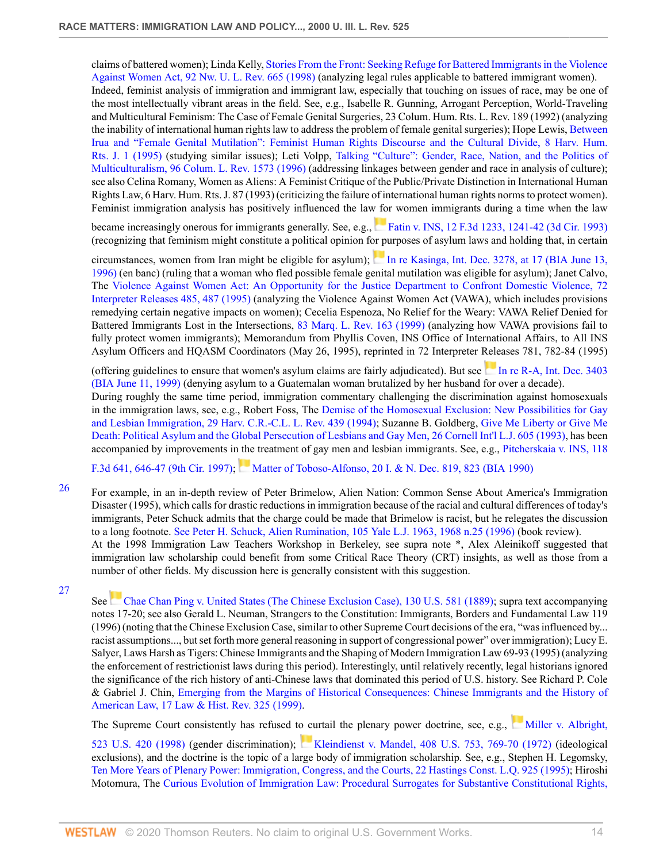claims of battered women); Linda Kelly, [Stories From the Front: Seeking Refuge for Battered Immigrants in the Violence](http://www.westlaw.com/Link/Document/FullText?findType=Y&serNum=0108786925&pubNum=1214&originatingDoc=Icfe969814b0211dba16d88fb847e95e5&refType=LR&originationContext=document&vr=3.0&rs=cblt1.0&transitionType=DocumentItem&contextData=(sc.UserEnteredCitation)) [Against Women Act, 92 Nw. U. L. Rev. 665 \(1998\)](http://www.westlaw.com/Link/Document/FullText?findType=Y&serNum=0108786925&pubNum=1214&originatingDoc=Icfe969814b0211dba16d88fb847e95e5&refType=LR&originationContext=document&vr=3.0&rs=cblt1.0&transitionType=DocumentItem&contextData=(sc.UserEnteredCitation)) (analyzing legal rules applicable to battered immigrant women). Indeed, feminist analysis of immigration and immigrant law, especially that touching on issues of race, may be one of the most intellectually vibrant areas in the field. See, e.g., Isabelle R. Gunning, Arrogant Perception, World-Traveling and Multicultural Feminism: The Case of Female Genital Surgeries, 23 Colum. Hum. Rts. L. Rev. 189 (1992) (analyzing the inability of international human rights law to address the problem of female genital surgeries); Hope Lewis, [Between](http://www.westlaw.com/Link/Document/FullText?findType=Y&serNum=0105510043&pubNum=100479&originatingDoc=Icfe969814b0211dba16d88fb847e95e5&refType=LR&originationContext=document&vr=3.0&rs=cblt1.0&transitionType=DocumentItem&contextData=(sc.UserEnteredCitation)) [Irua and "Female Genital Mutilation": Feminist Human Rights Discourse and the Cultural Divide, 8 Harv. Hum.](http://www.westlaw.com/Link/Document/FullText?findType=Y&serNum=0105510043&pubNum=100479&originatingDoc=Icfe969814b0211dba16d88fb847e95e5&refType=LR&originationContext=document&vr=3.0&rs=cblt1.0&transitionType=DocumentItem&contextData=(sc.UserEnteredCitation)) [Rts. J. 1 \(1995\)](http://www.westlaw.com/Link/Document/FullText?findType=Y&serNum=0105510043&pubNum=100479&originatingDoc=Icfe969814b0211dba16d88fb847e95e5&refType=LR&originationContext=document&vr=3.0&rs=cblt1.0&transitionType=DocumentItem&contextData=(sc.UserEnteredCitation)) (studying similar issues); Leti Volpp, [Talking "Culture": Gender, Race, Nation, and the Politics of](http://www.westlaw.com/Link/Document/FullText?findType=Y&serNum=0107018454&pubNum=3050&originatingDoc=Icfe969814b0211dba16d88fb847e95e5&refType=LR&originationContext=document&vr=3.0&rs=cblt1.0&transitionType=DocumentItem&contextData=(sc.UserEnteredCitation)) [Multiculturalism, 96 Colum. L. Rev. 1573 \(1996\)](http://www.westlaw.com/Link/Document/FullText?findType=Y&serNum=0107018454&pubNum=3050&originatingDoc=Icfe969814b0211dba16d88fb847e95e5&refType=LR&originationContext=document&vr=3.0&rs=cblt1.0&transitionType=DocumentItem&contextData=(sc.UserEnteredCitation)) (addressing linkages between gender and race in analysis of culture); see also Celina Romany, Women as Aliens: A Feminist Critique of the Public/Private Distinction in International Human Rights Law, 6 Harv. Hum. Rts. J. 87 (1993) (criticizing the failure of international human rights norms to protect women). Feminist immigration analysis has positively influenced the law for women immigrants during a time when the law

became increasingly onerous for immigrants generally. See, e.g., [Fatin v. INS, 12 F.3d 1233, 1241-42 \(3d Cir. 1993\)](http://www.westlaw.com/Link/Document/FullText?findType=Y&serNum=1993237255&pubNum=506&originatingDoc=Icfe969814b0211dba16d88fb847e95e5&refType=RP&fi=co_pp_sp_506_1241&originationContext=document&vr=3.0&rs=cblt1.0&transitionType=DocumentItem&contextData=(sc.UserEnteredCitation)#co_pp_sp_506_1241) (recognizing that feminism might constitute a political opinion for purposes of asylum laws and holding that, in certain

circumstances, women from Iran might be eligible for asylum); [In re Kasinga, Int. Dec. 3278, at 17 \(BIA June 13,](http://www.westlaw.com/Link/Document/FullText?findType=Y&serNum=1996286968&pubNum=0001651&originatingDoc=Icfe969814b0211dba16d88fb847e95e5&refType=CA&originationContext=document&vr=3.0&rs=cblt1.0&transitionType=DocumentItem&contextData=(sc.UserEnteredCitation)) [1996\)](http://www.westlaw.com/Link/Document/FullText?findType=Y&serNum=1996286968&pubNum=0001651&originatingDoc=Icfe969814b0211dba16d88fb847e95e5&refType=CA&originationContext=document&vr=3.0&rs=cblt1.0&transitionType=DocumentItem&contextData=(sc.UserEnteredCitation)) (en banc) (ruling that a woman who fled possible female genital mutilation was eligible for asylum); Janet Calvo, The [Violence Against Women Act: An Opportunity for the Justice Department to Confront Domestic Violence, 72](http://www.westlaw.com/Link/Document/FullText?findType=Y&serNum=0116477915&pubNum=129431&originatingDoc=Icfe969814b0211dba16d88fb847e95e5&refType=LR&fi=co_pp_sp_129431_487&originationContext=document&vr=3.0&rs=cblt1.0&transitionType=DocumentItem&contextData=(sc.UserEnteredCitation)#co_pp_sp_129431_487) [Interpreter Releases 485, 487 \(1995\)](http://www.westlaw.com/Link/Document/FullText?findType=Y&serNum=0116477915&pubNum=129431&originatingDoc=Icfe969814b0211dba16d88fb847e95e5&refType=LR&fi=co_pp_sp_129431_487&originationContext=document&vr=3.0&rs=cblt1.0&transitionType=DocumentItem&contextData=(sc.UserEnteredCitation)#co_pp_sp_129431_487) (analyzing the Violence Against Women Act (VAWA), which includes provisions remedying certain negative impacts on women); Cecelia Espenoza, No Relief for the Weary: VAWA Relief Denied for Battered Immigrants Lost in the Intersections, [83 Marq. L. Rev. 163 \(1999\)](http://www.westlaw.com/Link/Document/FullText?findType=Y&serNum=0112938768&pubNum=1186&originatingDoc=Icfe969814b0211dba16d88fb847e95e5&refType=LR&originationContext=document&vr=3.0&rs=cblt1.0&transitionType=DocumentItem&contextData=(sc.UserEnteredCitation)) (analyzing how VAWA provisions fail to fully protect women immigrants); Memorandum from Phyllis Coven, INS Office of International Affairs, to All INS Asylum Officers and HQASM Coordinators (May 26, 1995), reprinted in 72 Interpreter Releases 781, 782-84 (1995)

(offering guidelines to ensure that women's asylum claims are fairly adjudicated). But see In re R-A, Int. Dec.  $3403$ [\(BIA June 11, 1999\)](http://www.westlaw.com/Link/Document/FullText?findType=Y&serNum=2002095738&pubNum=0001651&originatingDoc=Icfe969814b0211dba16d88fb847e95e5&refType=CA&originationContext=document&vr=3.0&rs=cblt1.0&transitionType=DocumentItem&contextData=(sc.UserEnteredCitation)) (denying asylum to a Guatemalan woman brutalized by her husband for over a decade).

During roughly the same time period, immigration commentary challenging the discrimination against homosexuals in the immigration laws, see, e.g., Robert Foss, The [Demise of the Homosexual Exclusion: New Possibilities for Gay](http://www.westlaw.com/Link/Document/FullText?findType=Y&serNum=0104490504&pubNum=1151&originatingDoc=Icfe969814b0211dba16d88fb847e95e5&refType=LR&originationContext=document&vr=3.0&rs=cblt1.0&transitionType=DocumentItem&contextData=(sc.UserEnteredCitation)) [and Lesbian Immigration, 29 Harv. C.R.-C.L. L. Rev. 439 \(1994\)](http://www.westlaw.com/Link/Document/FullText?findType=Y&serNum=0104490504&pubNum=1151&originatingDoc=Icfe969814b0211dba16d88fb847e95e5&refType=LR&originationContext=document&vr=3.0&rs=cblt1.0&transitionType=DocumentItem&contextData=(sc.UserEnteredCitation)); Suzanne B. Goldberg, [Give Me Liberty or Give Me](http://www.westlaw.com/Link/Document/FullText?findType=Y&serNum=0103371195&pubNum=1110&originatingDoc=Icfe969814b0211dba16d88fb847e95e5&refType=LR&originationContext=document&vr=3.0&rs=cblt1.0&transitionType=DocumentItem&contextData=(sc.UserEnteredCitation)) [Death: Political Asylum and the Global Persecution of Lesbians and Gay Men, 26 Cornell Int'l L.J. 605 \(1993\)](http://www.westlaw.com/Link/Document/FullText?findType=Y&serNum=0103371195&pubNum=1110&originatingDoc=Icfe969814b0211dba16d88fb847e95e5&refType=LR&originationContext=document&vr=3.0&rs=cblt1.0&transitionType=DocumentItem&contextData=(sc.UserEnteredCitation)), has been accompanied by improvements in the treatment of gay men and lesbian immigrants. See, e.g., [Pitcherskaia v. INS, 118](http://www.westlaw.com/Link/Document/FullText?findType=Y&serNum=1997133356&pubNum=506&originatingDoc=Icfe969814b0211dba16d88fb847e95e5&refType=RP&fi=co_pp_sp_506_646&originationContext=document&vr=3.0&rs=cblt1.0&transitionType=DocumentItem&contextData=(sc.UserEnteredCitation)#co_pp_sp_506_646)

[F.3d 641, 646-47 \(9th Cir. 1997\);](http://www.westlaw.com/Link/Document/FullText?findType=Y&serNum=1997133356&pubNum=506&originatingDoc=Icfe969814b0211dba16d88fb847e95e5&refType=RP&fi=co_pp_sp_506_646&originationContext=document&vr=3.0&rs=cblt1.0&transitionType=DocumentItem&contextData=(sc.UserEnteredCitation)#co_pp_sp_506_646) [Matter of Toboso-Alfonso, 20 I. & N. Dec. 819, 823 \(BIA 1990\)](http://www.westlaw.com/Link/Document/FullText?findType=Y&serNum=1990190721&pubNum=0001650&originatingDoc=Icfe969814b0211dba16d88fb847e95e5&refType=CA&fi=co_pp_sp_1650_823&originationContext=document&vr=3.0&rs=cblt1.0&transitionType=DocumentItem&contextData=(sc.UserEnteredCitation)#co_pp_sp_1650_823)

- <span id="page-13-0"></span><sup>[26](#page-1-17)</sup> For example, in an in-depth review of Peter Brimelow, Alien Nation: Common Sense About America's Immigration Disaster (1995), which calls for drastic reductions in immigration because of the racial and cultural differences of today's immigrants, Peter Schuck admits that the charge could be made that Brimelow is racist, but he relegates the discussion to a long footnote. [See Peter H. Schuck, Alien Rumination, 105 Yale L.J. 1963, 1968 n.25 \(1996\)](http://www.westlaw.com/Link/Document/FullText?findType=Y&serNum=0106465525&pubNum=1292&originatingDoc=Icfe969814b0211dba16d88fb847e95e5&refType=LR&fi=co_pp_sp_1292_1968&originationContext=document&vr=3.0&rs=cblt1.0&transitionType=DocumentItem&contextData=(sc.UserEnteredCitation)#co_pp_sp_1292_1968) (book review). At the 1998 Immigration Law Teachers Workshop in Berkeley, see supra note \*, Alex Aleinikoff suggested that immigration law scholarship could benefit from some Critical Race Theory (CRT) insights, as well as those from a number of other fields. My discussion here is generally consistent with this suggestion.
- <span id="page-13-1"></span>[27](#page-1-18)

See [Chae Chan Ping v. United States \(The Chinese Exclusion Case\), 130 U.S. 581 \(1889\)](http://www.westlaw.com/Link/Document/FullText?findType=Y&serNum=1889180091&pubNum=780&originatingDoc=Icfe969814b0211dba16d88fb847e95e5&refType=RP&originationContext=document&vr=3.0&rs=cblt1.0&transitionType=DocumentItem&contextData=(sc.UserEnteredCitation)); supra text accompanying notes 17-20; see also Gerald L. Neuman, Strangers to the Constitution: Immigrants, Borders and Fundamental Law 119 (1996) (noting that the Chinese Exclusion Case, similar to other Supreme Court decisions of the era, "was influenced by... racist assumptions..., but set forth more general reasoning in support of congressional power" over immigration); Lucy E. Salyer, Laws Harsh as Tigers: Chinese Immigrants and the Shaping of Modern Immigration Law 69-93 (1995) (analyzing the enforcement of restrictionist laws during this period). Interestingly, until relatively recently, legal historians ignored the significance of the rich history of anti-Chinese laws that dominated this period of U.S. history. See Richard P. Cole & Gabriel J. Chin, [Emerging from the Margins of Historical Consequences: Chinese Immigrants and the History of](http://www.westlaw.com/Link/Document/FullText?findType=Y&serNum=0111050086&pubNum=100334&originatingDoc=Icfe969814b0211dba16d88fb847e95e5&refType=LR&originationContext=document&vr=3.0&rs=cblt1.0&transitionType=DocumentItem&contextData=(sc.UserEnteredCitation)) [American Law, 17 Law & Hist. Rev. 325 \(1999\)](http://www.westlaw.com/Link/Document/FullText?findType=Y&serNum=0111050086&pubNum=100334&originatingDoc=Icfe969814b0211dba16d88fb847e95e5&refType=LR&originationContext=document&vr=3.0&rs=cblt1.0&transitionType=DocumentItem&contextData=(sc.UserEnteredCitation)).

The Supreme Court consistently has refused to curtail the plenary power doctrine, see, e.g., [Miller v. Albright,](http://www.westlaw.com/Link/Document/FullText?findType=Y&serNum=1998093006&pubNum=780&originatingDoc=Icfe969814b0211dba16d88fb847e95e5&refType=RP&originationContext=document&vr=3.0&rs=cblt1.0&transitionType=DocumentItem&contextData=(sc.UserEnteredCitation))

[523 U.S. 420 \(1998\)](http://www.westlaw.com/Link/Document/FullText?findType=Y&serNum=1998093006&pubNum=780&originatingDoc=Icfe969814b0211dba16d88fb847e95e5&refType=RP&originationContext=document&vr=3.0&rs=cblt1.0&transitionType=DocumentItem&contextData=(sc.UserEnteredCitation)) (gender discrimination); [Kleindienst v. Mandel, 408 U.S. 753, 769-70 \(1972\)](http://www.westlaw.com/Link/Document/FullText?findType=Y&serNum=1972127184&pubNum=780&originatingDoc=Icfe969814b0211dba16d88fb847e95e5&refType=RP&fi=co_pp_sp_780_769&originationContext=document&vr=3.0&rs=cblt1.0&transitionType=DocumentItem&contextData=(sc.UserEnteredCitation)#co_pp_sp_780_769) (ideological exclusions), and the doctrine is the topic of a large body of immigration scholarship. See, e.g., Stephen H. Legomsky, [Ten More Years of Plenary Power: Immigration, Congress, and the Courts, 22 Hastings Const. L.Q. 925 \(1995\)](http://www.westlaw.com/Link/Document/FullText?findType=Y&serNum=0105915033&pubNum=1157&originatingDoc=Icfe969814b0211dba16d88fb847e95e5&refType=LR&originationContext=document&vr=3.0&rs=cblt1.0&transitionType=DocumentItem&contextData=(sc.UserEnteredCitation)); Hiroshi Motomura, The [Curious Evolution of Immigration Law: Procedural Surrogates for Substantive Constitutional Rights,](http://www.westlaw.com/Link/Document/FullText?findType=Y&serNum=0102724909&pubNum=3050&originatingDoc=Icfe969814b0211dba16d88fb847e95e5&refType=LR&originationContext=document&vr=3.0&rs=cblt1.0&transitionType=DocumentItem&contextData=(sc.UserEnteredCitation))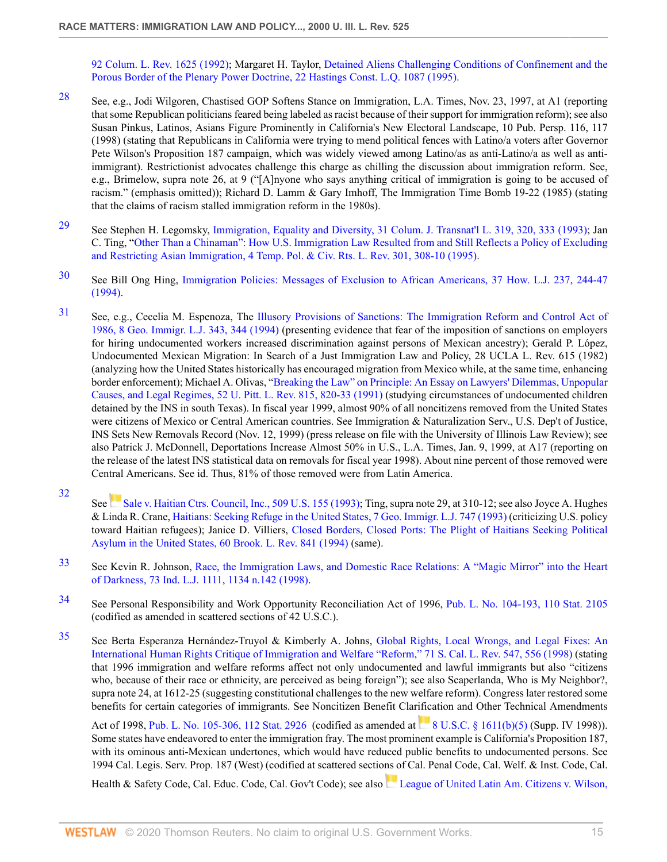[92 Colum. L. Rev. 1625 \(1992\)](http://www.westlaw.com/Link/Document/FullText?findType=Y&serNum=0102724909&pubNum=3050&originatingDoc=Icfe969814b0211dba16d88fb847e95e5&refType=LR&originationContext=document&vr=3.0&rs=cblt1.0&transitionType=DocumentItem&contextData=(sc.UserEnteredCitation)); Margaret H. Taylor, [Detained Aliens Challenging Conditions of Confinement and the](http://www.westlaw.com/Link/Document/FullText?findType=Y&serNum=0105915036&pubNum=1157&originatingDoc=Icfe969814b0211dba16d88fb847e95e5&refType=LR&originationContext=document&vr=3.0&rs=cblt1.0&transitionType=DocumentItem&contextData=(sc.UserEnteredCitation)) [Porous Border of the Plenary Power Doctrine, 22 Hastings Const. L.Q. 1087 \(1995\)](http://www.westlaw.com/Link/Document/FullText?findType=Y&serNum=0105915036&pubNum=1157&originatingDoc=Icfe969814b0211dba16d88fb847e95e5&refType=LR&originationContext=document&vr=3.0&rs=cblt1.0&transitionType=DocumentItem&contextData=(sc.UserEnteredCitation)).

- <span id="page-14-0"></span>[28](#page-1-19) See, e.g., Jodi Wilgoren, Chastised GOP Softens Stance on Immigration, L.A. Times, Nov. 23, 1997, at A1 (reporting that some Republican politicians feared being labeled as racist because of their support for immigration reform); see also Susan Pinkus, Latinos, Asians Figure Prominently in California's New Electoral Landscape, 10 Pub. Persp. 116, 117 (1998) (stating that Republicans in California were trying to mend political fences with Latino/a voters after Governor Pete Wilson's Proposition 187 campaign, which was widely viewed among Latino/as as anti-Latino/a as well as antiimmigrant). Restrictionist advocates challenge this charge as chilling the discussion about immigration reform. See, e.g., Brimelow, supra note 26, at 9 ("[A]nyone who says anything critical of immigration is going to be accused of racism." (emphasis omitted)); Richard D. Lamm & Gary Imhoff, The Immigration Time Bomb 19-22 (1985) (stating that the claims of racism stalled immigration reform in the 1980s).
- <span id="page-14-1"></span>[29](#page-2-0) See Stephen H. Legomsky, [Immigration, Equality and Diversity, 31 Colum. J. Transnat'l L. 319, 320, 333 \(1993\)](http://www.westlaw.com/Link/Document/FullText?findType=Y&serNum=0103292192&pubNum=1117&originatingDoc=Icfe969814b0211dba16d88fb847e95e5&refType=LR&fi=co_pp_sp_1117_320&originationContext=document&vr=3.0&rs=cblt1.0&transitionType=DocumentItem&contextData=(sc.UserEnteredCitation)#co_pp_sp_1117_320); Jan C. Ting, ["Other Than a Chinaman": How U.S. Immigration Law Resulted from and Still Reflects a Policy of Excluding](http://www.westlaw.com/Link/Document/FullText?findType=Y&serNum=0106090322&pubNum=102108&originatingDoc=Icfe969814b0211dba16d88fb847e95e5&refType=LR&fi=co_pp_sp_102108_308&originationContext=document&vr=3.0&rs=cblt1.0&transitionType=DocumentItem&contextData=(sc.UserEnteredCitation)#co_pp_sp_102108_308) [and Restricting Asian Immigration, 4 Temp. Pol. & Civ. Rts. L. Rev. 301, 308-10 \(1995\).](http://www.westlaw.com/Link/Document/FullText?findType=Y&serNum=0106090322&pubNum=102108&originatingDoc=Icfe969814b0211dba16d88fb847e95e5&refType=LR&fi=co_pp_sp_102108_308&originationContext=document&vr=3.0&rs=cblt1.0&transitionType=DocumentItem&contextData=(sc.UserEnteredCitation)#co_pp_sp_102108_308)
- <span id="page-14-2"></span>[30](#page-2-1) See Bill Ong Hing, [Immigration Policies: Messages of Exclusion to African Americans, 37 How. L.J. 237, 244-47](http://www.westlaw.com/Link/Document/FullText?findType=Y&serNum=0105022635&pubNum=1531&originatingDoc=Icfe969814b0211dba16d88fb847e95e5&refType=LR&fi=co_pp_sp_1531_244&originationContext=document&vr=3.0&rs=cblt1.0&transitionType=DocumentItem&contextData=(sc.UserEnteredCitation)#co_pp_sp_1531_244) [\(1994\).](http://www.westlaw.com/Link/Document/FullText?findType=Y&serNum=0105022635&pubNum=1531&originatingDoc=Icfe969814b0211dba16d88fb847e95e5&refType=LR&fi=co_pp_sp_1531_244&originationContext=document&vr=3.0&rs=cblt1.0&transitionType=DocumentItem&contextData=(sc.UserEnteredCitation)#co_pp_sp_1531_244)
- <span id="page-14-3"></span>[31](#page-2-2) See, e.g., Cecelia M. Espenoza, The [Illusory Provisions of Sanctions: The Immigration Reform and Control Act of](http://www.westlaw.com/Link/Document/FullText?findType=Y&serNum=0104864548&pubNum=1662&originatingDoc=Icfe969814b0211dba16d88fb847e95e5&refType=LR&fi=co_pp_sp_1662_344&originationContext=document&vr=3.0&rs=cblt1.0&transitionType=DocumentItem&contextData=(sc.UserEnteredCitation)#co_pp_sp_1662_344) [1986, 8 Geo. Immigr. L.J. 343, 344 \(1994\)](http://www.westlaw.com/Link/Document/FullText?findType=Y&serNum=0104864548&pubNum=1662&originatingDoc=Icfe969814b0211dba16d88fb847e95e5&refType=LR&fi=co_pp_sp_1662_344&originationContext=document&vr=3.0&rs=cblt1.0&transitionType=DocumentItem&contextData=(sc.UserEnteredCitation)#co_pp_sp_1662_344) (presenting evidence that fear of the imposition of sanctions on employers for hiring undocumented workers increased discrimination against persons of Mexican ancestry); Gerald P. López, Undocumented Mexican Migration: In Search of a Just Immigration Law and Policy, 28 UCLA L. Rev. 615 (1982) (analyzing how the United States historically has encouraged migration from Mexico while, at the same time, enhancing border enforcement); Michael A. Olivas, ["Breaking the Law" on Principle: An Essay on Lawyers' Dilemmas, Unpopular](http://www.westlaw.com/Link/Document/FullText?findType=Y&serNum=0101148839&pubNum=1269&originatingDoc=Icfe969814b0211dba16d88fb847e95e5&refType=LR&fi=co_pp_sp_1269_820&originationContext=document&vr=3.0&rs=cblt1.0&transitionType=DocumentItem&contextData=(sc.UserEnteredCitation)#co_pp_sp_1269_820) [Causes, and Legal Regimes, 52 U. Pitt. L. Rev. 815, 820-33 \(1991\)](http://www.westlaw.com/Link/Document/FullText?findType=Y&serNum=0101148839&pubNum=1269&originatingDoc=Icfe969814b0211dba16d88fb847e95e5&refType=LR&fi=co_pp_sp_1269_820&originationContext=document&vr=3.0&rs=cblt1.0&transitionType=DocumentItem&contextData=(sc.UserEnteredCitation)#co_pp_sp_1269_820) (studying circumstances of undocumented children detained by the INS in south Texas). In fiscal year 1999, almost 90% of all noncitizens removed from the United States were citizens of Mexico or Central American countries. See Immigration & Naturalization Serv., U.S. Dep't of Justice, INS Sets New Removals Record (Nov. 12, 1999) (press release on file with the University of Illinois Law Review); see also Patrick J. McDonnell, Deportations Increase Almost 50% in U.S., L.A. Times, Jan. 9, 1999, at A17 (reporting on the release of the latest INS statistical data on removals for fiscal year 1998). About nine percent of those removed were Central Americans. See id. Thus, 81% of those removed were from Latin America.
- <span id="page-14-4"></span>[32](#page-2-3)

See[Sale v. Haitian Ctrs. Council, Inc., 509 U.S. 155 \(1993\)](http://www.westlaw.com/Link/Document/FullText?findType=Y&serNum=1993125567&pubNum=780&originatingDoc=Icfe969814b0211dba16d88fb847e95e5&refType=RP&originationContext=document&vr=3.0&rs=cblt1.0&transitionType=DocumentItem&contextData=(sc.UserEnteredCitation)); Ting, supra note 29, at 310-12; see also Joyce A. Hughes & Linda R. Crane, [Haitians: Seeking Refuge in the United States, 7 Geo. Immigr. L.J. 747 \(1993\)](http://www.westlaw.com/Link/Document/FullText?findType=Y&serNum=0103371162&pubNum=1662&originatingDoc=Icfe969814b0211dba16d88fb847e95e5&refType=LR&originationContext=document&vr=3.0&rs=cblt1.0&transitionType=DocumentItem&contextData=(sc.UserEnteredCitation)) (criticizing U.S. policy toward Haitian refugees); Janice D. Villiers, [Closed Borders, Closed Ports: The Plight of Haitians Seeking Political](http://www.westlaw.com/Link/Document/FullText?findType=Y&serNum=0105415467&pubNum=3033&originatingDoc=Icfe969814b0211dba16d88fb847e95e5&refType=LR&originationContext=document&vr=3.0&rs=cblt1.0&transitionType=DocumentItem&contextData=(sc.UserEnteredCitation)) [Asylum in the United States, 60 Brook. L. Rev. 841 \(1994\)](http://www.westlaw.com/Link/Document/FullText?findType=Y&serNum=0105415467&pubNum=3033&originatingDoc=Icfe969814b0211dba16d88fb847e95e5&refType=LR&originationContext=document&vr=3.0&rs=cblt1.0&transitionType=DocumentItem&contextData=(sc.UserEnteredCitation)) (same).

- <span id="page-14-5"></span>[33](#page-2-4) See Kevin R. Johnson, [Race, the Immigration Laws, and Domestic Race Relations: A "Magic Mirror" into the Heart](http://www.westlaw.com/Link/Document/FullText?findType=Y&serNum=0109983890&pubNum=1167&originatingDoc=Icfe969814b0211dba16d88fb847e95e5&refType=LR&fi=co_pp_sp_1167_1134&originationContext=document&vr=3.0&rs=cblt1.0&transitionType=DocumentItem&contextData=(sc.UserEnteredCitation)#co_pp_sp_1167_1134) [of Darkness, 73 Ind. L.J. 1111, 1134 n.142 \(1998\)](http://www.westlaw.com/Link/Document/FullText?findType=Y&serNum=0109983890&pubNum=1167&originatingDoc=Icfe969814b0211dba16d88fb847e95e5&refType=LR&fi=co_pp_sp_1167_1134&originationContext=document&vr=3.0&rs=cblt1.0&transitionType=DocumentItem&contextData=(sc.UserEnteredCitation)#co_pp_sp_1167_1134).
- <span id="page-14-6"></span>[34](#page-2-5) See Personal Responsibility and Work Opportunity Reconciliation Act of 1996, [Pub. L. No. 104-193, 110 Stat. 2105](http://www.westlaw.com/Link/Document/FullText?findType=l&pubNum=1077005&cite=UUID(I95B51DA935-3D44B3802DA-C2A3D6F6D60)&originatingDoc=Icfe969814b0211dba16d88fb847e95e5&refType=SL&originationContext=document&vr=3.0&rs=cblt1.0&transitionType=DocumentItem&contextData=(sc.UserEnteredCitation)) (codified as amended in scattered sections of 42 U.S.C.).
- <span id="page-14-7"></span>[35](#page-2-6) See Berta Esperanza Hernández-Truyol & Kimberly A. Johns, [Global Rights, Local Wrongs, and Legal Fixes: An](http://www.westlaw.com/Link/Document/FullText?findType=Y&serNum=0108862812&pubNum=1228&originatingDoc=Icfe969814b0211dba16d88fb847e95e5&refType=LR&fi=co_pp_sp_1228_556&originationContext=document&vr=3.0&rs=cblt1.0&transitionType=DocumentItem&contextData=(sc.UserEnteredCitation)#co_pp_sp_1228_556) [International Human Rights Critique of Immigration and Welfare "Reform," 71 S. Cal. L. Rev. 547, 556 \(1998\)](http://www.westlaw.com/Link/Document/FullText?findType=Y&serNum=0108862812&pubNum=1228&originatingDoc=Icfe969814b0211dba16d88fb847e95e5&refType=LR&fi=co_pp_sp_1228_556&originationContext=document&vr=3.0&rs=cblt1.0&transitionType=DocumentItem&contextData=(sc.UserEnteredCitation)#co_pp_sp_1228_556) (stating that 1996 immigration and welfare reforms affect not only undocumented and lawful immigrants but also "citizens who, because of their race or ethnicity, are perceived as being foreign"); see also Scaperlanda, Who is My Neighbor?, supra note 24, at 1612-25 (suggesting constitutional challenges to the new welfare reform). Congress later restored some benefits for certain categories of immigrants. See Noncitizen Benefit Clarification and Other Technical Amendments

Act of 1998, [Pub. L. No. 105-306, 112 Stat. 2926](http://www.westlaw.com/Link/Document/FullText?findType=l&pubNum=1077005&cite=UUID(I6958F0B71C-EB49D7857B6-78EF1F47E33)&originatingDoc=Icfe969814b0211dba16d88fb847e95e5&refType=SL&originationContext=document&vr=3.0&rs=cblt1.0&transitionType=DocumentItem&contextData=(sc.UserEnteredCitation)) (codifiedas amended at [8 U.S.C. § 1611\(b\)\(5\)](http://www.westlaw.com/Link/Document/FullText?findType=L&pubNum=1000546&cite=8USCAS1611&originatingDoc=Icfe969814b0211dba16d88fb847e95e5&refType=RB&originationContext=document&vr=3.0&rs=cblt1.0&transitionType=DocumentItem&contextData=(sc.UserEnteredCitation)#co_pp_277b00009cfc7) (Supp. IV 1998)). Some states have endeavored to enter the immigration fray. The most prominent example is California's Proposition 187, with its ominous anti-Mexican undertones, which would have reduced public benefits to undocumented persons. See 1994 Cal. Legis. Serv. Prop. 187 (West) (codified at scattered sections of Cal. Penal Code, Cal. Welf. & Inst. Code, Cal.

Health& Safety Code, Cal. Educ. Code, Cal. Gov't Code); see also [League of United Latin Am. Citizens v. Wilson,](http://www.westlaw.com/Link/Document/FullText?findType=Y&serNum=1995234794&pubNum=345&originatingDoc=Icfe969814b0211dba16d88fb847e95e5&refType=RP&fi=co_pp_sp_345_787&originationContext=document&vr=3.0&rs=cblt1.0&transitionType=DocumentItem&contextData=(sc.UserEnteredCitation)#co_pp_sp_345_787)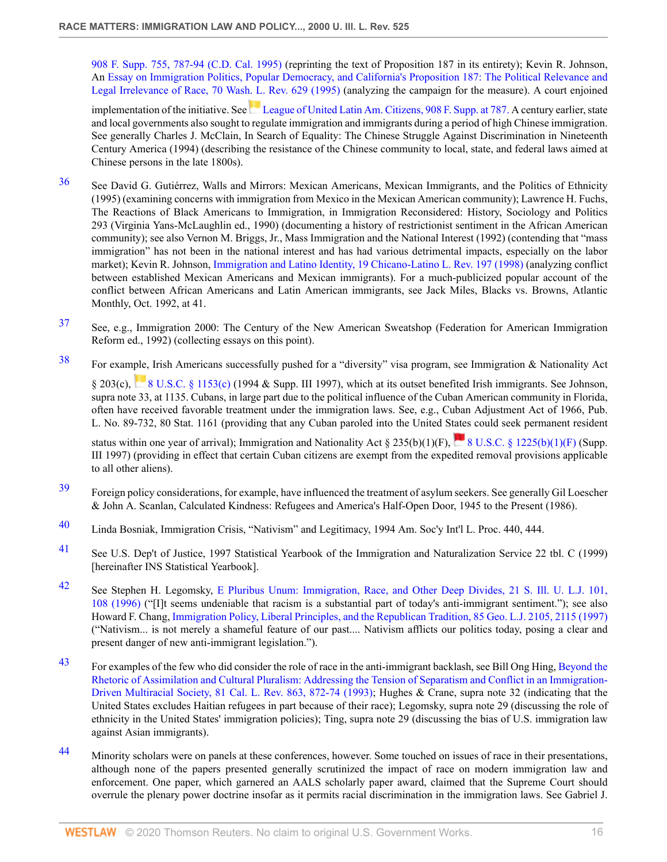[908 F. Supp. 755, 787-94 \(C.D. Cal. 1995\)](http://www.westlaw.com/Link/Document/FullText?findType=Y&serNum=1995234794&pubNum=345&originatingDoc=Icfe969814b0211dba16d88fb847e95e5&refType=RP&fi=co_pp_sp_345_787&originationContext=document&vr=3.0&rs=cblt1.0&transitionType=DocumentItem&contextData=(sc.UserEnteredCitation)#co_pp_sp_345_787) (reprinting the text of Proposition 187 in its entirety); Kevin R. Johnson, An [Essay on Immigration Politics, Popular Democracy, and California's Proposition 187: The Political Relevance and](http://www.westlaw.com/Link/Document/FullText?findType=Y&serNum=0106052078&pubNum=1281&originatingDoc=Icfe969814b0211dba16d88fb847e95e5&refType=LR&originationContext=document&vr=3.0&rs=cblt1.0&transitionType=DocumentItem&contextData=(sc.UserEnteredCitation)) [Legal Irrelevance of Race, 70 Wash. L. Rev. 629 \(1995\)](http://www.westlaw.com/Link/Document/FullText?findType=Y&serNum=0106052078&pubNum=1281&originatingDoc=Icfe969814b0211dba16d88fb847e95e5&refType=LR&originationContext=document&vr=3.0&rs=cblt1.0&transitionType=DocumentItem&contextData=(sc.UserEnteredCitation)) (analyzing the campaign for the measure). A court enjoined

implementationof the initiative. See [League of United Latin Am. Citizens, 908 F. Supp. at 787.](http://www.westlaw.com/Link/Document/FullText?findType=Y&serNum=1995234794&pubNum=345&originatingDoc=Icfe969814b0211dba16d88fb847e95e5&refType=RP&fi=co_pp_sp_345_787&originationContext=document&vr=3.0&rs=cblt1.0&transitionType=DocumentItem&contextData=(sc.UserEnteredCitation)#co_pp_sp_345_787) A century earlier, state and local governments also sought to regulate immigration and immigrants during a period of high Chinese immigration. See generally Charles J. McClain, In Search of Equality: The Chinese Struggle Against Discrimination in Nineteenth Century America (1994) (describing the resistance of the Chinese community to local, state, and federal laws aimed at Chinese persons in the late 1800s).

- <span id="page-15-0"></span>[36](#page-2-7) See David G. Gutiérrez, Walls and Mirrors: Mexican Americans, Mexican Immigrants, and the Politics of Ethnicity (1995) (examining concerns with immigration from Mexico in the Mexican American community); Lawrence H. Fuchs, The Reactions of Black Americans to Immigration, in Immigration Reconsidered: History, Sociology and Politics 293 (Virginia Yans-McLaughlin ed., 1990) (documenting a history of restrictionist sentiment in the African American community); see also Vernon M. Briggs, Jr., Mass Immigration and the National Interest (1992) (contending that "mass immigration" has not been in the national interest and has had various detrimental impacts, especially on the labor market); Kevin R. Johnson, [Immigration and Latino Identity, 19 Chicano-Latino L. Rev. 197 \(1998\)](http://www.westlaw.com/Link/Document/FullText?findType=Y&serNum=0110222944&pubNum=101705&originatingDoc=Icfe969814b0211dba16d88fb847e95e5&refType=LR&originationContext=document&vr=3.0&rs=cblt1.0&transitionType=DocumentItem&contextData=(sc.UserEnteredCitation)) (analyzing conflict between established Mexican Americans and Mexican immigrants). For a much-publicized popular account of the conflict between African Americans and Latin American immigrants, see Jack Miles, Blacks vs. Browns, Atlantic Monthly, Oct. 1992, at 41.
- <span id="page-15-1"></span>[37](#page-2-8) See, e.g., Immigration 2000: The Century of the New American Sweatshop (Federation for American Immigration Reform ed., 1992) (collecting essays on this point).
- <span id="page-15-2"></span><sup>[38](#page-2-9)</sup> For example, Irish Americans successfully pushed for a "diversity" visa program, see Immigration & Nationality Act

§ 203(c), [8 U.S.C. § 1153\(c\)](http://www.westlaw.com/Link/Document/FullText?findType=L&pubNum=1000546&cite=8USCAS1153&originatingDoc=Icfe969814b0211dba16d88fb847e95e5&refType=RB&originationContext=document&vr=3.0&rs=cblt1.0&transitionType=DocumentItem&contextData=(sc.UserEnteredCitation)#co_pp_4b24000003ba5) (1994 & Supp. III 1997), which at its outset benefited Irish immigrants. See Johnson, supra note 33, at 1135. Cubans, in large part due to the political influence of the Cuban American community in Florida, often have received favorable treatment under the immigration laws. See, e.g., Cuban Adjustment Act of 1966, Pub. L. No. 89-732, 80 Stat. 1161 (providing that any Cuban paroled into the United States could seek permanent resident

statuswithin one year of arrival); Immigration and Nationality Act § 235(b)(1)(F),  $\sim 8$  U.S.C. § 1225(b)(1)(F) (Supp. III 1997) (providing in effect that certain Cuban citizens are exempt from the expedited removal provisions applicable to all other aliens).

- <span id="page-15-3"></span>[39](#page-2-10) Foreign policy considerations, for example, have influenced the treatment of asylum seekers. See generally Gil Loescher & John A. Scanlan, Calculated Kindness: Refugees and America's Half-Open Door, 1945 to the Present (1986).
- <span id="page-15-4"></span>[40](#page-2-11) Linda Bosniak, Immigration Crisis, "Nativism" and Legitimacy, 1994 Am. Soc'y Int'l L. Proc. 440, 444.
- <span id="page-15-5"></span>[41](#page-2-12) See U.S. Dep't of Justice, 1997 Statistical Yearbook of the Immigration and Naturalization Service 22 tbl. C (1999) [hereinafter INS Statistical Yearbook].
- <span id="page-15-6"></span>[42](#page-2-13) See Stephen H. Legomsky, [E Pluribus Unum: Immigration, Race, and Other Deep Divides, 21 S. Ill. U. L.J. 101,](http://www.westlaw.com/Link/Document/FullText?findType=Y&serNum=0107172043&pubNum=1229&originatingDoc=Icfe969814b0211dba16d88fb847e95e5&refType=LR&fi=co_pp_sp_1229_108&originationContext=document&vr=3.0&rs=cblt1.0&transitionType=DocumentItem&contextData=(sc.UserEnteredCitation)#co_pp_sp_1229_108) [108 \(1996\)](http://www.westlaw.com/Link/Document/FullText?findType=Y&serNum=0107172043&pubNum=1229&originatingDoc=Icfe969814b0211dba16d88fb847e95e5&refType=LR&fi=co_pp_sp_1229_108&originationContext=document&vr=3.0&rs=cblt1.0&transitionType=DocumentItem&contextData=(sc.UserEnteredCitation)#co_pp_sp_1229_108) ("[I]t seems undeniable that racism is a substantial part of today's anti-immigrant sentiment."); see also Howard F. Chang, [Immigration Policy, Liberal Principles, and the Republican Tradition, 85 Geo. L.J. 2105, 2115 \(1997\)](http://www.westlaw.com/Link/Document/FullText?findType=Y&serNum=0108378977&pubNum=1146&originatingDoc=Icfe969814b0211dba16d88fb847e95e5&refType=LR&fi=co_pp_sp_1146_2115&originationContext=document&vr=3.0&rs=cblt1.0&transitionType=DocumentItem&contextData=(sc.UserEnteredCitation)#co_pp_sp_1146_2115) ("Nativism... is not merely a shameful feature of our past.... Nativism afflicts our politics today, posing a clear and present danger of new anti-immigrant legislation.").
- <span id="page-15-7"></span>[43](#page-2-14) For examples of the few who did consider the role of race in the anti-immigrant backlash, see Bill Ong Hing, [Beyond the](http://www.westlaw.com/Link/Document/FullText?findType=Y&serNum=0103314621&pubNum=1107&originatingDoc=Icfe969814b0211dba16d88fb847e95e5&refType=LR&fi=co_pp_sp_1107_872&originationContext=document&vr=3.0&rs=cblt1.0&transitionType=DocumentItem&contextData=(sc.UserEnteredCitation)#co_pp_sp_1107_872) [Rhetoric of Assimilation and Cultural Pluralism: Addressing the Tension of Separatism and Conflict in an Immigration-](http://www.westlaw.com/Link/Document/FullText?findType=Y&serNum=0103314621&pubNum=1107&originatingDoc=Icfe969814b0211dba16d88fb847e95e5&refType=LR&fi=co_pp_sp_1107_872&originationContext=document&vr=3.0&rs=cblt1.0&transitionType=DocumentItem&contextData=(sc.UserEnteredCitation)#co_pp_sp_1107_872)[Driven Multiracial Society, 81 Cal. L. Rev. 863, 872-74 \(1993\)](http://www.westlaw.com/Link/Document/FullText?findType=Y&serNum=0103314621&pubNum=1107&originatingDoc=Icfe969814b0211dba16d88fb847e95e5&refType=LR&fi=co_pp_sp_1107_872&originationContext=document&vr=3.0&rs=cblt1.0&transitionType=DocumentItem&contextData=(sc.UserEnteredCitation)#co_pp_sp_1107_872); Hughes & Crane, supra note 32 (indicating that the United States excludes Haitian refugees in part because of their race); Legomsky, supra note 29 (discussing the role of ethnicity in the United States' immigration policies); Ting, supra note 29 (discussing the bias of U.S. immigration law against Asian immigrants).
- <span id="page-15-8"></span>[44](#page-2-15) Minority scholars were on panels at these conferences, however. Some touched on issues of race in their presentations, although none of the papers presented generally scrutinized the impact of race on modern immigration law and enforcement. One paper, which garnered an AALS scholarly paper award, claimed that the Supreme Court should overrule the plenary power doctrine insofar as it permits racial discrimination in the immigration laws. See Gabriel J.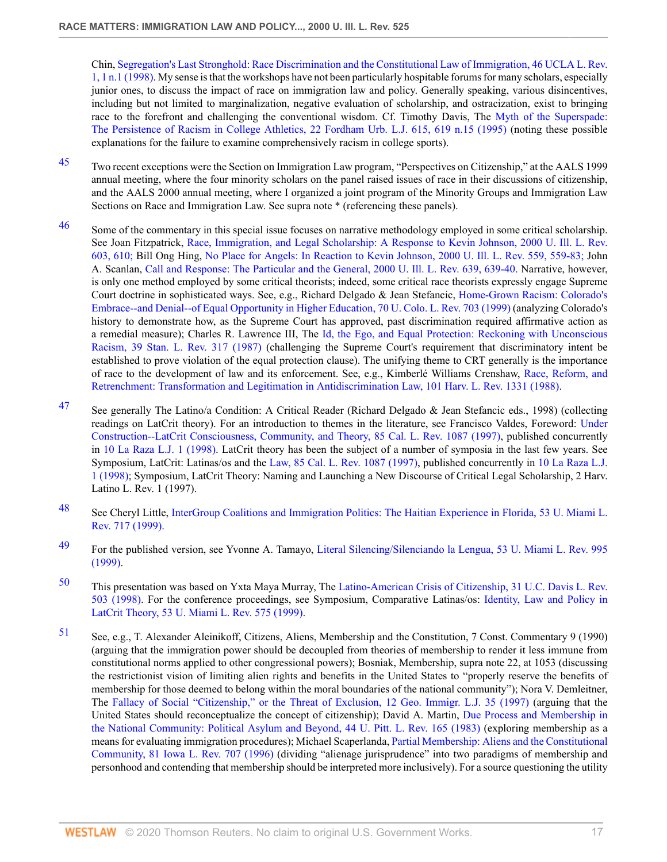Chin, [Segregation's Last Stronghold: Race Discrimination and the Constitutional Law of Immigration, 46 UCLA L. Rev.](http://www.westlaw.com/Link/Document/FullText?findType=Y&serNum=0110115206&pubNum=3041&originatingDoc=Icfe969814b0211dba16d88fb847e95e5&refType=LR&fi=co_pp_sp_3041_1&originationContext=document&vr=3.0&rs=cblt1.0&transitionType=DocumentItem&contextData=(sc.UserEnteredCitation)#co_pp_sp_3041_1) [1, 1 n.1 \(1998\).](http://www.westlaw.com/Link/Document/FullText?findType=Y&serNum=0110115206&pubNum=3041&originatingDoc=Icfe969814b0211dba16d88fb847e95e5&refType=LR&fi=co_pp_sp_3041_1&originationContext=document&vr=3.0&rs=cblt1.0&transitionType=DocumentItem&contextData=(sc.UserEnteredCitation)#co_pp_sp_3041_1) My sense is that the workshops have not been particularly hospitable forums for many scholars, especially junior ones, to discuss the impact of race on immigration law and policy. Generally speaking, various disincentives, including but not limited to marginalization, negative evaluation of scholarship, and ostracization, exist to bringing race to the forefront and challenging the conventional wisdom. Cf. Timothy Davis, The [Myth of the Superspade:](http://www.westlaw.com/Link/Document/FullText?findType=Y&serNum=0105374809&pubNum=1143&originatingDoc=Icfe969814b0211dba16d88fb847e95e5&refType=LR&fi=co_pp_sp_1143_619&originationContext=document&vr=3.0&rs=cblt1.0&transitionType=DocumentItem&contextData=(sc.UserEnteredCitation)#co_pp_sp_1143_619) [The Persistence of Racism in College Athletics, 22 Fordham Urb. L.J. 615, 619 n.15 \(1995\)](http://www.westlaw.com/Link/Document/FullText?findType=Y&serNum=0105374809&pubNum=1143&originatingDoc=Icfe969814b0211dba16d88fb847e95e5&refType=LR&fi=co_pp_sp_1143_619&originationContext=document&vr=3.0&rs=cblt1.0&transitionType=DocumentItem&contextData=(sc.UserEnteredCitation)#co_pp_sp_1143_619) (noting these possible explanations for the failure to examine comprehensively racism in college sports).

- <span id="page-16-0"></span>[45](#page-2-16) Two recent exceptions were the Section on Immigration Law program, "Perspectives on Citizenship," at the AALS 1999 annual meeting, where the four minority scholars on the panel raised issues of race in their discussions of citizenship, and the AALS 2000 annual meeting, where I organized a joint program of the Minority Groups and Immigration Law Sections on Race and Immigration Law. See supra note \* (referencing these panels).
- <span id="page-16-1"></span><sup>[46](#page-3-0)</sup> Some of the commentary in this special issue focuses on narrative methodology employed in some critical scholarship. See Joan Fitzpatrick, [Race, Immigration, and Legal Scholarship: A Response to Kevin Johnson, 2000 U. Ill. L. Rev.](http://www.westlaw.com/Link/Document/FullText?findType=Y&serNum=0281956436&pubNum=1264&originatingDoc=Icfe969814b0211dba16d88fb847e95e5&refType=LR&fi=co_pp_sp_1264_610&originationContext=document&vr=3.0&rs=cblt1.0&transitionType=DocumentItem&contextData=(sc.UserEnteredCitation)#co_pp_sp_1264_610) [603, 610;](http://www.westlaw.com/Link/Document/FullText?findType=Y&serNum=0281956436&pubNum=1264&originatingDoc=Icfe969814b0211dba16d88fb847e95e5&refType=LR&fi=co_pp_sp_1264_610&originationContext=document&vr=3.0&rs=cblt1.0&transitionType=DocumentItem&contextData=(sc.UserEnteredCitation)#co_pp_sp_1264_610) Bill Ong Hing, [No Place for Angels: In Reaction to Kevin Johnson, 2000 U. Ill. L. Rev. 559, 559-83;](http://www.westlaw.com/Link/Document/FullText?findType=Y&serNum=0281956435&pubNum=1264&originatingDoc=Icfe969814b0211dba16d88fb847e95e5&refType=LR&fi=co_pp_sp_1264_559&originationContext=document&vr=3.0&rs=cblt1.0&transitionType=DocumentItem&contextData=(sc.UserEnteredCitation)#co_pp_sp_1264_559) John A. Scanlan, [Call and Response: The Particular and the General, 2000 U. Ill. L. Rev. 639, 639-40.](http://www.westlaw.com/Link/Document/FullText?findType=Y&serNum=0281956438&pubNum=1264&originatingDoc=Icfe969814b0211dba16d88fb847e95e5&refType=LR&fi=co_pp_sp_1264_639&originationContext=document&vr=3.0&rs=cblt1.0&transitionType=DocumentItem&contextData=(sc.UserEnteredCitation)#co_pp_sp_1264_639) Narrative, however, is only one method employed by some critical theorists; indeed, some critical race theorists expressly engage Supreme Court doctrine in sophisticated ways. See, e.g., Richard Delgado & Jean Stefancic, [Home-Grown Racism: Colorado's](http://www.westlaw.com/Link/Document/FullText?findType=Y&serNum=0111323085&pubNum=1260&originatingDoc=Icfe969814b0211dba16d88fb847e95e5&refType=LR&originationContext=document&vr=3.0&rs=cblt1.0&transitionType=DocumentItem&contextData=(sc.UserEnteredCitation)) [Embrace--and Denial--of Equal Opportunity in Higher Education, 70 U. Colo. L. Rev. 703 \(1999\)](http://www.westlaw.com/Link/Document/FullText?findType=Y&serNum=0111323085&pubNum=1260&originatingDoc=Icfe969814b0211dba16d88fb847e95e5&refType=LR&originationContext=document&vr=3.0&rs=cblt1.0&transitionType=DocumentItem&contextData=(sc.UserEnteredCitation)) (analyzing Colorado's history to demonstrate how, as the Supreme Court has approved, past discrimination required affirmative action as a remedial measure); Charles R. Lawrence III, The [Id, the Ego, and Equal Protection: Reckoning with Unconscious](http://www.westlaw.com/Link/Document/FullText?findType=Y&serNum=0102612313&pubNum=1239&originatingDoc=Icfe969814b0211dba16d88fb847e95e5&refType=LR&originationContext=document&vr=3.0&rs=cblt1.0&transitionType=DocumentItem&contextData=(sc.UserEnteredCitation)) [Racism, 39 Stan. L. Rev. 317 \(1987\)](http://www.westlaw.com/Link/Document/FullText?findType=Y&serNum=0102612313&pubNum=1239&originatingDoc=Icfe969814b0211dba16d88fb847e95e5&refType=LR&originationContext=document&vr=3.0&rs=cblt1.0&transitionType=DocumentItem&contextData=(sc.UserEnteredCitation)) (challenging the Supreme Court's requirement that discriminatory intent be established to prove violation of the equal protection clause). The unifying theme to CRT generally is the importance of race to the development of law and its enforcement. See, e.g., Kimberlé Williams Crenshaw, [Race, Reform, and](http://www.westlaw.com/Link/Document/FullText?findType=Y&serNum=0102054495&pubNum=3084&originatingDoc=Icfe969814b0211dba16d88fb847e95e5&refType=LR&originationContext=document&vr=3.0&rs=cblt1.0&transitionType=DocumentItem&contextData=(sc.UserEnteredCitation)) [Retrenchment: Transformation and Legitimation in Antidiscrimination Law, 101 Harv. L. Rev. 1331 \(1988\)](http://www.westlaw.com/Link/Document/FullText?findType=Y&serNum=0102054495&pubNum=3084&originatingDoc=Icfe969814b0211dba16d88fb847e95e5&refType=LR&originationContext=document&vr=3.0&rs=cblt1.0&transitionType=DocumentItem&contextData=(sc.UserEnteredCitation)).
- <span id="page-16-2"></span>[47](#page-3-1) See generally The Latino/a Condition: A Critical Reader (Richard Delgado & Jean Stefancic eds., 1998) (collecting readings on LatCrit theory). For an introduction to themes in the literature, see Francisco Valdes, Foreword: [Under](http://www.westlaw.com/Link/Document/FullText?findType=Y&serNum=0108716398&pubNum=1107&originatingDoc=Icfe969814b0211dba16d88fb847e95e5&refType=LR&originationContext=document&vr=3.0&rs=cblt1.0&transitionType=DocumentItem&contextData=(sc.UserEnteredCitation)) [Construction--LatCrit Consciousness, Community, and Theory, 85 Cal. L. Rev. 1087 \(1997\),](http://www.westlaw.com/Link/Document/FullText?findType=Y&serNum=0108716398&pubNum=1107&originatingDoc=Icfe969814b0211dba16d88fb847e95e5&refType=LR&originationContext=document&vr=3.0&rs=cblt1.0&transitionType=DocumentItem&contextData=(sc.UserEnteredCitation)) published concurrently in [10 La Raza L.J. 1 \(1998\)](http://www.westlaw.com/Link/Document/FullText?findType=Y&serNum=0108723564&pubNum=100135&originatingDoc=Icfe969814b0211dba16d88fb847e95e5&refType=LR&originationContext=document&vr=3.0&rs=cblt1.0&transitionType=DocumentItem&contextData=(sc.UserEnteredCitation)). LatCrit theory has been the subject of a number of symposia in the last few years. See Symposium, LatCrit: Latinas/os and the [Law, 85 Cal. L. Rev. 1087 \(1997\)](http://www.westlaw.com/Link/Document/FullText?findType=Y&serNum=0108716398&pubNum=1107&originatingDoc=Icfe969814b0211dba16d88fb847e95e5&refType=LR&originationContext=document&vr=3.0&rs=cblt1.0&transitionType=DocumentItem&contextData=(sc.UserEnteredCitation)), published concurrently in [10 La Raza L.J.](http://www.westlaw.com/Link/Document/FullText?findType=Y&serNum=0108723564&pubNum=100135&originatingDoc=Icfe969814b0211dba16d88fb847e95e5&refType=LR&originationContext=document&vr=3.0&rs=cblt1.0&transitionType=DocumentItem&contextData=(sc.UserEnteredCitation)) [1 \(1998\)](http://www.westlaw.com/Link/Document/FullText?findType=Y&serNum=0108723564&pubNum=100135&originatingDoc=Icfe969814b0211dba16d88fb847e95e5&refType=LR&originationContext=document&vr=3.0&rs=cblt1.0&transitionType=DocumentItem&contextData=(sc.UserEnteredCitation)); Symposium, LatCrit Theory: Naming and Launching a New Discourse of Critical Legal Scholarship, 2 Harv. Latino L. Rev. 1 (1997).
- <span id="page-16-3"></span>[48](#page-3-2) See Cheryl Little, [InterGroup Coalitions and Immigration Politics: The Haitian Experience in Florida, 53 U. Miami L.](http://www.westlaw.com/Link/Document/FullText?findType=Y&serNum=0113198848&pubNum=3194&originatingDoc=Icfe969814b0211dba16d88fb847e95e5&refType=LR&originationContext=document&vr=3.0&rs=cblt1.0&transitionType=DocumentItem&contextData=(sc.UserEnteredCitation)) [Rev. 717 \(1999\).](http://www.westlaw.com/Link/Document/FullText?findType=Y&serNum=0113198848&pubNum=3194&originatingDoc=Icfe969814b0211dba16d88fb847e95e5&refType=LR&originationContext=document&vr=3.0&rs=cblt1.0&transitionType=DocumentItem&contextData=(sc.UserEnteredCitation))
- <span id="page-16-4"></span>[49](#page-3-3) For the published version, see Yvonne A. Tamayo, [Literal Silencing/Silenciando la Lengua, 53 U. Miami L. Rev. 995](http://www.westlaw.com/Link/Document/FullText?findType=Y&serNum=0113198869&pubNum=3194&originatingDoc=Icfe969814b0211dba16d88fb847e95e5&refType=LR&originationContext=document&vr=3.0&rs=cblt1.0&transitionType=DocumentItem&contextData=(sc.UserEnteredCitation)) [\(1999\).](http://www.westlaw.com/Link/Document/FullText?findType=Y&serNum=0113198869&pubNum=3194&originatingDoc=Icfe969814b0211dba16d88fb847e95e5&refType=LR&originationContext=document&vr=3.0&rs=cblt1.0&transitionType=DocumentItem&contextData=(sc.UserEnteredCitation))
- <span id="page-16-5"></span>[50](#page-3-4) This presentation was based on Yxta Maya Murray, The [Latino-American Crisis of Citizenship, 31 U.C. Davis L. Rev.](http://www.westlaw.com/Link/Document/FullText?findType=Y&serNum=0108645247&pubNum=2779&originatingDoc=Icfe969814b0211dba16d88fb847e95e5&refType=LR&originationContext=document&vr=3.0&rs=cblt1.0&transitionType=DocumentItem&contextData=(sc.UserEnteredCitation)) [503 \(1998\)](http://www.westlaw.com/Link/Document/FullText?findType=Y&serNum=0108645247&pubNum=2779&originatingDoc=Icfe969814b0211dba16d88fb847e95e5&refType=LR&originationContext=document&vr=3.0&rs=cblt1.0&transitionType=DocumentItem&contextData=(sc.UserEnteredCitation)). For the conference proceedings, see Symposium, Comparative Latinas/os: [Identity, Law and Policy in](http://www.westlaw.com/Link/Document/FullText?findType=Y&serNum=0113198845&pubNum=3194&originatingDoc=Icfe969814b0211dba16d88fb847e95e5&refType=LR&originationContext=document&vr=3.0&rs=cblt1.0&transitionType=DocumentItem&contextData=(sc.UserEnteredCitation)) [LatCrit Theory, 53 U. Miami L. Rev. 575 \(1999\)](http://www.westlaw.com/Link/Document/FullText?findType=Y&serNum=0113198845&pubNum=3194&originatingDoc=Icfe969814b0211dba16d88fb847e95e5&refType=LR&originationContext=document&vr=3.0&rs=cblt1.0&transitionType=DocumentItem&contextData=(sc.UserEnteredCitation)).
- <span id="page-16-6"></span>[51](#page-3-5) See, e.g., T. Alexander Aleinikoff, Citizens, Aliens, Membership and the Constitution, 7 Const. Commentary 9 (1990) (arguing that the immigration power should be decoupled from theories of membership to render it less immune from constitutional norms applied to other congressional powers); Bosniak, Membership, supra note 22, at 1053 (discussing the restrictionist vision of limiting alien rights and benefits in the United States to "properly reserve the benefits of membership for those deemed to belong within the moral boundaries of the national community"); Nora V. Demleitner, The [Fallacy of Social "Citizenship," or the Threat of Exclusion, 12 Geo. Immigr. L.J. 35 \(1997\)](http://www.westlaw.com/Link/Document/FullText?findType=Y&serNum=0108692167&pubNum=1662&originatingDoc=Icfe969814b0211dba16d88fb847e95e5&refType=LR&originationContext=document&vr=3.0&rs=cblt1.0&transitionType=DocumentItem&contextData=(sc.UserEnteredCitation)) (arguing that the United States should reconceptualize the concept of citizenship); David A. Martin, [Due Process and Membership in](http://www.westlaw.com/Link/Document/FullText?findType=Y&serNum=0102791663&pubNum=1269&originatingDoc=Icfe969814b0211dba16d88fb847e95e5&refType=LR&originationContext=document&vr=3.0&rs=cblt1.0&transitionType=DocumentItem&contextData=(sc.UserEnteredCitation)) [the National Community: Political Asylum and Beyond, 44 U. Pitt. L. Rev. 165 \(1983\)](http://www.westlaw.com/Link/Document/FullText?findType=Y&serNum=0102791663&pubNum=1269&originatingDoc=Icfe969814b0211dba16d88fb847e95e5&refType=LR&originationContext=document&vr=3.0&rs=cblt1.0&transitionType=DocumentItem&contextData=(sc.UserEnteredCitation)) (exploring membership as a means for evaluating immigration procedures); Michael Scaperlanda, [Partial Membership: Aliens and the Constitutional](http://www.westlaw.com/Link/Document/FullText?findType=Y&serNum=0106685015&pubNum=1168&originatingDoc=Icfe969814b0211dba16d88fb847e95e5&refType=LR&originationContext=document&vr=3.0&rs=cblt1.0&transitionType=DocumentItem&contextData=(sc.UserEnteredCitation)) [Community, 81 Iowa L. Rev. 707 \(1996\)](http://www.westlaw.com/Link/Document/FullText?findType=Y&serNum=0106685015&pubNum=1168&originatingDoc=Icfe969814b0211dba16d88fb847e95e5&refType=LR&originationContext=document&vr=3.0&rs=cblt1.0&transitionType=DocumentItem&contextData=(sc.UserEnteredCitation)) (dividing "alienage jurisprudence" into two paradigms of membership and personhood and contending that membership should be interpreted more inclusively). For a source questioning the utility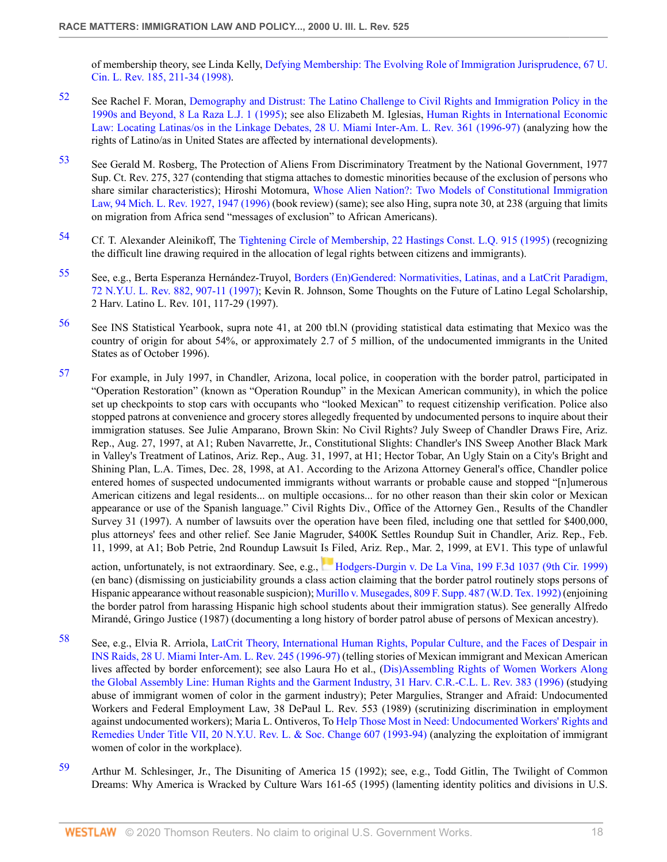of membership theory, see Linda Kelly, [Defying Membership: The Evolving Role of Immigration Jurisprudence, 67 U.](http://www.westlaw.com/Link/Document/FullText?findType=Y&serNum=0110406574&pubNum=1259&originatingDoc=Icfe969814b0211dba16d88fb847e95e5&refType=LR&fi=co_pp_sp_1259_211&originationContext=document&vr=3.0&rs=cblt1.0&transitionType=DocumentItem&contextData=(sc.UserEnteredCitation)#co_pp_sp_1259_211) [Cin. L. Rev. 185, 211-34 \(1998\)](http://www.westlaw.com/Link/Document/FullText?findType=Y&serNum=0110406574&pubNum=1259&originatingDoc=Icfe969814b0211dba16d88fb847e95e5&refType=LR&fi=co_pp_sp_1259_211&originationContext=document&vr=3.0&rs=cblt1.0&transitionType=DocumentItem&contextData=(sc.UserEnteredCitation)#co_pp_sp_1259_211).

- <span id="page-17-0"></span>[52](#page-3-6) See Rachel F. Moran, [Demography and Distrust: The Latino Challenge to Civil Rights and Immigration Policy in the](http://www.westlaw.com/Link/Document/FullText?findType=Y&serNum=0105706360&pubNum=100135&originatingDoc=Icfe969814b0211dba16d88fb847e95e5&refType=LR&originationContext=document&vr=3.0&rs=cblt1.0&transitionType=DocumentItem&contextData=(sc.UserEnteredCitation)) [1990s and Beyond, 8 La Raza L.J. 1 \(1995\);](http://www.westlaw.com/Link/Document/FullText?findType=Y&serNum=0105706360&pubNum=100135&originatingDoc=Icfe969814b0211dba16d88fb847e95e5&refType=LR&originationContext=document&vr=3.0&rs=cblt1.0&transitionType=DocumentItem&contextData=(sc.UserEnteredCitation)) see also Elizabeth M. Iglesias, [Human Rights in International Economic](http://www.westlaw.com/Link/Document/FullText?findType=Y&serNum=0108128876&pubNum=3195&originatingDoc=Icfe969814b0211dba16d88fb847e95e5&refType=LR&originationContext=document&vr=3.0&rs=cblt1.0&transitionType=DocumentItem&contextData=(sc.UserEnteredCitation)) [Law: Locating Latinas/os in the Linkage Debates, 28 U. Miami Inter-Am. L. Rev. 361 \(1996-97\)](http://www.westlaw.com/Link/Document/FullText?findType=Y&serNum=0108128876&pubNum=3195&originatingDoc=Icfe969814b0211dba16d88fb847e95e5&refType=LR&originationContext=document&vr=3.0&rs=cblt1.0&transitionType=DocumentItem&contextData=(sc.UserEnteredCitation)) (analyzing how the rights of Latino/as in United States are affected by international developments).
- <span id="page-17-1"></span>[53](#page-3-7) See Gerald M. Rosberg, The Protection of Aliens From Discriminatory Treatment by the National Government, 1977 Sup. Ct. Rev. 275, 327 (contending that stigma attaches to domestic minorities because of the exclusion of persons who share similar characteristics); Hiroshi Motomura, [Whose Alien Nation?: Two Models of Constitutional Immigration](http://www.westlaw.com/Link/Document/FullText?findType=Y&serNum=0106647509&pubNum=1192&originatingDoc=Icfe969814b0211dba16d88fb847e95e5&refType=LR&fi=co_pp_sp_1192_1947&originationContext=document&vr=3.0&rs=cblt1.0&transitionType=DocumentItem&contextData=(sc.UserEnteredCitation)#co_pp_sp_1192_1947) [Law, 94 Mich. L. Rev. 1927, 1947 \(1996\)](http://www.westlaw.com/Link/Document/FullText?findType=Y&serNum=0106647509&pubNum=1192&originatingDoc=Icfe969814b0211dba16d88fb847e95e5&refType=LR&fi=co_pp_sp_1192_1947&originationContext=document&vr=3.0&rs=cblt1.0&transitionType=DocumentItem&contextData=(sc.UserEnteredCitation)#co_pp_sp_1192_1947) (book review) (same); see also Hing, supra note 30, at 238 (arguing that limits on migration from Africa send "messages of exclusion" to African Americans).
- <span id="page-17-2"></span>[54](#page-3-8) Cf. T. Alexander Aleinikoff, The [Tightening Circle of Membership, 22 Hastings Const. L.Q. 915 \(1995\)](http://www.westlaw.com/Link/Document/FullText?findType=Y&serNum=0105915032&pubNum=1157&originatingDoc=Icfe969814b0211dba16d88fb847e95e5&refType=LR&originationContext=document&vr=3.0&rs=cblt1.0&transitionType=DocumentItem&contextData=(sc.UserEnteredCitation)) (recognizing the difficult line drawing required in the allocation of legal rights between citizens and immigrants).
- <span id="page-17-3"></span>[55](#page-3-9) See, e.g., Berta Esperanza Hernández-Truyol, [Borders \(En\)Gendered: Normativities, Latinas, and a LatCrit Paradigm,](http://www.westlaw.com/Link/Document/FullText?findType=Y&serNum=0108381261&pubNum=1206&originatingDoc=Icfe969814b0211dba16d88fb847e95e5&refType=LR&fi=co_pp_sp_1206_907&originationContext=document&vr=3.0&rs=cblt1.0&transitionType=DocumentItem&contextData=(sc.UserEnteredCitation)#co_pp_sp_1206_907) [72 N.Y.U. L. Rev. 882, 907-11 \(1997\)](http://www.westlaw.com/Link/Document/FullText?findType=Y&serNum=0108381261&pubNum=1206&originatingDoc=Icfe969814b0211dba16d88fb847e95e5&refType=LR&fi=co_pp_sp_1206_907&originationContext=document&vr=3.0&rs=cblt1.0&transitionType=DocumentItem&contextData=(sc.UserEnteredCitation)#co_pp_sp_1206_907); Kevin R. Johnson, Some Thoughts on the Future of Latino Legal Scholarship, 2 Harv. Latino L. Rev. 101, 117-29 (1997).
- <span id="page-17-4"></span>[56](#page-3-10) See INS Statistical Yearbook, supra note 41, at 200 tbl.N (providing statistical data estimating that Mexico was the country of origin for about 54%, or approximately 2.7 of 5 million, of the undocumented immigrants in the United States as of October 1996).
- <span id="page-17-5"></span>[57](#page-3-11) For example, in July 1997, in Chandler, Arizona, local police, in cooperation with the border patrol, participated in "Operation Restoration" (known as "Operation Roundup" in the Mexican American community), in which the police set up checkpoints to stop cars with occupants who "looked Mexican" to request citizenship verification. Police also stopped patrons at convenience and grocery stores allegedly frequented by undocumented persons to inquire about their immigration statuses. See Julie Amparano, Brown Skin: No Civil Rights? July Sweep of Chandler Draws Fire, Ariz. Rep., Aug. 27, 1997, at A1; Ruben Navarrette, Jr., Constitutional Slights: Chandler's INS Sweep Another Black Mark in Valley's Treatment of Latinos, Ariz. Rep., Aug. 31, 1997, at H1; Hector Tobar, An Ugly Stain on a City's Bright and Shining Plan, L.A. Times, Dec. 28, 1998, at A1. According to the Arizona Attorney General's office, Chandler police entered homes of suspected undocumented immigrants without warrants or probable cause and stopped "[n]umerous American citizens and legal residents... on multiple occasions... for no other reason than their skin color or Mexican appearance or use of the Spanish language." Civil Rights Div., Office of the Attorney Gen., Results of the Chandler Survey 31 (1997). A number of lawsuits over the operation have been filed, including one that settled for \$400,000, plus attorneys' fees and other relief. See Janie Magruder, \$400K Settles Roundup Suit in Chandler, Ariz. Rep., Feb. 11, 1999, at A1; Bob Petrie, 2nd Roundup Lawsuit Is Filed, Ariz. Rep., Mar. 2, 1999, at EV1. This type of unlawful

action, unfortunately, is not extraordinary. See, e.g., [Hodgers-Durgin v. De La Vina, 199 F.3d 1037 \(9th Cir. 1999\)](http://www.westlaw.com/Link/Document/FullText?findType=Y&serNum=1999278850&pubNum=506&originatingDoc=Icfe969814b0211dba16d88fb847e95e5&refType=RP&originationContext=document&vr=3.0&rs=cblt1.0&transitionType=DocumentItem&contextData=(sc.UserEnteredCitation)) (en banc) (dismissing on justiciability grounds a class action claiming that the border patrol routinely stops persons of Hispanic appearance without reasonable suspicion); [Murillo v. Musegades, 809 F. Supp. 487 \(W.D. Tex. 1992\)](http://www.westlaw.com/Link/Document/FullText?findType=Y&serNum=1992222811&pubNum=345&originatingDoc=Icfe969814b0211dba16d88fb847e95e5&refType=RP&originationContext=document&vr=3.0&rs=cblt1.0&transitionType=DocumentItem&contextData=(sc.UserEnteredCitation)) (enjoining the border patrol from harassing Hispanic high school students about their immigration status). See generally Alfredo Mirandé, Gringo Justice (1987) (documenting a long history of border patrol abuse of persons of Mexican ancestry).

- <span id="page-17-6"></span>[58](#page-3-12) See, e.g., Elvia R. Arriola, [LatCrit Theory, International Human Rights, Popular Culture, and the Faces of Despair in](http://www.westlaw.com/Link/Document/FullText?findType=Y&serNum=0108128860&pubNum=3195&originatingDoc=Icfe969814b0211dba16d88fb847e95e5&refType=LR&originationContext=document&vr=3.0&rs=cblt1.0&transitionType=DocumentItem&contextData=(sc.UserEnteredCitation)) [INS Raids, 28 U. Miami Inter-Am. L. Rev. 245 \(1996-97\)](http://www.westlaw.com/Link/Document/FullText?findType=Y&serNum=0108128860&pubNum=3195&originatingDoc=Icfe969814b0211dba16d88fb847e95e5&refType=LR&originationContext=document&vr=3.0&rs=cblt1.0&transitionType=DocumentItem&contextData=(sc.UserEnteredCitation)) (telling stories of Mexican immigrant and Mexican American lives affected by border enforcement); see also Laura Ho et al., ([Dis\)Assembling Rights of Women Workers Along](http://www.westlaw.com/Link/Document/FullText?findType=Y&serNum=0106632292&pubNum=1151&originatingDoc=Icfe969814b0211dba16d88fb847e95e5&refType=LR&originationContext=document&vr=3.0&rs=cblt1.0&transitionType=DocumentItem&contextData=(sc.UserEnteredCitation)) [the Global Assembly Line: Human Rights and the Garment Industry, 31 Harv. C.R.-C.L. L. Rev. 383 \(1996\)](http://www.westlaw.com/Link/Document/FullText?findType=Y&serNum=0106632292&pubNum=1151&originatingDoc=Icfe969814b0211dba16d88fb847e95e5&refType=LR&originationContext=document&vr=3.0&rs=cblt1.0&transitionType=DocumentItem&contextData=(sc.UserEnteredCitation)) (studying abuse of immigrant women of color in the garment industry); Peter Margulies, Stranger and Afraid: Undocumented Workers and Federal Employment Law, 38 DePaul L. Rev. 553 (1989) (scrutinizing discrimination in employment against undocumented workers); Maria L. Ontiveros, To [Help Those Most in Need: Undocumented Workers' Rights and](http://www.westlaw.com/Link/Document/FullText?findType=Y&serNum=0104621034&pubNum=1207&originatingDoc=Icfe969814b0211dba16d88fb847e95e5&refType=LR&originationContext=document&vr=3.0&rs=cblt1.0&transitionType=DocumentItem&contextData=(sc.UserEnteredCitation)) [Remedies Under Title VII, 20 N.Y.U. Rev. L. & Soc. Change 607 \(1993-94\)](http://www.westlaw.com/Link/Document/FullText?findType=Y&serNum=0104621034&pubNum=1207&originatingDoc=Icfe969814b0211dba16d88fb847e95e5&refType=LR&originationContext=document&vr=3.0&rs=cblt1.0&transitionType=DocumentItem&contextData=(sc.UserEnteredCitation)) (analyzing the exploitation of immigrant women of color in the workplace).
- <span id="page-17-7"></span>[59](#page-3-13) Arthur M. Schlesinger, Jr., The Disuniting of America 15 (1992); see, e.g., Todd Gitlin, The Twilight of Common Dreams: Why America is Wracked by Culture Wars 161-65 (1995) (lamenting identity politics and divisions in U.S.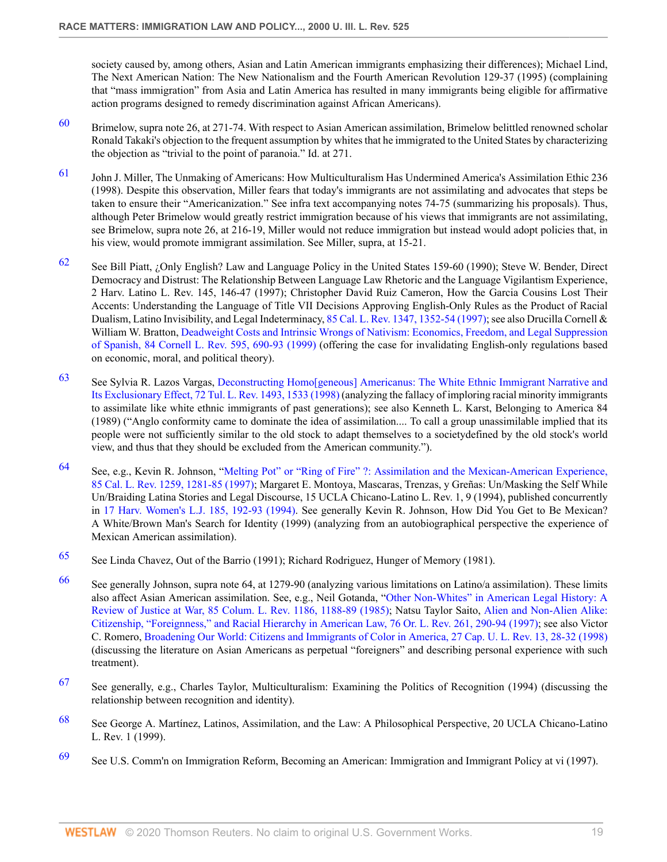society caused by, among others, Asian and Latin American immigrants emphasizing their differences); Michael Lind, The Next American Nation: The New Nationalism and the Fourth American Revolution 129-37 (1995) (complaining that "mass immigration" from Asia and Latin America has resulted in many immigrants being eligible for affirmative action programs designed to remedy discrimination against African Americans).

- <span id="page-18-0"></span> $60$  Brimelow, supra note 26, at 271-74. With respect to Asian American assimilation, Brimelow belittled renowned scholar Ronald Takaki's objection to the frequent assumption by whites that he immigrated to the United States by characterizing the objection as "trivial to the point of paranoia." Id. at 271.
- <span id="page-18-1"></span>[61](#page-3-15) John J. Miller, The Unmaking of Americans: How Multiculturalism Has Undermined America's Assimilation Ethic 236 (1998). Despite this observation, Miller fears that today's immigrants are not assimilating and advocates that steps be taken to ensure their "Americanization." See infra text accompanying notes 74-75 (summarizing his proposals). Thus, although Peter Brimelow would greatly restrict immigration because of his views that immigrants are not assimilating, see Brimelow, supra note 26, at 216-19, Miller would not reduce immigration but instead would adopt policies that, in his view, would promote immigrant assimilation. See Miller, supra, at 15-21.
- <span id="page-18-2"></span>[62](#page-3-16) See Bill Piatt, ¿Only English? Law and Language Policy in the United States 159-60 (1990); Steve W. Bender, Direct Democracy and Distrust: The Relationship Between Language Law Rhetoric and the Language Vigilantism Experience, 2 Harv. Latino L. Rev. 145, 146-47 (1997); Christopher David Ruiz Cameron, How the Garcia Cousins Lost Their Accents: Understanding the Language of Title VII Decisions Approving English-Only Rules as the Product of Racial Dualism, Latino Invisibility, and Legal Indeterminacy, [85 Cal. L. Rev. 1347, 1352-54 \(1997\);](http://www.westlaw.com/Link/Document/FullText?findType=Y&serNum=0108716403&pubNum=1107&originatingDoc=Icfe969814b0211dba16d88fb847e95e5&refType=LR&fi=co_pp_sp_1107_1352&originationContext=document&vr=3.0&rs=cblt1.0&transitionType=DocumentItem&contextData=(sc.UserEnteredCitation)#co_pp_sp_1107_1352) see also Drucilla Cornell & William W. Bratton, [Deadweight Costs and Intrinsic Wrongs of Nativism: Economics, Freedom, and Legal Suppression](http://www.westlaw.com/Link/Document/FullText?findType=Y&serNum=0110718895&pubNum=1111&originatingDoc=Icfe969814b0211dba16d88fb847e95e5&refType=LR&originationContext=document&vr=3.0&rs=cblt1.0&transitionType=DocumentItem&contextData=(sc.UserEnteredCitation)) [of Spanish, 84 Cornell L. Rev. 595, 690-93 \(1999\)](http://www.westlaw.com/Link/Document/FullText?findType=Y&serNum=0110718895&pubNum=1111&originatingDoc=Icfe969814b0211dba16d88fb847e95e5&refType=LR&originationContext=document&vr=3.0&rs=cblt1.0&transitionType=DocumentItem&contextData=(sc.UserEnteredCitation)) (offering the case for invalidating English-only regulations based on economic, moral, and political theory).
- <span id="page-18-3"></span>[63](#page-3-17) See Sylvia R. Lazos Vargas, [Deconstructing Homo\[geneous\] Americanus: The White Ethnic Immigrant Narrative and](http://www.westlaw.com/Link/Document/FullText?findType=Y&serNum=0109041658&pubNum=1254&originatingDoc=Icfe969814b0211dba16d88fb847e95e5&refType=LR&fi=co_pp_sp_1254_1533&originationContext=document&vr=3.0&rs=cblt1.0&transitionType=DocumentItem&contextData=(sc.UserEnteredCitation)#co_pp_sp_1254_1533) [Its Exclusionary Effect, 72 Tul. L. Rev. 1493, 1533 \(1998\)](http://www.westlaw.com/Link/Document/FullText?findType=Y&serNum=0109041658&pubNum=1254&originatingDoc=Icfe969814b0211dba16d88fb847e95e5&refType=LR&fi=co_pp_sp_1254_1533&originationContext=document&vr=3.0&rs=cblt1.0&transitionType=DocumentItem&contextData=(sc.UserEnteredCitation)#co_pp_sp_1254_1533) (analyzing the fallacy of imploring racial minority immigrants to assimilate like white ethnic immigrants of past generations); see also Kenneth L. Karst, Belonging to America 84 (1989) ("Anglo conformity came to dominate the idea of assimilation.... To call a group unassimilable implied that its people were not sufficiently similar to the old stock to adapt themselves to a societydefined by the old stock's world view, and thus that they should be excluded from the American community.").
- <span id="page-18-4"></span>[64](#page-3-18) See, e.g., Kevin R. Johnson, "[Melting Pot" or "Ring of Fire" ?: Assimilation and the Mexican-American Experience,](http://www.westlaw.com/Link/Document/FullText?findType=Y&serNum=0108716401&pubNum=1107&originatingDoc=Icfe969814b0211dba16d88fb847e95e5&refType=LR&fi=co_pp_sp_1107_1281&originationContext=document&vr=3.0&rs=cblt1.0&transitionType=DocumentItem&contextData=(sc.UserEnteredCitation)#co_pp_sp_1107_1281) [85 Cal. L. Rev. 1259, 1281-85 \(1997\)](http://www.westlaw.com/Link/Document/FullText?findType=Y&serNum=0108716401&pubNum=1107&originatingDoc=Icfe969814b0211dba16d88fb847e95e5&refType=LR&fi=co_pp_sp_1107_1281&originationContext=document&vr=3.0&rs=cblt1.0&transitionType=DocumentItem&contextData=(sc.UserEnteredCitation)#co_pp_sp_1107_1281); Margaret E. Montoya, Mascaras, Trenzas, y Greñas: Un/Masking the Self While Un/Braiding Latina Stories and Legal Discourse, 15 UCLA Chicano-Latino L. Rev. 1, 9 (1994), published concurrently in [17 Harv. Women's L.J. 185, 192-93 \(1994\)](http://www.westlaw.com/Link/Document/FullText?findType=Y&serNum=0104428035&pubNum=1156&originatingDoc=Icfe969814b0211dba16d88fb847e95e5&refType=LR&fi=co_pp_sp_1156_192&originationContext=document&vr=3.0&rs=cblt1.0&transitionType=DocumentItem&contextData=(sc.UserEnteredCitation)#co_pp_sp_1156_192). See generally Kevin R. Johnson, How Did You Get to Be Mexican? A White/Brown Man's Search for Identity (1999) (analyzing from an autobiographical perspective the experience of Mexican American assimilation).
- <span id="page-18-5"></span>[65](#page-3-19) See Linda Chavez, Out of the Barrio (1991); Richard Rodriguez, Hunger of Memory (1981).
- <span id="page-18-6"></span>[66](#page-3-20) See generally Johnson, supra note 64, at 1279-90 (analyzing various limitations on Latino/a assimilation). These limits also affect Asian American assimilation. See, e.g., Neil Gotanda, ["Other Non-Whites" in American Legal History: A](http://www.westlaw.com/Link/Document/FullText?findType=Y&serNum=0101475546&pubNum=3050&originatingDoc=Icfe969814b0211dba16d88fb847e95e5&refType=LR&fi=co_pp_sp_3050_1188&originationContext=document&vr=3.0&rs=cblt1.0&transitionType=DocumentItem&contextData=(sc.UserEnteredCitation)#co_pp_sp_3050_1188) [Review of Justice at War, 85 Colum. L. Rev. 1186, 1188-89 \(1985\)](http://www.westlaw.com/Link/Document/FullText?findType=Y&serNum=0101475546&pubNum=3050&originatingDoc=Icfe969814b0211dba16d88fb847e95e5&refType=LR&fi=co_pp_sp_3050_1188&originationContext=document&vr=3.0&rs=cblt1.0&transitionType=DocumentItem&contextData=(sc.UserEnteredCitation)#co_pp_sp_3050_1188); Natsu Taylor Saito, [Alien and Non-Alien Alike:](http://www.westlaw.com/Link/Document/FullText?findType=Y&serNum=0108934258&pubNum=1219&originatingDoc=Icfe969814b0211dba16d88fb847e95e5&refType=LR&fi=co_pp_sp_1219_290&originationContext=document&vr=3.0&rs=cblt1.0&transitionType=DocumentItem&contextData=(sc.UserEnteredCitation)#co_pp_sp_1219_290) [Citizenship, "Foreignness," and Racial Hierarchy in American Law, 76 Or. L. Rev. 261, 290-94 \(1997\)](http://www.westlaw.com/Link/Document/FullText?findType=Y&serNum=0108934258&pubNum=1219&originatingDoc=Icfe969814b0211dba16d88fb847e95e5&refType=LR&fi=co_pp_sp_1219_290&originationContext=document&vr=3.0&rs=cblt1.0&transitionType=DocumentItem&contextData=(sc.UserEnteredCitation)#co_pp_sp_1219_290); see also Victor C. Romero, [Broadening Our World: Citizens and Immigrants of Color in America, 27 Cap. U. L. Rev. 13, 28-32 \(1998\)](http://www.westlaw.com/Link/Document/FullText?findType=Y&serNum=0110715300&pubNum=2987&originatingDoc=Icfe969814b0211dba16d88fb847e95e5&refType=LR&fi=co_pp_sp_2987_28&originationContext=document&vr=3.0&rs=cblt1.0&transitionType=DocumentItem&contextData=(sc.UserEnteredCitation)#co_pp_sp_2987_28) (discussing the literature on Asian Americans as perpetual "foreigners" and describing personal experience with such treatment).
- <span id="page-18-7"></span>[67](#page-3-21) See generally, e.g., Charles Taylor, Multiculturalism: Examining the Politics of Recognition (1994) (discussing the relationship between recognition and identity).
- <span id="page-18-8"></span>[68](#page-3-22) See George A. Martínez, Latinos, Assimilation, and the Law: A Philosophical Perspective, 20 UCLA Chicano-Latino L. Rev. 1 (1999).
- <span id="page-18-9"></span>[69](#page-4-0) See U.S. Comm'n on Immigration Reform, Becoming an American: Immigration and Immigrant Policy at vi (1997).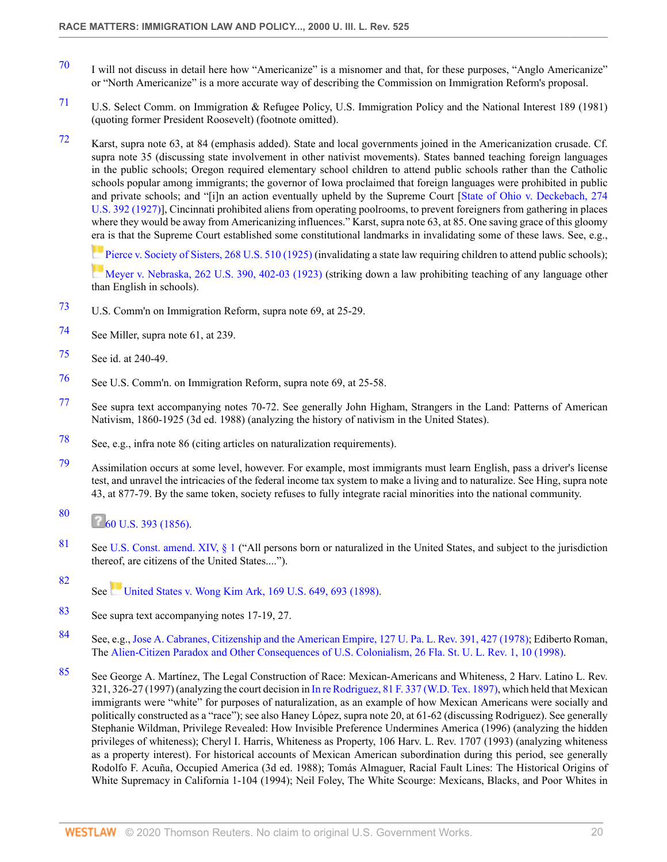- <span id="page-19-0"></span>[70](#page-4-1) I will not discuss in detail here how "Americanize" is a misnomer and that, for these purposes, "Anglo Americanize" or "North Americanize" is a more accurate way of describing the Commission on Immigration Reform's proposal.
- <span id="page-19-1"></span>[71](#page-4-2) U.S. Select Comm. on Immigration & Refugee Policy, U.S. Immigration Policy and the National Interest 189 (1981) (quoting former President Roosevelt) (footnote omitted).
- <span id="page-19-2"></span>[72](#page-4-3) Karst, supra note 63, at 84 (emphasis added). State and local governments joined in the Americanization crusade. Cf. supra note 35 (discussing state involvement in other nativist movements). States banned teaching foreign languages in the public schools; Oregon required elementary school children to attend public schools rather than the Catholic schools popular among immigrants; the governor of Iowa proclaimed that foreign languages were prohibited in public and private schools; and "[i]n an action eventually upheld by the Supreme Court [[State of Ohio v. Deckebach, 274](http://www.westlaw.com/Link/Document/FullText?findType=Y&serNum=1927124361&pubNum=780&originatingDoc=Icfe969814b0211dba16d88fb847e95e5&refType=RP&originationContext=document&vr=3.0&rs=cblt1.0&transitionType=DocumentItem&contextData=(sc.UserEnteredCitation)) [U.S. 392 \(1927\)\]](http://www.westlaw.com/Link/Document/FullText?findType=Y&serNum=1927124361&pubNum=780&originatingDoc=Icfe969814b0211dba16d88fb847e95e5&refType=RP&originationContext=document&vr=3.0&rs=cblt1.0&transitionType=DocumentItem&contextData=(sc.UserEnteredCitation)), Cincinnati prohibited aliens from operating poolrooms, to prevent foreigners from gathering in places where they would be away from Americanizing influences." Karst, supra note 63, at 85. One saving grace of this gloomy [era](https://1.next.westlaw.com/Link/RelatedInformation/Flag?documentGuid=I190f2d429cbc11d993e6d35cc61aab4a&transitionType=InlineKeyCiteFlags&originationContext=docHeaderFlag&Rank=0&contextData=(sc.UserEnteredCitation) ) is that the Supreme Court established some constitutional landmarks in invalidating some of these laws. See, e.g.,

[Pierce v. Society of Sisters, 268 U.S. 510 \(1925\)](http://www.westlaw.com/Link/Document/FullText?findType=Y&serNum=1925122126&pubNum=780&originatingDoc=Icfe969814b0211dba16d88fb847e95e5&refType=RP&originationContext=document&vr=3.0&rs=cblt1.0&transitionType=DocumentItem&contextData=(sc.UserEnteredCitation)) (invalidating a state law requiring children to attend public schools);

[Meyer v. Nebraska, 262 U.S. 390, 402-03 \(1923\)](http://www.westlaw.com/Link/Document/FullText?findType=Y&serNum=1923120440&pubNum=780&originatingDoc=Icfe969814b0211dba16d88fb847e95e5&refType=RP&fi=co_pp_sp_780_402&originationContext=document&vr=3.0&rs=cblt1.0&transitionType=DocumentItem&contextData=(sc.UserEnteredCitation)#co_pp_sp_780_402) (striking down a law prohibiting teaching of any language other than English in schools).

- <span id="page-19-3"></span>[73](#page-4-4) U.S. Comm'n on Immigration Reform, supra note 69, at 25-29.
- <span id="page-19-4"></span>[74](#page-4-5) See Miller, supra note 61, at 239.
- <span id="page-19-5"></span>[75](#page-4-6) See id. at 240-49.
- <span id="page-19-6"></span>[76](#page-4-7) See U.S. Comm'n. on Immigration Reform, supra note 69, at 25-58.
- <span id="page-19-7"></span>[77](#page-4-8) See supra text accompanying notes 70-72. See generally John Higham, Strangers in the Land: Patterns of American Nativism, 1860-1925 (3d ed. 1988) (analyzing the history of nativism in the United States).
- <span id="page-19-8"></span>[78](#page-4-9) See, e.g., infra note 86 (citing articles on naturalization requirements).
- <span id="page-19-9"></span>[79](#page-4-10) Assimilation occurs at some level, however. For example, most immigrants must learn English, pass a driver's license test, and unravel the intricacies of the federal income tax system to make a living and to naturalize. See Hing, supra note 43, at 877-79. By the same token, society refuses to fully integrate racial minorities into the national community.

#### <span id="page-19-10"></span>[80](#page-4-11)  $\frac{60 \text{ U.S. } 393 (1856)}{200 \text{ U.S. } 393 (1856)}$

- <span id="page-19-11"></span>[81](#page-4-12) See [U.S. Const. amend. XIV, § 1](http://www.westlaw.com/Link/Document/FullText?findType=L&pubNum=1000546&cite=USCOAMENDXIVS1&originatingDoc=Icfe969814b0211dba16d88fb847e95e5&refType=LQ&originationContext=document&vr=3.0&rs=cblt1.0&transitionType=DocumentItem&contextData=(sc.UserEnteredCitation)) ("All persons born or naturalized in the United States, and subject to the jurisdiction thereof, are citizens of the United States....").
- <span id="page-19-12"></span>[82](#page-4-13) See [United States v. Wong Kim Ark, 169 U.S. 649, 693 \(1898\).](http://www.westlaw.com/Link/Document/FullText?findType=Y&serNum=1898180070&pubNum=780&originatingDoc=Icfe969814b0211dba16d88fb847e95e5&refType=RP&fi=co_pp_sp_780_693&originationContext=document&vr=3.0&rs=cblt1.0&transitionType=DocumentItem&contextData=(sc.UserEnteredCitation)#co_pp_sp_780_693)
- <span id="page-19-13"></span>[83](#page-4-14) See supra text accompanying notes 17-19, 27.
- <span id="page-19-14"></span>[84](#page-4-15) See, e.g., [Jose A. Cabranes, Citizenship and the American Empire, 127 U. Pa. L. Rev. 391, 427 \(1978\)](http://www.westlaw.com/Link/Document/FullText?findType=Y&serNum=0284394795&pubNum=1268&originatingDoc=Icfe969814b0211dba16d88fb847e95e5&refType=LR&fi=co_pp_sp_1268_427&originationContext=document&vr=3.0&rs=cblt1.0&transitionType=DocumentItem&contextData=(sc.UserEnteredCitation)#co_pp_sp_1268_427); Ediberto Roman, The [Alien-Citizen Paradox and Other Consequences of U.S. Colonialism, 26 Fla. St. U. L. Rev. 1, 10 \(1998\)](http://www.westlaw.com/Link/Document/FullText?findType=Y&serNum=0110163790&pubNum=1141&originatingDoc=Icfe969814b0211dba16d88fb847e95e5&refType=LR&fi=co_pp_sp_1141_10&originationContext=document&vr=3.0&rs=cblt1.0&transitionType=DocumentItem&contextData=(sc.UserEnteredCitation)#co_pp_sp_1141_10).
- <span id="page-19-15"></span>[85](#page-4-16) See George A. Martínez, The Legal Construction of Race: Mexican-Americans and Whiteness, 2 Harv. Latino L. Rev. 321, 326-27 (1997) (analyzing the court decision in [In re Rodriguez, 81 F. 337 \(W.D. Tex. 1897\)](http://www.westlaw.com/Link/Document/FullText?findType=Y&serNum=1897148884&pubNum=348&originatingDoc=Icfe969814b0211dba16d88fb847e95e5&refType=RP&originationContext=document&vr=3.0&rs=cblt1.0&transitionType=DocumentItem&contextData=(sc.UserEnteredCitation)), which held that Mexican immigrants were "white" for purposes of naturalization, as an example of how Mexican Americans were socially and politically constructed as a "race"); see also Haney López, supra note 20, at 61-62 (discussing Rodriguez). See generally Stephanie Wildman, Privilege Revealed: How Invisible Preference Undermines America (1996) (analyzing the hidden privileges of whiteness); Cheryl I. Harris, Whiteness as Property, 106 Harv. L. Rev. 1707 (1993) (analyzing whiteness as a property interest). For historical accounts of Mexican American subordination during this period, see generally Rodolfo F. Acuña, Occupied America (3d ed. 1988); Tomás Almaguer, Racial Fault Lines: The Historical Origins of White Supremacy in California 1-104 (1994); Neil Foley, The White Scourge: Mexicans, Blacks, and Poor Whites in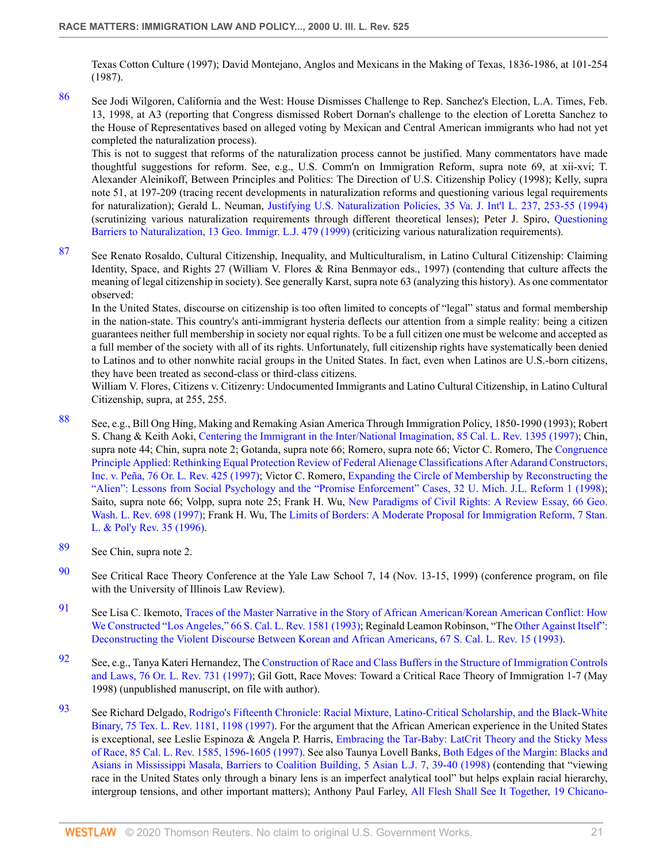Texas Cotton Culture (1997); David Montejano, Anglos and Mexicans in the Making of Texas, 1836-1986, at 101-254 (1987).

<span id="page-20-0"></span>[86](#page-4-17) See Jodi Wilgoren, California and the West: House Dismisses Challenge to Rep. Sanchez's Election, L.A. Times, Feb. 13, 1998, at A3 (reporting that Congress dismissed Robert Dornan's challenge to the election of Loretta Sanchez to the House of Representatives based on alleged voting by Mexican and Central American immigrants who had not yet completed the naturalization process).

This is not to suggest that reforms of the naturalization process cannot be justified. Many commentators have made thoughtful suggestions for reform. See, e.g., U.S. Comm'n on Immigration Reform, supra note 69, at xii-xvi; T. Alexander Aleinikoff, Between Principles and Politics: The Direction of U.S. Citizenship Policy (1998); Kelly, supra note 51, at 197-209 (tracing recent developments in naturalization reforms and questioning various legal requirements for naturalization); Gerald L. Neuman, [Justifying U.S. Naturalization Policies, 35 Va. J. Int'l L. 237, 253-55 \(1994\)](http://www.westlaw.com/Link/Document/FullText?findType=Y&serNum=0105287007&pubNum=1275&originatingDoc=Icfe969814b0211dba16d88fb847e95e5&refType=LR&fi=co_pp_sp_1275_253&originationContext=document&vr=3.0&rs=cblt1.0&transitionType=DocumentItem&contextData=(sc.UserEnteredCitation)#co_pp_sp_1275_253) (scrutinizing various naturalization requirements through different theoretical lenses); Peter J. Spiro, [Questioning](http://www.westlaw.com/Link/Document/FullText?findType=Y&serNum=0113003476&pubNum=1662&originatingDoc=Icfe969814b0211dba16d88fb847e95e5&refType=LR&originationContext=document&vr=3.0&rs=cblt1.0&transitionType=DocumentItem&contextData=(sc.UserEnteredCitation)) [Barriers to Naturalization, 13 Geo. Immigr. L.J. 479 \(1999\)](http://www.westlaw.com/Link/Document/FullText?findType=Y&serNum=0113003476&pubNum=1662&originatingDoc=Icfe969814b0211dba16d88fb847e95e5&refType=LR&originationContext=document&vr=3.0&rs=cblt1.0&transitionType=DocumentItem&contextData=(sc.UserEnteredCitation)) (criticizing various naturalization requirements).

<span id="page-20-1"></span>[87](#page-4-18) See Renato Rosaldo, Cultural Citizenship, Inequality, and Multiculturalism, in Latino Cultural Citizenship: Claiming Identity, Space, and Rights 27 (William V. Flores & Rina Benmayor eds., 1997) (contending that culture affects the meaning of legal citizenship in society). See generally Karst, supra note 63 (analyzing this history). As one commentator observed:

In the United States, discourse on citizenship is too often limited to concepts of "legal" status and formal membership in the nation-state. This country's anti-immigrant hysteria deflects our attention from a simple reality: being a citizen guarantees neither full membership in society nor equal rights. To be a full citizen one must be welcome and accepted as a full member of the society with all of its rights. Unfortunately, full citizenship rights have systematically been denied to Latinos and to other nonwhite racial groups in the United States. In fact, even when Latinos are U.S.-born citizens, they have been treated as second-class or third-class citizens.

William V. Flores, Citizens v. Citizenry: Undocumented Immigrants and Latino Cultural Citizenship, in Latino Cultural Citizenship, supra, at 255, 255.

- <span id="page-20-2"></span>[88](#page-5-0) See, e.g., Bill Ong Hing, Making and Remaking Asian America Through Immigration Policy, 1850-1990 (1993); Robert S. Chang & Keith Aoki, [Centering the Immigrant in the Inter/National Imagination, 85 Cal. L. Rev. 1395 \(1997\);](http://www.westlaw.com/Link/Document/FullText?findType=Y&serNum=0108716404&pubNum=1107&originatingDoc=Icfe969814b0211dba16d88fb847e95e5&refType=LR&originationContext=document&vr=3.0&rs=cblt1.0&transitionType=DocumentItem&contextData=(sc.UserEnteredCitation)) Chin, supra note 44; Chin, supra note 2; Gotanda, supra note 66; Romero, supra note 66; Victor C. Romero, The [Congruence](http://www.westlaw.com/Link/Document/FullText?findType=Y&serNum=0108934261&pubNum=1219&originatingDoc=Icfe969814b0211dba16d88fb847e95e5&refType=LR&originationContext=document&vr=3.0&rs=cblt1.0&transitionType=DocumentItem&contextData=(sc.UserEnteredCitation)) [Principle Applied: Rethinking Equal Protection Review of Federal Alienage Classifications After Adarand Constructors,](http://www.westlaw.com/Link/Document/FullText?findType=Y&serNum=0108934261&pubNum=1219&originatingDoc=Icfe969814b0211dba16d88fb847e95e5&refType=LR&originationContext=document&vr=3.0&rs=cblt1.0&transitionType=DocumentItem&contextData=(sc.UserEnteredCitation)) [Inc. v. Peña, 76 Or. L. Rev. 425 \(1997\)](http://www.westlaw.com/Link/Document/FullText?findType=Y&serNum=0108934261&pubNum=1219&originatingDoc=Icfe969814b0211dba16d88fb847e95e5&refType=LR&originationContext=document&vr=3.0&rs=cblt1.0&transitionType=DocumentItem&contextData=(sc.UserEnteredCitation)); Victor C. Romero, [Expanding the Circle of Membership by Reconstructing the](http://www.westlaw.com/Link/Document/FullText?findType=Y&serNum=0110799883&pubNum=1358&originatingDoc=Icfe969814b0211dba16d88fb847e95e5&refType=LR&originationContext=document&vr=3.0&rs=cblt1.0&transitionType=DocumentItem&contextData=(sc.UserEnteredCitation)) ["Alien": Lessons from Social Psychology and the "Promise Enforcement" Cases, 32 U. Mich. J.L. Reform 1 \(1998\)](http://www.westlaw.com/Link/Document/FullText?findType=Y&serNum=0110799883&pubNum=1358&originatingDoc=Icfe969814b0211dba16d88fb847e95e5&refType=LR&originationContext=document&vr=3.0&rs=cblt1.0&transitionType=DocumentItem&contextData=(sc.UserEnteredCitation)); Saito, supra note 66; Volpp, supra note 25; Frank H. Wu, [New Paradigms of Civil Rights: A Review Essay, 66 Geo.](http://www.westlaw.com/Link/Document/FullText?findType=Y&serNum=0108831848&pubNum=1147&originatingDoc=Icfe969814b0211dba16d88fb847e95e5&refType=LR&originationContext=document&vr=3.0&rs=cblt1.0&transitionType=DocumentItem&contextData=(sc.UserEnteredCitation)) [Wash. L. Rev. 698 \(1997\);](http://www.westlaw.com/Link/Document/FullText?findType=Y&serNum=0108831848&pubNum=1147&originatingDoc=Icfe969814b0211dba16d88fb847e95e5&refType=LR&originationContext=document&vr=3.0&rs=cblt1.0&transitionType=DocumentItem&contextData=(sc.UserEnteredCitation)) Frank H. Wu, The [Limits of Borders: A Moderate Proposal for Immigration Reform, 7 Stan.](http://www.westlaw.com/Link/Document/FullText?findType=Y&serNum=0106675959&pubNum=101481&originatingDoc=Icfe969814b0211dba16d88fb847e95e5&refType=LR&originationContext=document&vr=3.0&rs=cblt1.0&transitionType=DocumentItem&contextData=(sc.UserEnteredCitation)) [L. & Pol'y Rev. 35 \(1996\).](http://www.westlaw.com/Link/Document/FullText?findType=Y&serNum=0106675959&pubNum=101481&originatingDoc=Icfe969814b0211dba16d88fb847e95e5&refType=LR&originationContext=document&vr=3.0&rs=cblt1.0&transitionType=DocumentItem&contextData=(sc.UserEnteredCitation))
- <span id="page-20-3"></span>[89](#page-5-1) See Chin, supra note 2.
- <span id="page-20-4"></span>[90](#page-5-2) See Critical Race Theory Conference at the Yale Law School 7, 14 (Nov. 13-15, 1999) (conference program, on file with the University of Illinois Law Review).
- <span id="page-20-5"></span>[91](#page-5-3) See Lisa C. Ikemoto, [Traces of the Master Narrative in the Story of African American/Korean American Conflict: How](http://www.westlaw.com/Link/Document/FullText?findType=Y&serNum=0103145286&pubNum=1228&originatingDoc=Icfe969814b0211dba16d88fb847e95e5&refType=LR&originationContext=document&vr=3.0&rs=cblt1.0&transitionType=DocumentItem&contextData=(sc.UserEnteredCitation)) [We Constructed "Los Angeles," 66 S. Cal. L. Rev. 1581 \(1993\);](http://www.westlaw.com/Link/Document/FullText?findType=Y&serNum=0103145286&pubNum=1228&originatingDoc=Icfe969814b0211dba16d88fb847e95e5&refType=LR&originationContext=document&vr=3.0&rs=cblt1.0&transitionType=DocumentItem&contextData=(sc.UserEnteredCitation)) Reginald Leamon Robinson, "The [Other Against Itself":](http://www.westlaw.com/Link/Document/FullText?findType=Y&serNum=0103371076&pubNum=1228&originatingDoc=Icfe969814b0211dba16d88fb847e95e5&refType=LR&originationContext=document&vr=3.0&rs=cblt1.0&transitionType=DocumentItem&contextData=(sc.UserEnteredCitation)) [Deconstructing the Violent Discourse Between Korean and African Americans, 67 S. Cal. L. Rev. 15 \(1993\).](http://www.westlaw.com/Link/Document/FullText?findType=Y&serNum=0103371076&pubNum=1228&originatingDoc=Icfe969814b0211dba16d88fb847e95e5&refType=LR&originationContext=document&vr=3.0&rs=cblt1.0&transitionType=DocumentItem&contextData=(sc.UserEnteredCitation))
- <span id="page-20-6"></span>[92](#page-5-4) See, e.g., Tanya Kateri Hernandez, The [Construction of Race and Class Buffers in the Structure of Immigration Controls](http://www.westlaw.com/Link/Document/FullText?findType=Y&serNum=0108913870&pubNum=1219&originatingDoc=Icfe969814b0211dba16d88fb847e95e5&refType=LR&originationContext=document&vr=3.0&rs=cblt1.0&transitionType=DocumentItem&contextData=(sc.UserEnteredCitation)) [and Laws, 76 Or. L. Rev. 731 \(1997\);](http://www.westlaw.com/Link/Document/FullText?findType=Y&serNum=0108913870&pubNum=1219&originatingDoc=Icfe969814b0211dba16d88fb847e95e5&refType=LR&originationContext=document&vr=3.0&rs=cblt1.0&transitionType=DocumentItem&contextData=(sc.UserEnteredCitation)) Gil Gott, Race Moves: Toward a Critical Race Theory of Immigration 1-7 (May 1998) (unpublished manuscript, on file with author).
- <span id="page-20-7"></span>[93](#page-5-5) See Richard Delgado, [Rodrigo's Fifteenth Chronicle: Racial Mixture, Latino-Critical Scholarship, and the Black-White](http://www.westlaw.com/Link/Document/FullText?findType=Y&serNum=0107798413&pubNum=1251&originatingDoc=Icfe969814b0211dba16d88fb847e95e5&refType=LR&fi=co_pp_sp_1251_1198&originationContext=document&vr=3.0&rs=cblt1.0&transitionType=DocumentItem&contextData=(sc.UserEnteredCitation)#co_pp_sp_1251_1198) [Binary, 75 Tex. L. Rev. 1181, 1198 \(1997\)](http://www.westlaw.com/Link/Document/FullText?findType=Y&serNum=0107798413&pubNum=1251&originatingDoc=Icfe969814b0211dba16d88fb847e95e5&refType=LR&fi=co_pp_sp_1251_1198&originationContext=document&vr=3.0&rs=cblt1.0&transitionType=DocumentItem&contextData=(sc.UserEnteredCitation)#co_pp_sp_1251_1198). For the argument that the African American experience in the United States is exceptional, see Leslie Espinoza & Angela P. Harris, [Embracing the Tar-Baby: LatCrit Theory and the Sticky Mess](http://www.westlaw.com/Link/Document/FullText?findType=Y&serNum=0108716407&pubNum=1107&originatingDoc=Icfe969814b0211dba16d88fb847e95e5&refType=LR&fi=co_pp_sp_1107_1596&originationContext=document&vr=3.0&rs=cblt1.0&transitionType=DocumentItem&contextData=(sc.UserEnteredCitation)#co_pp_sp_1107_1596) [of Race, 85 Cal. L. Rev. 1585, 1596-1605 \(1997\).](http://www.westlaw.com/Link/Document/FullText?findType=Y&serNum=0108716407&pubNum=1107&originatingDoc=Icfe969814b0211dba16d88fb847e95e5&refType=LR&fi=co_pp_sp_1107_1596&originationContext=document&vr=3.0&rs=cblt1.0&transitionType=DocumentItem&contextData=(sc.UserEnteredCitation)#co_pp_sp_1107_1596) See also Taunya Lovell Banks, [Both Edges of the Margin: Blacks and](http://www.westlaw.com/Link/Document/FullText?findType=Y&serNum=0110629286&pubNum=105500&originatingDoc=Icfe969814b0211dba16d88fb847e95e5&refType=LR&fi=co_pp_sp_105500_39&originationContext=document&vr=3.0&rs=cblt1.0&transitionType=DocumentItem&contextData=(sc.UserEnteredCitation)#co_pp_sp_105500_39) [Asians in Mississippi Masala, Barriers to Coalition Building, 5 Asian L.J. 7, 39-40 \(1998\)](http://www.westlaw.com/Link/Document/FullText?findType=Y&serNum=0110629286&pubNum=105500&originatingDoc=Icfe969814b0211dba16d88fb847e95e5&refType=LR&fi=co_pp_sp_105500_39&originationContext=document&vr=3.0&rs=cblt1.0&transitionType=DocumentItem&contextData=(sc.UserEnteredCitation)#co_pp_sp_105500_39) (contending that "viewing race in the United States only through a binary lens is an imperfect analytical tool" but helps explain racial hierarchy, intergroup tensions, and other important matters); Anthony Paul Farley, [All Flesh Shall See It Together, 19 Chicano-](http://www.westlaw.com/Link/Document/FullText?findType=Y&serNum=0110222940&pubNum=101705&originatingDoc=Icfe969814b0211dba16d88fb847e95e5&refType=LR&fi=co_pp_sp_101705_171&originationContext=document&vr=3.0&rs=cblt1.0&transitionType=DocumentItem&contextData=(sc.UserEnteredCitation)#co_pp_sp_101705_171)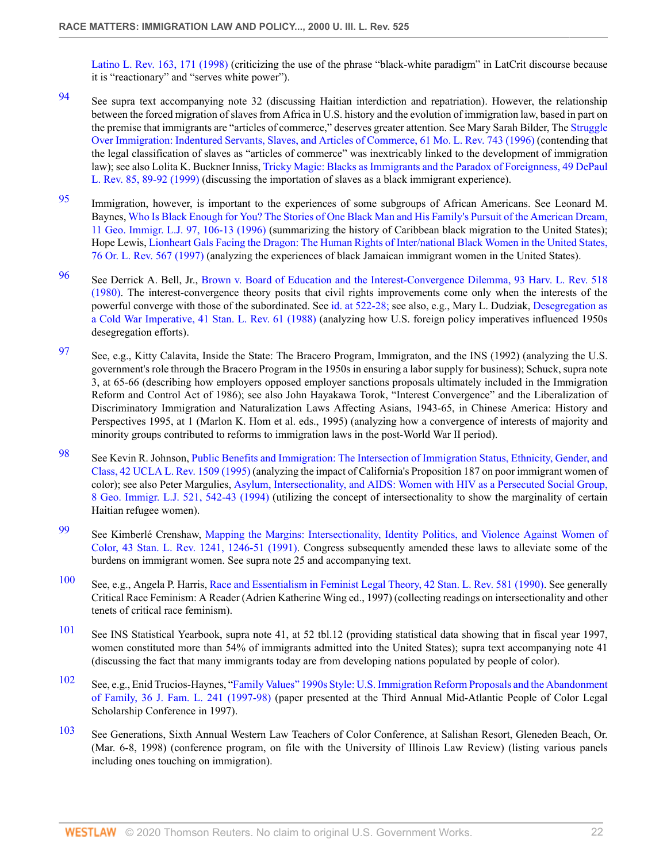[Latino L. Rev. 163, 171 \(1998\)](http://www.westlaw.com/Link/Document/FullText?findType=Y&serNum=0110222940&pubNum=101705&originatingDoc=Icfe969814b0211dba16d88fb847e95e5&refType=LR&fi=co_pp_sp_101705_171&originationContext=document&vr=3.0&rs=cblt1.0&transitionType=DocumentItem&contextData=(sc.UserEnteredCitation)#co_pp_sp_101705_171) (criticizing the use of the phrase "black-white paradigm" in LatCrit discourse because it is "reactionary" and "serves white power").

- <span id="page-21-0"></span>[94](#page-5-6) See supra text accompanying note 32 (discussing Haitian interdiction and repatriation). However, the relationship between the forced migration of slaves from Africa in U.S. history and the evolution of immigration law, based in part on the premise that immigrants are "articles of commerce," deserves greater attention. See Mary Sarah Bilder, The [Struggle](http://www.westlaw.com/Link/Document/FullText?findType=Y&serNum=0107067920&pubNum=1196&originatingDoc=Icfe969814b0211dba16d88fb847e95e5&refType=LR&originationContext=document&vr=3.0&rs=cblt1.0&transitionType=DocumentItem&contextData=(sc.UserEnteredCitation)) [Over Immigration: Indentured Servants, Slaves, and Articles of Commerce, 61 Mo. L. Rev. 743 \(1996\)](http://www.westlaw.com/Link/Document/FullText?findType=Y&serNum=0107067920&pubNum=1196&originatingDoc=Icfe969814b0211dba16d88fb847e95e5&refType=LR&originationContext=document&vr=3.0&rs=cblt1.0&transitionType=DocumentItem&contextData=(sc.UserEnteredCitation)) (contending that the legal classification of slaves as "articles of commerce" was inextricably linked to the development of immigration law); see also Lolita K. Buckner Inniss, [Tricky Magic: Blacks as Immigrants and the Paradox of Foreignness, 49 DePaul](http://www.westlaw.com/Link/Document/FullText?findType=Y&serNum=0112659029&pubNum=1126&originatingDoc=Icfe969814b0211dba16d88fb847e95e5&refType=LR&fi=co_pp_sp_1126_89&originationContext=document&vr=3.0&rs=cblt1.0&transitionType=DocumentItem&contextData=(sc.UserEnteredCitation)#co_pp_sp_1126_89) [L. Rev. 85, 89-92 \(1999\)](http://www.westlaw.com/Link/Document/FullText?findType=Y&serNum=0112659029&pubNum=1126&originatingDoc=Icfe969814b0211dba16d88fb847e95e5&refType=LR&fi=co_pp_sp_1126_89&originationContext=document&vr=3.0&rs=cblt1.0&transitionType=DocumentItem&contextData=(sc.UserEnteredCitation)#co_pp_sp_1126_89) (discussing the importation of slaves as a black immigrant experience).
- <span id="page-21-1"></span>[95](#page-5-7) Immigration, however, is important to the experiences of some subgroups of African Americans. See Leonard M. Baynes, [Who Is Black Enough for You? The Stories of One Black Man and His Family's Pursuit of the American Dream,](http://www.westlaw.com/Link/Document/FullText?findType=Y&serNum=0107764489&pubNum=1662&originatingDoc=Icfe969814b0211dba16d88fb847e95e5&refType=LR&fi=co_pp_sp_1662_106&originationContext=document&vr=3.0&rs=cblt1.0&transitionType=DocumentItem&contextData=(sc.UserEnteredCitation)#co_pp_sp_1662_106) [11 Geo. Immigr. L.J. 97, 106-13 \(1996\)](http://www.westlaw.com/Link/Document/FullText?findType=Y&serNum=0107764489&pubNum=1662&originatingDoc=Icfe969814b0211dba16d88fb847e95e5&refType=LR&fi=co_pp_sp_1662_106&originationContext=document&vr=3.0&rs=cblt1.0&transitionType=DocumentItem&contextData=(sc.UserEnteredCitation)#co_pp_sp_1662_106) (summarizing the history of Caribbean black migration to the United States); Hope Lewis, [Lionheart Gals Facing the Dragon: The Human Rights of Inter/national Black Women in the United States,](http://www.westlaw.com/Link/Document/FullText?findType=Y&serNum=0108913867&pubNum=1219&originatingDoc=Icfe969814b0211dba16d88fb847e95e5&refType=LR&originationContext=document&vr=3.0&rs=cblt1.0&transitionType=DocumentItem&contextData=(sc.UserEnteredCitation)) [76 Or. L. Rev. 567 \(1997\)](http://www.westlaw.com/Link/Document/FullText?findType=Y&serNum=0108913867&pubNum=1219&originatingDoc=Icfe969814b0211dba16d88fb847e95e5&refType=LR&originationContext=document&vr=3.0&rs=cblt1.0&transitionType=DocumentItem&contextData=(sc.UserEnteredCitation)) (analyzing the experiences of black Jamaican immigrant women in the United States).
- <span id="page-21-2"></span>[96](#page-5-8) See Derrick A. Bell, Jr., [Brown v. Board of Education and the Interest-Convergence Dilemma, 93 Harv. L. Rev. 518](http://www.westlaw.com/Link/Document/FullText?findType=Y&serNum=0110404484&pubNum=3084&originatingDoc=Icfe969814b0211dba16d88fb847e95e5&refType=LR&originationContext=document&vr=3.0&rs=cblt1.0&transitionType=DocumentItem&contextData=(sc.UserEnteredCitation)) [\(1980\).](http://www.westlaw.com/Link/Document/FullText?findType=Y&serNum=0110404484&pubNum=3084&originatingDoc=Icfe969814b0211dba16d88fb847e95e5&refType=LR&originationContext=document&vr=3.0&rs=cblt1.0&transitionType=DocumentItem&contextData=(sc.UserEnteredCitation)) The interest-convergence theory posits that civil rights improvements come only when the interests of the powerful converge with those of the subordinated. See [id. at 522-28;](http://www.westlaw.com/Link/Document/FullText?findType=Y&serNum=0110404484&originatingDoc=Icfe969814b0211dba16d88fb847e95e5&refType=LR&originationContext=document&vr=3.0&rs=cblt1.0&transitionType=DocumentItem&contextData=(sc.UserEnteredCitation)) see also, e.g., Mary L. Dudziak, [Desegregation as](http://www.westlaw.com/Link/Document/FullText?findType=Y&serNum=0102612376&pubNum=1239&originatingDoc=Icfe969814b0211dba16d88fb847e95e5&refType=LR&originationContext=document&vr=3.0&rs=cblt1.0&transitionType=DocumentItem&contextData=(sc.UserEnteredCitation)) [a Cold War Imperative, 41 Stan. L. Rev. 61 \(1988\)](http://www.westlaw.com/Link/Document/FullText?findType=Y&serNum=0102612376&pubNum=1239&originatingDoc=Icfe969814b0211dba16d88fb847e95e5&refType=LR&originationContext=document&vr=3.0&rs=cblt1.0&transitionType=DocumentItem&contextData=(sc.UserEnteredCitation)) (analyzing how U.S. foreign policy imperatives influenced 1950s desegregation efforts).
- <span id="page-21-3"></span>[97](#page-5-9) See, e.g., Kitty Calavita, Inside the State: The Bracero Program, Immigraton, and the INS (1992) (analyzing the U.S. government's role through the Bracero Program in the 1950s in ensuring a labor supply for business); Schuck, supra note 3, at 65-66 (describing how employers opposed employer sanctions proposals ultimately included in the Immigration Reform and Control Act of 1986); see also John Hayakawa Torok, "Interest Convergence" and the Liberalization of Discriminatory Immigration and Naturalization Laws Affecting Asians, 1943-65, in Chinese America: History and Perspectives 1995, at 1 (Marlon K. Hom et al. eds., 1995) (analyzing how a convergence of interests of majority and minority groups contributed to reforms to immigration laws in the post-World War II period).
- <span id="page-21-4"></span>[98](#page-5-10) See Kevin R. Johnson, [Public Benefits and Immigration: The Intersection of Immigration Status, Ethnicity, Gender, and](http://www.westlaw.com/Link/Document/FullText?findType=Y&serNum=0105778859&pubNum=3041&originatingDoc=Icfe969814b0211dba16d88fb847e95e5&refType=LR&originationContext=document&vr=3.0&rs=cblt1.0&transitionType=DocumentItem&contextData=(sc.UserEnteredCitation)) [Class, 42 UCLA L. Rev. 1509 \(1995\)](http://www.westlaw.com/Link/Document/FullText?findType=Y&serNum=0105778859&pubNum=3041&originatingDoc=Icfe969814b0211dba16d88fb847e95e5&refType=LR&originationContext=document&vr=3.0&rs=cblt1.0&transitionType=DocumentItem&contextData=(sc.UserEnteredCitation)) (analyzing the impact of California's Proposition 187 on poor immigrant women of color); see also Peter Margulies, [Asylum, Intersectionality, and AIDS: Women with HIV as a Persecuted Social Group,](http://www.westlaw.com/Link/Document/FullText?findType=Y&serNum=0104953544&pubNum=1662&originatingDoc=Icfe969814b0211dba16d88fb847e95e5&refType=LR&fi=co_pp_sp_1662_542&originationContext=document&vr=3.0&rs=cblt1.0&transitionType=DocumentItem&contextData=(sc.UserEnteredCitation)#co_pp_sp_1662_542) [8 Geo. Immigr. L.J. 521, 542-43 \(1994\)](http://www.westlaw.com/Link/Document/FullText?findType=Y&serNum=0104953544&pubNum=1662&originatingDoc=Icfe969814b0211dba16d88fb847e95e5&refType=LR&fi=co_pp_sp_1662_542&originationContext=document&vr=3.0&rs=cblt1.0&transitionType=DocumentItem&contextData=(sc.UserEnteredCitation)#co_pp_sp_1662_542) (utilizing the concept of intersectionality to show the marginality of certain Haitian refugee women).
- <span id="page-21-5"></span>[99](#page-5-11) See Kimberlé Crenshaw, [Mapping the Margins: Intersectionality, Identity Politics, and Violence Against Women of](http://www.westlaw.com/Link/Document/FullText?findType=Y&serNum=0103319080&pubNum=1239&originatingDoc=Icfe969814b0211dba16d88fb847e95e5&refType=LR&fi=co_pp_sp_1239_1246&originationContext=document&vr=3.0&rs=cblt1.0&transitionType=DocumentItem&contextData=(sc.UserEnteredCitation)#co_pp_sp_1239_1246) [Color, 43 Stan. L. Rev. 1241, 1246-51 \(1991\).](http://www.westlaw.com/Link/Document/FullText?findType=Y&serNum=0103319080&pubNum=1239&originatingDoc=Icfe969814b0211dba16d88fb847e95e5&refType=LR&fi=co_pp_sp_1239_1246&originationContext=document&vr=3.0&rs=cblt1.0&transitionType=DocumentItem&contextData=(sc.UserEnteredCitation)#co_pp_sp_1239_1246) Congress subsequently amended these laws to alleviate some of the burdens on immigrant women. See supra note 25 and accompanying text.
- <span id="page-21-6"></span>[100](#page-5-12) See, e.g., Angela P. Harris, [Race and Essentialism in Feminist Legal Theory, 42 Stan. L. Rev. 581 \(1990\)](http://www.westlaw.com/Link/Document/FullText?findType=Y&serNum=0101386940&pubNum=1239&originatingDoc=Icfe969814b0211dba16d88fb847e95e5&refType=LR&originationContext=document&vr=3.0&rs=cblt1.0&transitionType=DocumentItem&contextData=(sc.UserEnteredCitation)). See generally Critical Race Feminism: A Reader (Adrien Katherine Wing ed., 1997) (collecting readings on intersectionality and other tenets of critical race feminism).
- <span id="page-21-7"></span>[101](#page-5-13) See INS Statistical Yearbook, supra note 41, at 52 tbl.12 (providing statistical data showing that in fiscal year 1997, women constituted more than 54% of immigrants admitted into the United States); supra text accompanying note 41 (discussing the fact that many immigrants today are from developing nations populated by people of color).
- <span id="page-21-8"></span>[102](#page-5-14) See, e.g., Enid Trucios-Haynes, "[Family Values" 1990s Style: U.S. Immigration Reform Proposals and the Abandonment](http://www.westlaw.com/Link/Document/FullText?findType=Y&serNum=0108811563&pubNum=1175&originatingDoc=Icfe969814b0211dba16d88fb847e95e5&refType=LR&originationContext=document&vr=3.0&rs=cblt1.0&transitionType=DocumentItem&contextData=(sc.UserEnteredCitation)) [of Family, 36 J. Fam. L. 241 \(1997-98\)](http://www.westlaw.com/Link/Document/FullText?findType=Y&serNum=0108811563&pubNum=1175&originatingDoc=Icfe969814b0211dba16d88fb847e95e5&refType=LR&originationContext=document&vr=3.0&rs=cblt1.0&transitionType=DocumentItem&contextData=(sc.UserEnteredCitation)) (paper presented at the Third Annual Mid-Atlantic People of Color Legal Scholarship Conference in 1997).
- <span id="page-21-9"></span>[103](#page-5-15) See Generations, Sixth Annual Western Law Teachers of Color Conference, at Salishan Resort, Gleneden Beach, Or. (Mar. 6-8, 1998) (conference program, on file with the University of Illinois Law Review) (listing various panels including ones touching on immigration).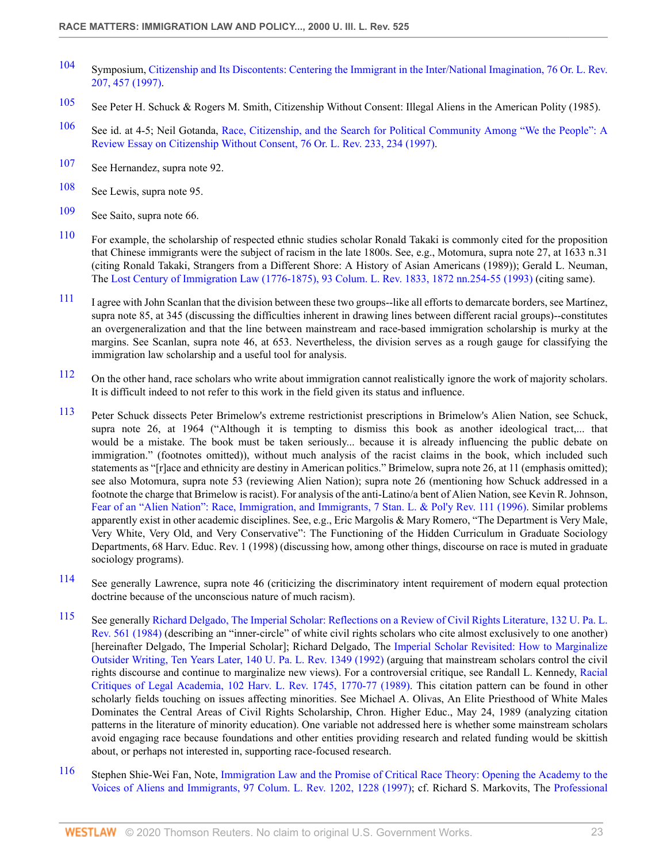- <span id="page-22-0"></span>[104](#page-5-16) Symposium, [Citizenship and Its Discontents: Centering the Immigrant in the Inter/National Imagination, 76 Or. L. Rev.](http://www.westlaw.com/Link/Document/FullText?findType=Y&serNum=0108934256&pubNum=1219&originatingDoc=Icfe969814b0211dba16d88fb847e95e5&refType=LR&originationContext=document&vr=3.0&rs=cblt1.0&transitionType=DocumentItem&contextData=(sc.UserEnteredCitation)) [207, 457 \(1997\)](http://www.westlaw.com/Link/Document/FullText?findType=Y&serNum=0108934256&pubNum=1219&originatingDoc=Icfe969814b0211dba16d88fb847e95e5&refType=LR&originationContext=document&vr=3.0&rs=cblt1.0&transitionType=DocumentItem&contextData=(sc.UserEnteredCitation)).
- <span id="page-22-1"></span>[105](#page-5-17) See Peter H. Schuck & Rogers M. Smith, Citizenship Without Consent: Illegal Aliens in the American Polity (1985).
- <span id="page-22-2"></span>[106](#page-5-18) See id. at 4-5; Neil Gotanda, [Race, Citizenship, and the Search for Political Community Among "We the People": A](http://www.westlaw.com/Link/Document/FullText?findType=Y&serNum=0108934257&pubNum=1219&originatingDoc=Icfe969814b0211dba16d88fb847e95e5&refType=LR&fi=co_pp_sp_1219_234&originationContext=document&vr=3.0&rs=cblt1.0&transitionType=DocumentItem&contextData=(sc.UserEnteredCitation)#co_pp_sp_1219_234) [Review Essay on Citizenship Without Consent, 76 Or. L. Rev. 233, 234 \(1997\)](http://www.westlaw.com/Link/Document/FullText?findType=Y&serNum=0108934257&pubNum=1219&originatingDoc=Icfe969814b0211dba16d88fb847e95e5&refType=LR&fi=co_pp_sp_1219_234&originationContext=document&vr=3.0&rs=cblt1.0&transitionType=DocumentItem&contextData=(sc.UserEnteredCitation)#co_pp_sp_1219_234).
- <span id="page-22-3"></span>[107](#page-5-19) See Hernandez, supra note 92.
- <span id="page-22-4"></span>[108](#page-5-20) See Lewis, supra note 95.
- <span id="page-22-5"></span>[109](#page-5-21) See Saito, supra note 66.
- <span id="page-22-6"></span>[110](#page-6-0) For example, the scholarship of respected ethnic studies scholar Ronald Takaki is commonly cited for the proposition that Chinese immigrants were the subject of racism in the late 1800s. See, e.g., Motomura, supra note 27, at 1633 n.31 (citing Ronald Takaki, Strangers from a Different Shore: A History of Asian Americans (1989)); Gerald L. Neuman, The [Lost Century of Immigration Law \(1776-1875\), 93 Colum. L. Rev. 1833, 1872 nn.254-55 \(1993\)](http://www.westlaw.com/Link/Document/FullText?findType=Y&serNum=0103407716&pubNum=3050&originatingDoc=Icfe969814b0211dba16d88fb847e95e5&refType=LR&fi=co_pp_sp_3050_1872&originationContext=document&vr=3.0&rs=cblt1.0&transitionType=DocumentItem&contextData=(sc.UserEnteredCitation)#co_pp_sp_3050_1872) (citing same).
- <span id="page-22-7"></span>[111](#page-6-1) I agree with John Scanlan that the division between these two groups--like all efforts to demarcate borders, see Martínez, supra note 85, at 345 (discussing the difficulties inherent in drawing lines between different racial groups)--constitutes an overgeneralization and that the line between mainstream and race-based immigration scholarship is murky at the margins. See Scanlan, supra note 46, at 653. Nevertheless, the division serves as a rough gauge for classifying the immigration law scholarship and a useful tool for analysis.
- <span id="page-22-8"></span><sup>[112](#page-6-2)</sup> On the other hand, race scholars who write about immigration cannot realistically ignore the work of majority scholars. It is difficult indeed to not refer to this work in the field given its status and influence.
- <span id="page-22-9"></span>[113](#page-6-3) Peter Schuck dissects Peter Brimelow's extreme restrictionist prescriptions in Brimelow's Alien Nation, see Schuck, supra note 26, at 1964 ("Although it is tempting to dismiss this book as another ideological tract,... that would be a mistake. The book must be taken seriously... because it is already influencing the public debate on immigration." (footnotes omitted)), without much analysis of the racist claims in the book, which included such statements as "[r]ace and ethnicity are destiny in American politics." Brimelow, supra note 26, at 11 (emphasis omitted); see also Motomura, supra note 53 (reviewing Alien Nation); supra note 26 (mentioning how Schuck addressed in a footnote the charge that Brimelow is racist). For analysis of the anti-Latino/a bent of Alien Nation, see Kevin R. Johnson, [Fear of an "Alien Nation": Race, Immigration, and Immigrants, 7 Stan. L. & Pol'y Rev. 111 \(1996\)](http://www.westlaw.com/Link/Document/FullText?findType=Y&serNum=0106675967&pubNum=101481&originatingDoc=Icfe969814b0211dba16d88fb847e95e5&refType=LR&originationContext=document&vr=3.0&rs=cblt1.0&transitionType=DocumentItem&contextData=(sc.UserEnteredCitation)). Similar problems apparently exist in other academic disciplines. See, e.g., Eric Margolis & Mary Romero, "The Department is Very Male, Very White, Very Old, and Very Conservative": The Functioning of the Hidden Curriculum in Graduate Sociology Departments, 68 Harv. Educ. Rev. 1 (1998) (discussing how, among other things, discourse on race is muted in graduate sociology programs).
- <span id="page-22-10"></span>[114](#page-6-4) See generally Lawrence, supra note 46 (criticizing the discriminatory intent requirement of modern equal protection doctrine because of the unconscious nature of much racism).
- <span id="page-22-11"></span>[115](#page-6-5) See generally [Richard Delgado, The Imperial Scholar: Reflections on a Review of Civil Rights Literature, 132 U. Pa. L.](http://www.westlaw.com/Link/Document/FullText?findType=Y&serNum=0283314033&pubNum=1268&originatingDoc=Icfe969814b0211dba16d88fb847e95e5&refType=LR&originationContext=document&vr=3.0&rs=cblt1.0&transitionType=DocumentItem&contextData=(sc.UserEnteredCitation)) [Rev. 561 \(1984\)](http://www.westlaw.com/Link/Document/FullText?findType=Y&serNum=0283314033&pubNum=1268&originatingDoc=Icfe969814b0211dba16d88fb847e95e5&refType=LR&originationContext=document&vr=3.0&rs=cblt1.0&transitionType=DocumentItem&contextData=(sc.UserEnteredCitation)) (describing an "inner-circle" of white civil rights scholars who cite almost exclusively to one another) [hereinafter Delgado, The Imperial Scholar]; Richard Delgado, The [Imperial Scholar Revisited: How to Marginalize](http://www.westlaw.com/Link/Document/FullText?findType=Y&serNum=0101544922&pubNum=1268&originatingDoc=Icfe969814b0211dba16d88fb847e95e5&refType=LR&originationContext=document&vr=3.0&rs=cblt1.0&transitionType=DocumentItem&contextData=(sc.UserEnteredCitation)) [Outsider Writing, Ten Years Later, 140 U. Pa. L. Rev. 1349 \(1992\)](http://www.westlaw.com/Link/Document/FullText?findType=Y&serNum=0101544922&pubNum=1268&originatingDoc=Icfe969814b0211dba16d88fb847e95e5&refType=LR&originationContext=document&vr=3.0&rs=cblt1.0&transitionType=DocumentItem&contextData=(sc.UserEnteredCitation)) (arguing that mainstream scholars control the civil rights discourse and continue to marginalize new views). For a controversial critique, see Randall L. Kennedy, [Racial](http://www.westlaw.com/Link/Document/FullText?findType=Y&serNum=0102033253&pubNum=3084&originatingDoc=Icfe969814b0211dba16d88fb847e95e5&refType=LR&fi=co_pp_sp_3084_1770&originationContext=document&vr=3.0&rs=cblt1.0&transitionType=DocumentItem&contextData=(sc.UserEnteredCitation)#co_pp_sp_3084_1770) [Critiques of Legal Academia, 102 Harv. L. Rev. 1745, 1770-77 \(1989\)](http://www.westlaw.com/Link/Document/FullText?findType=Y&serNum=0102033253&pubNum=3084&originatingDoc=Icfe969814b0211dba16d88fb847e95e5&refType=LR&fi=co_pp_sp_3084_1770&originationContext=document&vr=3.0&rs=cblt1.0&transitionType=DocumentItem&contextData=(sc.UserEnteredCitation)#co_pp_sp_3084_1770). This citation pattern can be found in other scholarly fields touching on issues affecting minorities. See Michael A. Olivas, An Elite Priesthood of White Males Dominates the Central Areas of Civil Rights Scholarship, Chron. Higher Educ., May 24, 1989 (analyzing citation patterns in the literature of minority education). One variable not addressed here is whether some mainstream scholars avoid engaging race because foundations and other entities providing research and related funding would be skittish about, or perhaps not interested in, supporting race-focused research.
- <span id="page-22-12"></span>[116](#page-6-6) Stephen Shie-Wei Fan, Note, [Immigration Law and the Promise of Critical Race Theory: Opening the Academy to the](http://www.westlaw.com/Link/Document/FullText?findType=Y&serNum=0107935303&pubNum=3050&originatingDoc=Icfe969814b0211dba16d88fb847e95e5&refType=LR&fi=co_pp_sp_3050_1228&originationContext=document&vr=3.0&rs=cblt1.0&transitionType=DocumentItem&contextData=(sc.UserEnteredCitation)#co_pp_sp_3050_1228) [Voices of Aliens and Immigrants, 97 Colum. L. Rev. 1202, 1228 \(1997\);](http://www.westlaw.com/Link/Document/FullText?findType=Y&serNum=0107935303&pubNum=3050&originatingDoc=Icfe969814b0211dba16d88fb847e95e5&refType=LR&fi=co_pp_sp_3050_1228&originationContext=document&vr=3.0&rs=cblt1.0&transitionType=DocumentItem&contextData=(sc.UserEnteredCitation)#co_pp_sp_3050_1228) cf. Richard S. Markovits, The [Professional](http://www.westlaw.com/Link/Document/FullText?findType=Y&serNum=0110366661&pubNum=3196&originatingDoc=Icfe969814b0211dba16d88fb847e95e5&refType=LR&fi=co_pp_sp_3196_423&originationContext=document&vr=3.0&rs=cblt1.0&transitionType=DocumentItem&contextData=(sc.UserEnteredCitation)#co_pp_sp_3196_423)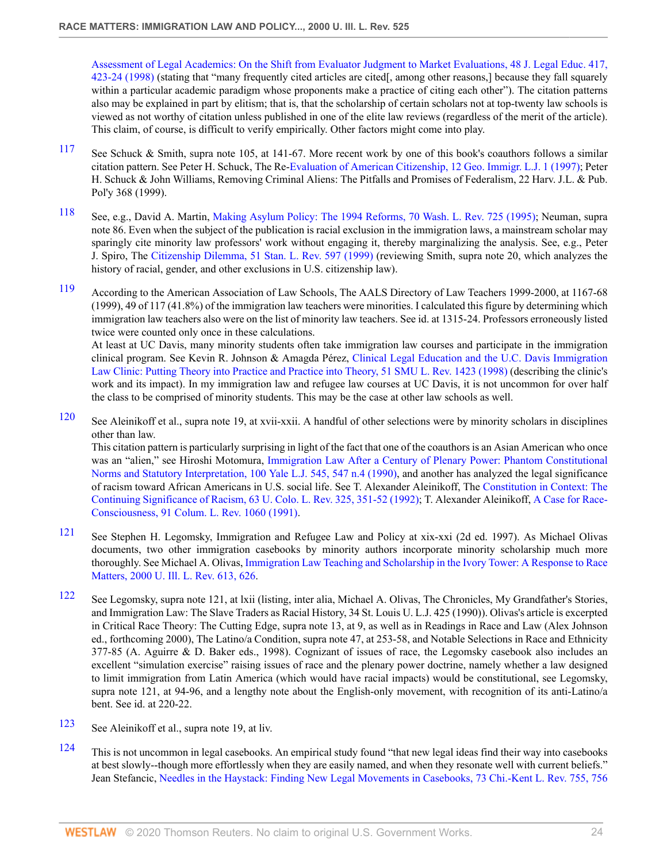[Assessment of Legal Academics: On the Shift from Evaluator Judgment to Market Evaluations, 48 J. Legal Educ. 417,](http://www.westlaw.com/Link/Document/FullText?findType=Y&serNum=0110366661&pubNum=3196&originatingDoc=Icfe969814b0211dba16d88fb847e95e5&refType=LR&fi=co_pp_sp_3196_423&originationContext=document&vr=3.0&rs=cblt1.0&transitionType=DocumentItem&contextData=(sc.UserEnteredCitation)#co_pp_sp_3196_423) [423-24 \(1998\)](http://www.westlaw.com/Link/Document/FullText?findType=Y&serNum=0110366661&pubNum=3196&originatingDoc=Icfe969814b0211dba16d88fb847e95e5&refType=LR&fi=co_pp_sp_3196_423&originationContext=document&vr=3.0&rs=cblt1.0&transitionType=DocumentItem&contextData=(sc.UserEnteredCitation)#co_pp_sp_3196_423) (stating that "many frequently cited articles are cited[, among other reasons,] because they fall squarely within a particular academic paradigm whose proponents make a practice of citing each other"). The citation patterns also may be explained in part by elitism; that is, that the scholarship of certain scholars not at top-twenty law schools is viewed as not worthy of citation unless published in one of the elite law reviews (regardless of the merit of the article). This claim, of course, is difficult to verify empirically. Other factors might come into play.

- <span id="page-23-0"></span>[117](#page-6-7) See Schuck & Smith, supra note 105, at 141-67. More recent work by one of this book's coauthors follows a similar citation pattern. See Peter H. Schuck, The Re[-Evaluation of American Citizenship, 12 Geo. Immigr. L.J. 1 \(1997\);](http://www.westlaw.com/Link/Document/FullText?findType=Y&serNum=0108692166&pubNum=1662&originatingDoc=Icfe969814b0211dba16d88fb847e95e5&refType=LR&originationContext=document&vr=3.0&rs=cblt1.0&transitionType=DocumentItem&contextData=(sc.UserEnteredCitation)) Peter H. Schuck & John Williams, Removing Criminal Aliens: The Pitfalls and Promises of Federalism, 22 Harv. J.L. & Pub. Pol'y 368 (1999).
- <span id="page-23-1"></span>[118](#page-6-8) See, e.g., David A. Martin, [Making Asylum Policy: The 1994 Reforms, 70 Wash. L. Rev. 725 \(1995\);](http://www.westlaw.com/Link/Document/FullText?findType=Y&serNum=0106052081&pubNum=1281&originatingDoc=Icfe969814b0211dba16d88fb847e95e5&refType=LR&originationContext=document&vr=3.0&rs=cblt1.0&transitionType=DocumentItem&contextData=(sc.UserEnteredCitation)) Neuman, supra note 86. Even when the subject of the publication is racial exclusion in the immigration laws, a mainstream scholar may sparingly cite minority law professors' work without engaging it, thereby marginalizing the analysis. See, e.g., Peter J. Spiro, The [Citizenship Dilemma, 51 Stan. L. Rev. 597 \(1999\)](http://www.westlaw.com/Link/Document/FullText?findType=Y&serNum=0110591725&pubNum=1239&originatingDoc=Icfe969814b0211dba16d88fb847e95e5&refType=LR&originationContext=document&vr=3.0&rs=cblt1.0&transitionType=DocumentItem&contextData=(sc.UserEnteredCitation)) (reviewing Smith, supra note 20, which analyzes the history of racial, gender, and other exclusions in U.S. citizenship law).
- <span id="page-23-2"></span>[119](#page-6-9) According to the American Association of Law Schools, The AALS Directory of Law Teachers 1999-2000, at 1167-68 (1999), 49 of 117 (41.8%) of the immigration law teachers were minorities. I calculated this figure by determining which immigration law teachers also were on the list of minority law teachers. See id. at 1315-24. Professors erroneously listed twice were counted only once in these calculations.

At least at UC Davis, many minority students often take immigration law courses and participate in the immigration clinical program. See Kevin R. Johnson & Amagda Pérez, [Clinical Legal Education and the U.C. Davis Immigration](http://www.westlaw.com/Link/Document/FullText?findType=Y&serNum=0110112935&pubNum=101925&originatingDoc=Icfe969814b0211dba16d88fb847e95e5&refType=LR&originationContext=document&vr=3.0&rs=cblt1.0&transitionType=DocumentItem&contextData=(sc.UserEnteredCitation)) [Law Clinic: Putting Theory into Practice and Practice into Theory, 51 SMU L. Rev. 1423 \(1998\)](http://www.westlaw.com/Link/Document/FullText?findType=Y&serNum=0110112935&pubNum=101925&originatingDoc=Icfe969814b0211dba16d88fb847e95e5&refType=LR&originationContext=document&vr=3.0&rs=cblt1.0&transitionType=DocumentItem&contextData=(sc.UserEnteredCitation)) (describing the clinic's work and its impact). In my immigration law and refugee law courses at UC Davis, it is not uncommon for over half the class to be comprised of minority students. This may be the case at other law schools as well.

- <span id="page-23-3"></span>[120](#page-6-10) See Aleinikoff et al., supra note 19, at xvii-xxii. A handful of other selections were by minority scholars in disciplines other than law. This citation pattern is particularly surprising in light of the fact that one of the coauthors is an Asian American who once was an "alien," see Hiroshi Motomura, [Immigration Law After a Century of Plenary Power: Phantom Constitutional](http://www.westlaw.com/Link/Document/FullText?findType=Y&serNum=0101445958&pubNum=1292&originatingDoc=Icfe969814b0211dba16d88fb847e95e5&refType=LR&fi=co_pp_sp_1292_547&originationContext=document&vr=3.0&rs=cblt1.0&transitionType=DocumentItem&contextData=(sc.UserEnteredCitation)#co_pp_sp_1292_547) [Norms and Statutory Interpretation, 100 Yale L.J. 545, 547 n.4 \(1990\)](http://www.westlaw.com/Link/Document/FullText?findType=Y&serNum=0101445958&pubNum=1292&originatingDoc=Icfe969814b0211dba16d88fb847e95e5&refType=LR&fi=co_pp_sp_1292_547&originationContext=document&vr=3.0&rs=cblt1.0&transitionType=DocumentItem&contextData=(sc.UserEnteredCitation)#co_pp_sp_1292_547), and another has analyzed the legal significance of racism toward African Americans in U.S. social life. See T. Alexander Aleinikoff, The [Constitution in Context: The](http://www.westlaw.com/Link/Document/FullText?findType=Y&serNum=0101667096&pubNum=1260&originatingDoc=Icfe969814b0211dba16d88fb847e95e5&refType=LR&fi=co_pp_sp_1260_351&originationContext=document&vr=3.0&rs=cblt1.0&transitionType=DocumentItem&contextData=(sc.UserEnteredCitation)#co_pp_sp_1260_351) [Continuing Significance of Racism, 63 U. Colo. L. Rev. 325, 351-52 \(1992\);](http://www.westlaw.com/Link/Document/FullText?findType=Y&serNum=0101667096&pubNum=1260&originatingDoc=Icfe969814b0211dba16d88fb847e95e5&refType=LR&fi=co_pp_sp_1260_351&originationContext=document&vr=3.0&rs=cblt1.0&transitionType=DocumentItem&contextData=(sc.UserEnteredCitation)#co_pp_sp_1260_351) T. Alexander Aleinikoff, [A Case for Race-](http://www.westlaw.com/Link/Document/FullText?findType=Y&serNum=0298824935&pubNum=3050&originatingDoc=Icfe969814b0211dba16d88fb847e95e5&refType=LR&originationContext=document&vr=3.0&rs=cblt1.0&transitionType=DocumentItem&contextData=(sc.UserEnteredCitation))[Consciousness, 91 Colum. L. Rev. 1060 \(1991\)](http://www.westlaw.com/Link/Document/FullText?findType=Y&serNum=0298824935&pubNum=3050&originatingDoc=Icfe969814b0211dba16d88fb847e95e5&refType=LR&originationContext=document&vr=3.0&rs=cblt1.0&transitionType=DocumentItem&contextData=(sc.UserEnteredCitation)).
- <span id="page-23-4"></span>[121](#page-6-11) See Stephen H. Legomsky, Immigration and Refugee Law and Policy at xix-xxi (2d ed. 1997). As Michael Olivas documents, two other immigration casebooks by minority authors incorporate minority scholarship much more thoroughly. See Michael A. Olivas, [Immigration Law Teaching and Scholarship in the Ivory Tower: A Response to Race](http://www.westlaw.com/Link/Document/FullText?findType=Y&serNum=0281956437&pubNum=1264&originatingDoc=Icfe969814b0211dba16d88fb847e95e5&refType=LR&fi=co_pp_sp_1264_626&originationContext=document&vr=3.0&rs=cblt1.0&transitionType=DocumentItem&contextData=(sc.UserEnteredCitation)#co_pp_sp_1264_626) [Matters, 2000 U. Ill. L. Rev. 613, 626.](http://www.westlaw.com/Link/Document/FullText?findType=Y&serNum=0281956437&pubNum=1264&originatingDoc=Icfe969814b0211dba16d88fb847e95e5&refType=LR&fi=co_pp_sp_1264_626&originationContext=document&vr=3.0&rs=cblt1.0&transitionType=DocumentItem&contextData=(sc.UserEnteredCitation)#co_pp_sp_1264_626)
- <span id="page-23-5"></span>[122](#page-6-12) See Legomsky, supra note 121, at lxii (listing, inter alia, Michael A. Olivas, The Chronicles, My Grandfather's Stories, and Immigration Law: The Slave Traders as Racial History, 34 St. Louis U. L.J. 425 (1990)). Olivas's article is excerpted in Critical Race Theory: The Cutting Edge, supra note 13, at 9, as well as in Readings in Race and Law (Alex Johnson ed., forthcoming 2000), The Latino/a Condition, supra note 47, at 253-58, and Notable Selections in Race and Ethnicity 377-85 (A. Aguirre & D. Baker eds., 1998). Cognizant of issues of race, the Legomsky casebook also includes an excellent "simulation exercise" raising issues of race and the plenary power doctrine, namely whether a law designed to limit immigration from Latin America (which would have racial impacts) would be constitutional, see Legomsky, supra note 121, at 94-96, and a lengthy note about the English-only movement, with recognition of its anti-Latino/a bent. See id. at 220-22.
- <span id="page-23-6"></span>[123](#page-6-13) See Aleinikoff et al., supra note 19, at liv.
- <span id="page-23-7"></span>[124](#page-7-0) This is not uncommon in legal casebooks. An empirical study found "that new legal ideas find their way into casebooks at best slowly--though more effortlessly when they are easily named, and when they resonate well with current beliefs." Jean Stefancic, [Needles in the Haystack: Finding New Legal Movements in Casebooks, 73 Chi.-Kent L. Rev. 755, 756](http://www.westlaw.com/Link/Document/FullText?findType=Y&serNum=0109580956&pubNum=1114&originatingDoc=Icfe969814b0211dba16d88fb847e95e5&refType=LR&fi=co_pp_sp_1114_756&originationContext=document&vr=3.0&rs=cblt1.0&transitionType=DocumentItem&contextData=(sc.UserEnteredCitation)#co_pp_sp_1114_756)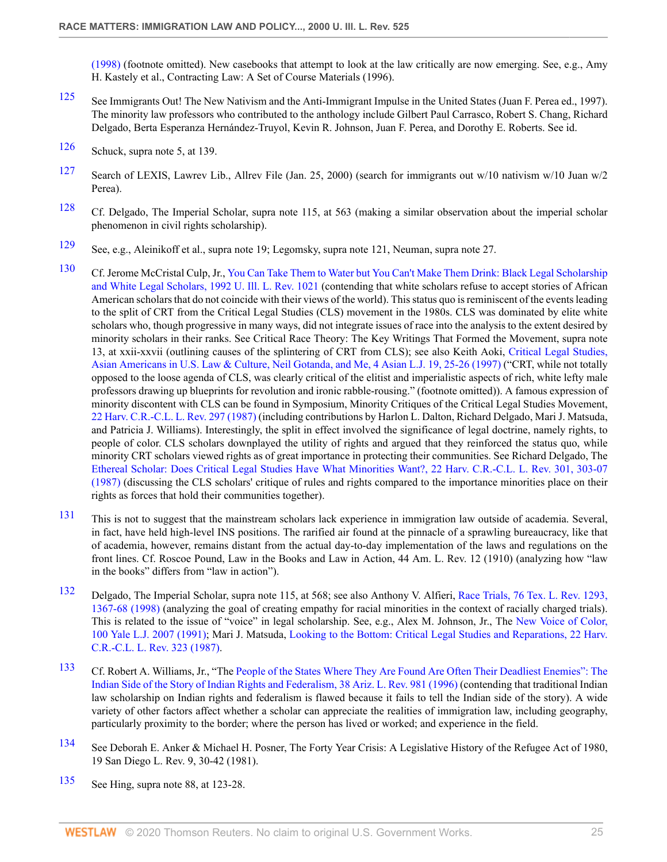[\(1998\)](http://www.westlaw.com/Link/Document/FullText?findType=Y&serNum=0109580956&pubNum=1114&originatingDoc=Icfe969814b0211dba16d88fb847e95e5&refType=LR&fi=co_pp_sp_1114_756&originationContext=document&vr=3.0&rs=cblt1.0&transitionType=DocumentItem&contextData=(sc.UserEnteredCitation)#co_pp_sp_1114_756) (footnote omitted). New casebooks that attempt to look at the law critically are now emerging. See, e.g., Amy H. Kastely et al., Contracting Law: A Set of Course Materials (1996).

- <span id="page-24-0"></span>[125](#page-7-1) See Immigrants Out! The New Nativism and the Anti-Immigrant Impulse in the United States (Juan F. Perea ed., 1997). The minority law professors who contributed to the anthology include Gilbert Paul Carrasco, Robert S. Chang, Richard Delgado, Berta Esperanza Hernández-Truyol, Kevin R. Johnson, Juan F. Perea, and Dorothy E. Roberts. See id.
- <span id="page-24-1"></span>[126](#page-7-2) Schuck, supra note 5, at 139.
- <span id="page-24-2"></span>[127](#page-7-3) Search of LEXIS, Lawrev Lib., Allrev File (Jan. 25, 2000) (search for immigrants out w/10 nativism w/10 Juan w/2 Perea).
- <span id="page-24-3"></span><sup>[128](#page-7-4)</sup> Cf. Delgado, The Imperial Scholar, supra note 115, at 563 (making a similar observation about the imperial scholar phenomenon in civil rights scholarship).
- <span id="page-24-4"></span>[129](#page-7-5) See, e.g., Aleinikoff et al., supra note 19; Legomsky, supra note 121, Neuman, supra note 27.
- <span id="page-24-5"></span>[130](#page-7-6) Cf. Jerome McCristal Culp, Jr., [You Can Take Them to Water but You Can't Make Them Drink: Black Legal Scholarship](http://www.westlaw.com/Link/Document/FullText?findType=Y&serNum=0102983373&pubNum=1264&originatingDoc=Icfe969814b0211dba16d88fb847e95e5&refType=LR&originationContext=document&vr=3.0&rs=cblt1.0&transitionType=DocumentItem&contextData=(sc.UserEnteredCitation)) [and White Legal Scholars, 1992 U. Ill. L. Rev. 1021](http://www.westlaw.com/Link/Document/FullText?findType=Y&serNum=0102983373&pubNum=1264&originatingDoc=Icfe969814b0211dba16d88fb847e95e5&refType=LR&originationContext=document&vr=3.0&rs=cblt1.0&transitionType=DocumentItem&contextData=(sc.UserEnteredCitation)) (contending that white scholars refuse to accept stories of African American scholars that do not coincide with their views of the world). This status quo is reminiscent of the events leading to the split of CRT from the Critical Legal Studies (CLS) movement in the 1980s. CLS was dominated by elite white scholars who, though progressive in many ways, did not integrate issues of race into the analysis to the extent desired by minority scholars in their ranks. See Critical Race Theory: The Key Writings That Formed the Movement, supra note 13, at xxii-xxvii (outlining causes of the splintering of CRT from CLS); see also Keith Aoki, [Critical Legal Studies,](http://www.westlaw.com/Link/Document/FullText?findType=Y&serNum=0108676470&pubNum=105500&originatingDoc=Icfe969814b0211dba16d88fb847e95e5&refType=LR&fi=co_pp_sp_105500_25&originationContext=document&vr=3.0&rs=cblt1.0&transitionType=DocumentItem&contextData=(sc.UserEnteredCitation)#co_pp_sp_105500_25) [Asian Americans in U.S. Law & Culture, Neil Gotanda, and Me, 4 Asian L.J. 19, 25-26 \(1997\)](http://www.westlaw.com/Link/Document/FullText?findType=Y&serNum=0108676470&pubNum=105500&originatingDoc=Icfe969814b0211dba16d88fb847e95e5&refType=LR&fi=co_pp_sp_105500_25&originationContext=document&vr=3.0&rs=cblt1.0&transitionType=DocumentItem&contextData=(sc.UserEnteredCitation)#co_pp_sp_105500_25) ("CRT, while not totally opposed to the loose agenda of CLS, was clearly critical of the elitist and imperialistic aspects of rich, white lefty male professors drawing up blueprints for revolution and ironic rabble-rousing." (footnote omitted)). A famous expression of minority discontent with CLS can be found in Symposium, Minority Critiques of the Critical Legal Studies Movement, [22 Harv. C.R.-C.L. L. Rev. 297 \(1987\)](http://www.westlaw.com/Link/Document/FullText?findType=Y&serNum=0101355489&pubNum=1151&originatingDoc=Icfe969814b0211dba16d88fb847e95e5&refType=LR&originationContext=document&vr=3.0&rs=cblt1.0&transitionType=DocumentItem&contextData=(sc.UserEnteredCitation)) (including contributions by Harlon L. Dalton, Richard Delgado, Mari J. Matsuda, and Patricia J. Williams). Interestingly, the split in effect involved the significance of legal doctrine, namely rights, to people of color. CLS scholars downplayed the utility of rights and argued that they reinforced the status quo, while minority CRT scholars viewed rights as of great importance in protecting their communities. See Richard Delgado, The [Ethereal Scholar: Does Critical Legal Studies Have What Minorities Want?, 22 Harv. C.R.-C.L. L. Rev. 301, 303-07](http://www.westlaw.com/Link/Document/FullText?findType=Y&serNum=0101355490&pubNum=1151&originatingDoc=Icfe969814b0211dba16d88fb847e95e5&refType=LR&fi=co_pp_sp_1151_303&originationContext=document&vr=3.0&rs=cblt1.0&transitionType=DocumentItem&contextData=(sc.UserEnteredCitation)#co_pp_sp_1151_303) [\(1987\)](http://www.westlaw.com/Link/Document/FullText?findType=Y&serNum=0101355490&pubNum=1151&originatingDoc=Icfe969814b0211dba16d88fb847e95e5&refType=LR&fi=co_pp_sp_1151_303&originationContext=document&vr=3.0&rs=cblt1.0&transitionType=DocumentItem&contextData=(sc.UserEnteredCitation)#co_pp_sp_1151_303) (discussing the CLS scholars' critique of rules and rights compared to the importance minorities place on their rights as forces that hold their communities together).
- <span id="page-24-6"></span>[131](#page-7-7) This is not to suggest that the mainstream scholars lack experience in immigration law outside of academia. Several, in fact, have held high-level INS positions. The rarified air found at the pinnacle of a sprawling bureaucracy, like that of academia, however, remains distant from the actual day-to-day implementation of the laws and regulations on the front lines. Cf. Roscoe Pound, Law in the Books and Law in Action, 44 Am. L. Rev. 12 (1910) (analyzing how "law in the books" differs from "law in action").
- <span id="page-24-7"></span>[132](#page-7-8) Delgado, The Imperial Scholar, supra note 115, at 568; see also Anthony V. Alfieri, [Race Trials, 76 Tex. L. Rev. 1293,](http://www.westlaw.com/Link/Document/FullText?findType=Y&serNum=0108886188&pubNum=1251&originatingDoc=Icfe969814b0211dba16d88fb847e95e5&refType=LR&fi=co_pp_sp_1251_1367&originationContext=document&vr=3.0&rs=cblt1.0&transitionType=DocumentItem&contextData=(sc.UserEnteredCitation)#co_pp_sp_1251_1367) [1367-68 \(1998\)](http://www.westlaw.com/Link/Document/FullText?findType=Y&serNum=0108886188&pubNum=1251&originatingDoc=Icfe969814b0211dba16d88fb847e95e5&refType=LR&fi=co_pp_sp_1251_1367&originationContext=document&vr=3.0&rs=cblt1.0&transitionType=DocumentItem&contextData=(sc.UserEnteredCitation)#co_pp_sp_1251_1367) (analyzing the goal of creating empathy for racial minorities in the context of racially charged trials). This is related to the issue of "voice" in legal scholarship. See, e.g., Alex M. Johnson, Jr., The [New Voice of Color,](http://www.westlaw.com/Link/Document/FullText?findType=Y&serNum=0100968606&pubNum=1292&originatingDoc=Icfe969814b0211dba16d88fb847e95e5&refType=LR&originationContext=document&vr=3.0&rs=cblt1.0&transitionType=DocumentItem&contextData=(sc.UserEnteredCitation)) [100 Yale L.J. 2007 \(1991\)](http://www.westlaw.com/Link/Document/FullText?findType=Y&serNum=0100968606&pubNum=1292&originatingDoc=Icfe969814b0211dba16d88fb847e95e5&refType=LR&originationContext=document&vr=3.0&rs=cblt1.0&transitionType=DocumentItem&contextData=(sc.UserEnteredCitation)); Mari J. Matsuda, [Looking to the Bottom: Critical Legal Studies and Reparations, 22 Harv.](http://www.westlaw.com/Link/Document/FullText?findType=Y&serNum=0101355492&pubNum=1151&originatingDoc=Icfe969814b0211dba16d88fb847e95e5&refType=LR&originationContext=document&vr=3.0&rs=cblt1.0&transitionType=DocumentItem&contextData=(sc.UserEnteredCitation)) [C.R.-C.L. L. Rev. 323 \(1987\).](http://www.westlaw.com/Link/Document/FullText?findType=Y&serNum=0101355492&pubNum=1151&originatingDoc=Icfe969814b0211dba16d88fb847e95e5&refType=LR&originationContext=document&vr=3.0&rs=cblt1.0&transitionType=DocumentItem&contextData=(sc.UserEnteredCitation))
- <span id="page-24-8"></span>[133](#page-7-9) Cf. Robert A. Williams, Jr., "The [People of the States Where They Are Found Are Often Their Deadliest Enemies": The](http://www.westlaw.com/Link/Document/FullText?findType=Y&serNum=0106970316&pubNum=1093&originatingDoc=Icfe969814b0211dba16d88fb847e95e5&refType=LR&originationContext=document&vr=3.0&rs=cblt1.0&transitionType=DocumentItem&contextData=(sc.UserEnteredCitation)) [Indian Side of the Story of Indian Rights and Federalism, 38 Ariz. L. Rev. 981 \(1996\)](http://www.westlaw.com/Link/Document/FullText?findType=Y&serNum=0106970316&pubNum=1093&originatingDoc=Icfe969814b0211dba16d88fb847e95e5&refType=LR&originationContext=document&vr=3.0&rs=cblt1.0&transitionType=DocumentItem&contextData=(sc.UserEnteredCitation)) (contending that traditional Indian law scholarship on Indian rights and federalism is flawed because it fails to tell the Indian side of the story). A wide variety of other factors affect whether a scholar can appreciate the realities of immigration law, including geography, particularly proximity to the border; where the person has lived or worked; and experience in the field.
- <span id="page-24-9"></span>[134](#page-7-10) See Deborah E. Anker & Michael H. Posner, The Forty Year Crisis: A Legislative History of the Refugee Act of 1980, 19 San Diego L. Rev. 9, 30-42 (1981).
- <span id="page-24-10"></span>[135](#page-7-11) See Hing, supra note 88, at 123-28.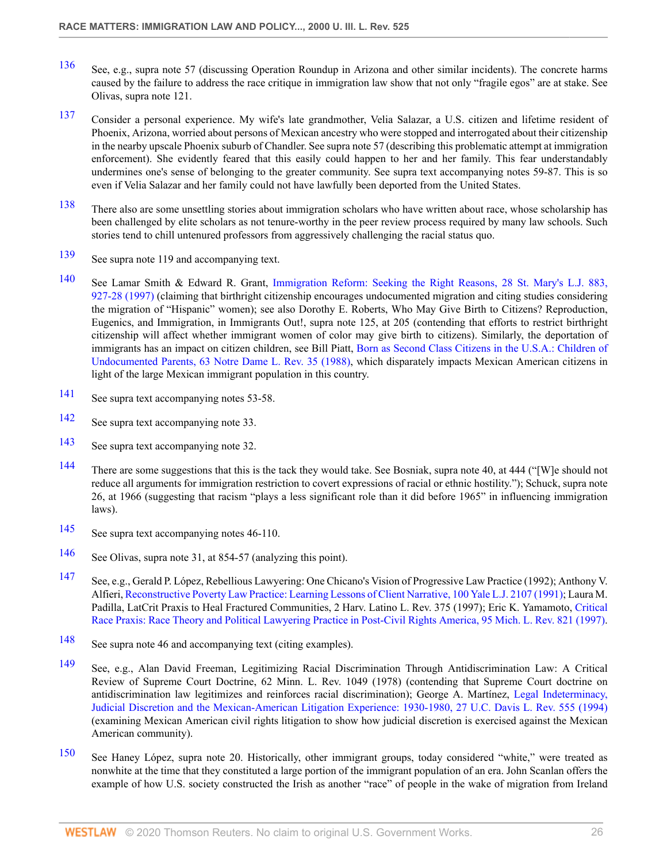- <span id="page-25-0"></span>[136](#page-7-12) See, e.g., supra note 57 (discussing Operation Roundup in Arizona and other similar incidents). The concrete harms caused by the failure to address the race critique in immigration law show that not only "fragile egos" are at stake. See Olivas, supra note 121.
- <span id="page-25-1"></span>[137](#page-7-13) Consider a personal experience. My wife's late grandmother, Velia Salazar, a U.S. citizen and lifetime resident of Phoenix, Arizona, worried about persons of Mexican ancestry who were stopped and interrogated about their citizenship in the nearby upscale Phoenix suburb of Chandler. See supra note 57 (describing this problematic attempt at immigration enforcement). She evidently feared that this easily could happen to her and her family. This fear understandably undermines one's sense of belonging to the greater community. See supra text accompanying notes 59-87. This is so even if Velia Salazar and her family could not have lawfully been deported from the United States.
- <span id="page-25-2"></span>[138](#page-7-14) There also are some unsettling stories about immigration scholars who have written about race, whose scholarship has been challenged by elite scholars as not tenure-worthy in the peer review process required by many law schools. Such stories tend to chill untenured professors from aggressively challenging the racial status quo.
- <span id="page-25-3"></span>[139](#page-8-0) See supra note 119 and accompanying text.
- <span id="page-25-4"></span>[140](#page-8-1) See Lamar Smith & Edward R. Grant, [Immigration Reform: Seeking the Right Reasons, 28 St. Mary's L.J. 883,](http://www.westlaw.com/Link/Document/FullText?findType=Y&serNum=0108498626&pubNum=1237&originatingDoc=Icfe969814b0211dba16d88fb847e95e5&refType=LR&fi=co_pp_sp_1237_927&originationContext=document&vr=3.0&rs=cblt1.0&transitionType=DocumentItem&contextData=(sc.UserEnteredCitation)#co_pp_sp_1237_927) [927-28 \(1997\)](http://www.westlaw.com/Link/Document/FullText?findType=Y&serNum=0108498626&pubNum=1237&originatingDoc=Icfe969814b0211dba16d88fb847e95e5&refType=LR&fi=co_pp_sp_1237_927&originationContext=document&vr=3.0&rs=cblt1.0&transitionType=DocumentItem&contextData=(sc.UserEnteredCitation)#co_pp_sp_1237_927) (claiming that birthright citizenship encourages undocumented migration and citing studies considering the migration of "Hispanic" women); see also Dorothy E. Roberts, Who May Give Birth to Citizens? Reproduction, Eugenics, and Immigration, in Immigrants Out!, supra note 125, at 205 (contending that efforts to restrict birthright citizenship will affect whether immigrant women of color may give birth to citizens). Similarly, the deportation of immigrants has an impact on citizen children, see Bill Piatt, [Born as Second Class Citizens in the U.S.A.: Children of](http://www.westlaw.com/Link/Document/FullText?findType=Y&serNum=0101927749&pubNum=1211&originatingDoc=Icfe969814b0211dba16d88fb847e95e5&refType=LR&originationContext=document&vr=3.0&rs=cblt1.0&transitionType=DocumentItem&contextData=(sc.UserEnteredCitation)) [Undocumented Parents, 63 Notre Dame L. Rev. 35 \(1988\),](http://www.westlaw.com/Link/Document/FullText?findType=Y&serNum=0101927749&pubNum=1211&originatingDoc=Icfe969814b0211dba16d88fb847e95e5&refType=LR&originationContext=document&vr=3.0&rs=cblt1.0&transitionType=DocumentItem&contextData=(sc.UserEnteredCitation)) which disparately impacts Mexican American citizens in light of the large Mexican immigrant population in this country.
- <span id="page-25-5"></span>[141](#page-8-2) See supra text accompanying notes 53-58.
- <span id="page-25-6"></span>[142](#page-8-3) See supra text accompanying note 33.
- <span id="page-25-7"></span>[143](#page-8-4) See supra text accompanying note 32.
- <span id="page-25-8"></span>[144](#page-8-5) There are some suggestions that this is the tack they would take. See Bosniak, supra note 40, at 444 ("[W]e should not reduce all arguments for immigration restriction to covert expressions of racial or ethnic hostility."); Schuck, supra note 26, at 1966 (suggesting that racism "plays a less significant role than it did before 1965" in influencing immigration laws).
- <span id="page-25-9"></span>[145](#page-8-6) See supra text accompanying notes 46-110.
- <span id="page-25-10"></span>[146](#page-8-7) See Olivas, supra note 31, at 854-57 (analyzing this point).
- <span id="page-25-11"></span>[147](#page-8-8) See, e.g., Gerald P. López, Rebellious Lawyering: One Chicano's Vision of Progressive Law Practice (1992); Anthony V. Alfieri, [Reconstructive Poverty Law Practice: Learning Lessons of Client Narrative, 100 Yale L.J. 2107 \(1991\)](http://www.westlaw.com/Link/Document/FullText?findType=Y&serNum=0100968609&pubNum=1292&originatingDoc=Icfe969814b0211dba16d88fb847e95e5&refType=LR&originationContext=document&vr=3.0&rs=cblt1.0&transitionType=DocumentItem&contextData=(sc.UserEnteredCitation)); Laura M. Padilla, LatCrit Praxis to Heal Fractured Communities, 2 Harv. Latino L. Rev. 375 (1997); Eric K. Yamamoto, [Critical](http://www.westlaw.com/Link/Document/FullText?findType=Y&serNum=0107628014&pubNum=1192&originatingDoc=Icfe969814b0211dba16d88fb847e95e5&refType=LR&originationContext=document&vr=3.0&rs=cblt1.0&transitionType=DocumentItem&contextData=(sc.UserEnteredCitation)) [Race Praxis: Race Theory and Political Lawyering Practice in Post-Civil Rights America, 95 Mich. L. Rev. 821 \(1997\).](http://www.westlaw.com/Link/Document/FullText?findType=Y&serNum=0107628014&pubNum=1192&originatingDoc=Icfe969814b0211dba16d88fb847e95e5&refType=LR&originationContext=document&vr=3.0&rs=cblt1.0&transitionType=DocumentItem&contextData=(sc.UserEnteredCitation))
- <span id="page-25-12"></span>[148](#page-8-9) See supra note 46 and accompanying text (citing examples).
- <span id="page-25-13"></span>[149](#page-8-10) See, e.g., Alan David Freeman, Legitimizing Racial Discrimination Through Antidiscrimination Law: A Critical Review of Supreme Court Doctrine, 62 Minn. L. Rev. 1049 (1978) (contending that Supreme Court doctrine on antidiscrimination law legitimizes and reinforces racial discrimination); George A. Martínez, [Legal Indeterminacy,](http://www.westlaw.com/Link/Document/FullText?findType=Y&serNum=0104657467&pubNum=2779&originatingDoc=Icfe969814b0211dba16d88fb847e95e5&refType=LR&originationContext=document&vr=3.0&rs=cblt1.0&transitionType=DocumentItem&contextData=(sc.UserEnteredCitation)) [Judicial Discretion and the Mexican-American Litigation Experience: 1930-1980, 27 U.C. Davis L. Rev. 555 \(1994\)](http://www.westlaw.com/Link/Document/FullText?findType=Y&serNum=0104657467&pubNum=2779&originatingDoc=Icfe969814b0211dba16d88fb847e95e5&refType=LR&originationContext=document&vr=3.0&rs=cblt1.0&transitionType=DocumentItem&contextData=(sc.UserEnteredCitation)) (examining Mexican American civil rights litigation to show how judicial discretion is exercised against the Mexican American community).
- <span id="page-25-14"></span>[150](#page-8-11) See Haney López, supra note 20. Historically, other immigrant groups, today considered "white," were treated as nonwhite at the time that they constituted a large portion of the immigrant population of an era. John Scanlan offers the example of how U.S. society constructed the Irish as another "race" of people in the wake of migration from Ireland